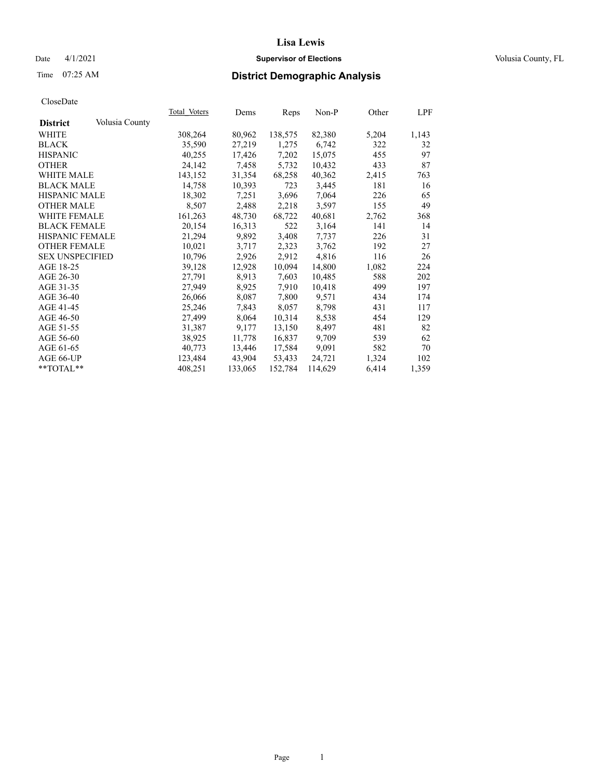## Date 4/1/2021 **Supervisor of Elections Supervisor of Elections** Volusia County, FL

# Time 07:25 AM **District Demographic Analysis**

|                        |                | Total Voters | Dems    | Reps    | Non-P   | Other | LPF   |
|------------------------|----------------|--------------|---------|---------|---------|-------|-------|
| <b>District</b>        | Volusia County |              |         |         |         |       |       |
| WHITE                  |                | 308,264      | 80,962  | 138,575 | 82,380  | 5,204 | 1,143 |
| <b>BLACK</b>           |                | 35,590       | 27,219  | 1,275   | 6,742   | 322   | 32    |
| <b>HISPANIC</b>        |                | 40,255       | 17,426  | 7,202   | 15,075  | 455   | 97    |
| <b>OTHER</b>           |                | 24,142       | 7,458   | 5,732   | 10,432  | 433   | 87    |
| WHITE MALE             |                | 143,152      | 31,354  | 68,258  | 40,362  | 2,415 | 763   |
| <b>BLACK MALE</b>      |                | 14,758       | 10,393  | 723     | 3,445   | 181   | 16    |
| <b>HISPANIC MALE</b>   |                | 18,302       | 7,251   | 3,696   | 7,064   | 226   | 65    |
| <b>OTHER MALE</b>      |                | 8,507        | 2,488   | 2,218   | 3,597   | 155   | 49    |
| <b>WHITE FEMALE</b>    |                | 161,263      | 48,730  | 68,722  | 40,681  | 2,762 | 368   |
| <b>BLACK FEMALE</b>    |                | 20,154       | 16,313  | 522     | 3,164   | 141   | 14    |
| <b>HISPANIC FEMALE</b> |                | 21,294       | 9,892   | 3,408   | 7,737   | 226   | 31    |
| <b>OTHER FEMALE</b>    |                | 10,021       | 3,717   | 2,323   | 3,762   | 192   | 27    |
| <b>SEX UNSPECIFIED</b> |                | 10,796       | 2,926   | 2,912   | 4,816   | 116   | 26    |
| AGE 18-25              |                | 39,128       | 12,928  | 10,094  | 14,800  | 1,082 | 224   |
| AGE 26-30              |                | 27,791       | 8,913   | 7,603   | 10,485  | 588   | 202   |
| AGE 31-35              |                | 27,949       | 8,925   | 7,910   | 10,418  | 499   | 197   |
| AGE 36-40              |                | 26,066       | 8,087   | 7,800   | 9,571   | 434   | 174   |
| AGE 41-45              |                | 25,246       | 7,843   | 8,057   | 8,798   | 431   | 117   |
| AGE 46-50              |                | 27,499       | 8,064   | 10,314  | 8,538   | 454   | 129   |
| AGE 51-55              |                | 31,387       | 9,177   | 13,150  | 8,497   | 481   | 82    |
| AGE 56-60              |                | 38,925       | 11,778  | 16,837  | 9,709   | 539   | 62    |
| AGE 61-65              |                | 40,773       | 13,446  | 17,584  | 9,091   | 582   | 70    |
| AGE 66-UP              |                | 123,484      | 43,904  | 53,433  | 24,721  | 1,324 | 102   |
| $*$ TOTAL $*$          |                | 408,251      | 133,065 | 152,784 | 114,629 | 6,414 | 1,359 |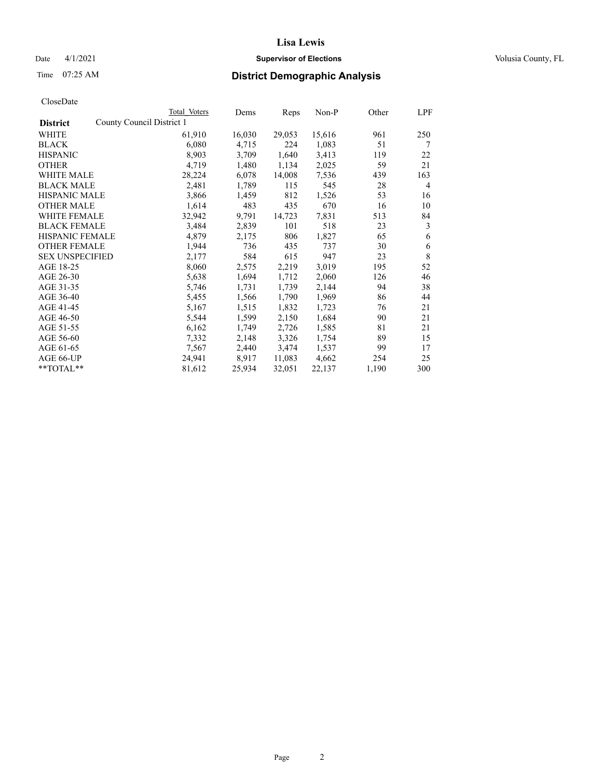## Date 4/1/2021 **Supervisor of Elections Supervisor of Elections** Volusia County, FL

# Time 07:25 AM **District Demographic Analysis**

|                        |                           | Total Voters | Dems   | Reps   | Non-P  | Other | LPF |
|------------------------|---------------------------|--------------|--------|--------|--------|-------|-----|
| <b>District</b>        | County Council District 1 |              |        |        |        |       |     |
| WHITE                  |                           | 61,910       | 16,030 | 29,053 | 15,616 | 961   | 250 |
| <b>BLACK</b>           |                           | 6,080        | 4,715  | 224    | 1,083  | 51    | 7   |
| <b>HISPANIC</b>        |                           | 8,903        | 3,709  | 1,640  | 3,413  | 119   | 22  |
| <b>OTHER</b>           |                           | 4,719        | 1,480  | 1,134  | 2,025  | 59    | 21  |
| WHITE MALE             |                           | 28,224       | 6,078  | 14,008 | 7,536  | 439   | 163 |
| <b>BLACK MALE</b>      |                           | 2,481        | 1,789  | 115    | 545    | 28    | 4   |
| <b>HISPANIC MALE</b>   |                           | 3,866        | 1,459  | 812    | 1,526  | 53    | 16  |
| <b>OTHER MALE</b>      |                           | 1,614        | 483    | 435    | 670    | 16    | 10  |
| WHITE FEMALE           |                           | 32,942       | 9,791  | 14,723 | 7,831  | 513   | 84  |
| <b>BLACK FEMALE</b>    |                           | 3,484        | 2,839  | 101    | 518    | 23    | 3   |
| <b>HISPANIC FEMALE</b> |                           | 4,879        | 2,175  | 806    | 1,827  | 65    | 6   |
| <b>OTHER FEMALE</b>    |                           | 1,944        | 736    | 435    | 737    | 30    | 6   |
| <b>SEX UNSPECIFIED</b> |                           | 2,177        | 584    | 615    | 947    | 23    | 8   |
| AGE 18-25              |                           | 8,060        | 2,575  | 2,219  | 3,019  | 195   | 52  |
| AGE 26-30              |                           | 5,638        | 1,694  | 1,712  | 2,060  | 126   | 46  |
| AGE 31-35              |                           | 5,746        | 1,731  | 1,739  | 2,144  | 94    | 38  |
| AGE 36-40              |                           | 5,455        | 1,566  | 1,790  | 1,969  | 86    | 44  |
| AGE 41-45              |                           | 5,167        | 1,515  | 1,832  | 1,723  | 76    | 21  |
| AGE 46-50              |                           | 5,544        | 1,599  | 2,150  | 1,684  | 90    | 21  |
| AGE 51-55              |                           | 6,162        | 1,749  | 2,726  | 1,585  | 81    | 21  |
| AGE 56-60              |                           | 7,332        | 2,148  | 3,326  | 1,754  | 89    | 15  |
| AGE 61-65              |                           | 7,567        | 2,440  | 3,474  | 1,537  | 99    | 17  |
| AGE 66-UP              |                           | 24,941       | 8,917  | 11,083 | 4,662  | 254   | 25  |
| $*$ $TOTAL**$          |                           | 81,612       | 25,934 | 32,051 | 22,137 | 1,190 | 300 |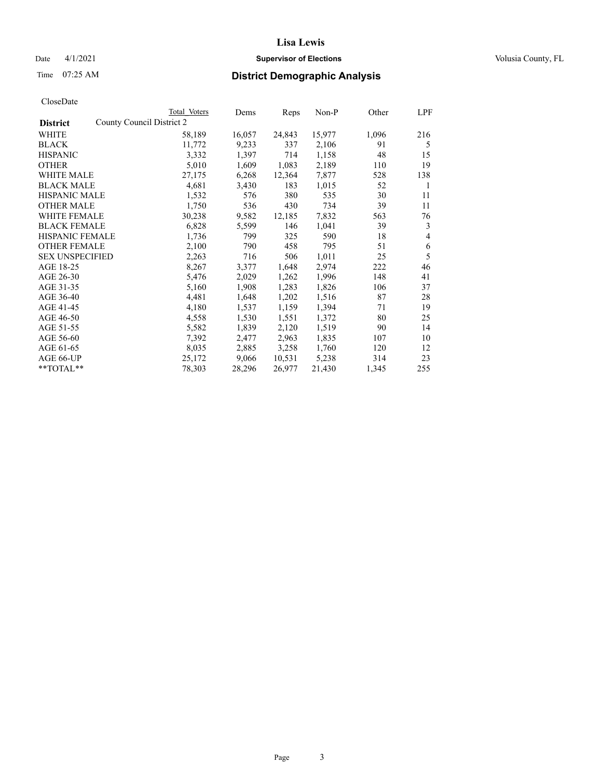## Date 4/1/2021 **Supervisor of Elections Supervisor of Elections** Volusia County, FL

|                                              | Total Voters | Dems   | Reps   | Non-P  | Other | LPF                      |
|----------------------------------------------|--------------|--------|--------|--------|-------|--------------------------|
| County Council District 2<br><b>District</b> |              |        |        |        |       |                          |
| WHITE                                        | 58,189       | 16,057 | 24,843 | 15,977 | 1,096 | 216                      |
| <b>BLACK</b>                                 | 11,772       | 9,233  | 337    | 2,106  | 91    | 5                        |
| <b>HISPANIC</b>                              | 3,332        | 1,397  | 714    | 1,158  | 48    | 15                       |
| <b>OTHER</b>                                 | 5,010        | 1,609  | 1,083  | 2,189  | 110   | 19                       |
| <b>WHITE MALE</b>                            | 27,175       | 6,268  | 12,364 | 7,877  | 528   | 138                      |
| <b>BLACK MALE</b>                            | 4,681        | 3,430  | 183    | 1,015  | 52    | 1                        |
| <b>HISPANIC MALE</b>                         | 1,532        | 576    | 380    | 535    | 30    | 11                       |
| <b>OTHER MALE</b>                            | 1,750        | 536    | 430    | 734    | 39    | 11                       |
| <b>WHITE FEMALE</b>                          | 30,238       | 9,582  | 12,185 | 7,832  | 563   | 76                       |
| <b>BLACK FEMALE</b>                          | 6,828        | 5,599  | 146    | 1,041  | 39    | 3                        |
| HISPANIC FEMALE                              | 1,736        | 799    | 325    | 590    | 18    | $\overline{\mathcal{L}}$ |
| <b>OTHER FEMALE</b>                          | 2,100        | 790    | 458    | 795    | 51    | 6                        |
| <b>SEX UNSPECIFIED</b>                       | 2,263        | 716    | 506    | 1,011  | 25    | 5                        |
| AGE 18-25                                    | 8,267        | 3,377  | 1,648  | 2,974  | 222   | 46                       |
| AGE 26-30                                    | 5,476        | 2,029  | 1,262  | 1,996  | 148   | 41                       |
| AGE 31-35                                    | 5,160        | 1,908  | 1,283  | 1,826  | 106   | 37                       |
| AGE 36-40                                    | 4,481        | 1,648  | 1,202  | 1,516  | 87    | 28                       |
| AGE 41-45                                    | 4,180        | 1,537  | 1,159  | 1,394  | 71    | 19                       |
| AGE 46-50                                    | 4,558        | 1,530  | 1,551  | 1,372  | 80    | 25                       |
| AGE 51-55                                    | 5,582        | 1,839  | 2,120  | 1,519  | 90    | 14                       |
| AGE 56-60                                    | 7,392        | 2,477  | 2,963  | 1,835  | 107   | 10                       |
| AGE 61-65                                    | 8,035        | 2,885  | 3,258  | 1,760  | 120   | 12                       |
| AGE 66-UP                                    | 25,172       | 9,066  | 10,531 | 5,238  | 314   | 23                       |
| $**TOTAL**$                                  | 78,303       | 28,296 | 26,977 | 21,430 | 1,345 | 255                      |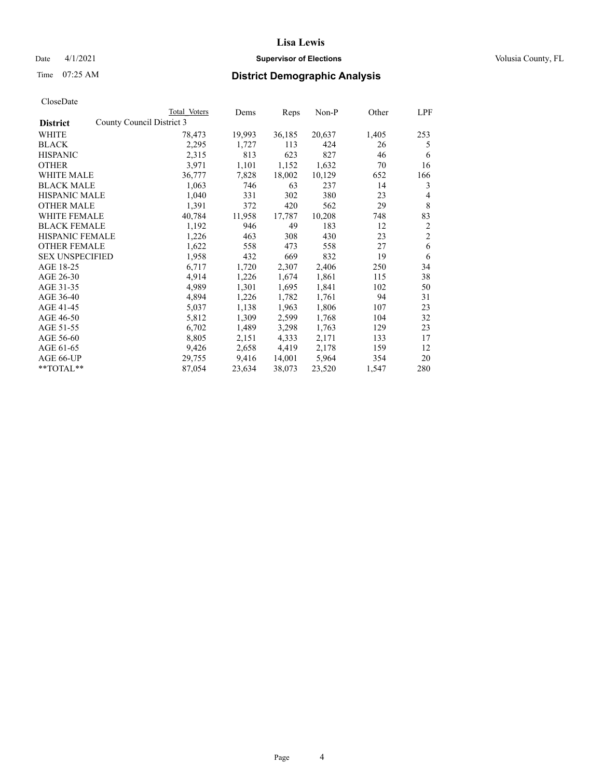## Date 4/1/2021 **Supervisor of Elections Supervisor of Elections** Volusia County, FL

|                        | Total Voters              | Dems   | Reps   | Non-P  | Other | LPF                     |
|------------------------|---------------------------|--------|--------|--------|-------|-------------------------|
| <b>District</b>        | County Council District 3 |        |        |        |       |                         |
| WHITE                  | 78,473                    | 19,993 | 36,185 | 20,637 | 1,405 | 253                     |
| <b>BLACK</b>           | 2,295                     | 1,727  | 113    | 424    | 26    | 5                       |
| <b>HISPANIC</b>        | 2,315                     | 813    | 623    | 827    | 46    | 6                       |
| OTHER                  | 3,971                     | 1,101  | 1,152  | 1,632  | 70    | 16                      |
| WHITE MALE             | 36,777                    | 7,828  | 18,002 | 10,129 | 652   | 166                     |
| <b>BLACK MALE</b>      | 1,063                     | 746    | 63     | 237    | 14    | 3                       |
| <b>HISPANIC MALE</b>   | 1,040                     | 331    | 302    | 380    | 23    | 4                       |
| <b>OTHER MALE</b>      | 1,391                     | 372    | 420    | 562    | 29    | $\,$ 8 $\,$             |
| <b>WHITE FEMALE</b>    | 40,784                    | 11,958 | 17,787 | 10,208 | 748   | 83                      |
| <b>BLACK FEMALE</b>    | 1,192                     | 946    | 49     | 183    | 12    | $\overline{\mathbf{c}}$ |
| <b>HISPANIC FEMALE</b> | 1,226                     | 463    | 308    | 430    | 23    | $\overline{c}$          |
| <b>OTHER FEMALE</b>    | 1,622                     | 558    | 473    | 558    | 27    | 6                       |
| <b>SEX UNSPECIFIED</b> | 1,958                     | 432    | 669    | 832    | 19    | 6                       |
| AGE 18-25              | 6,717                     | 1,720  | 2,307  | 2,406  | 250   | 34                      |
| AGE 26-30              | 4,914                     | 1,226  | 1,674  | 1,861  | 115   | 38                      |
| AGE 31-35              | 4,989                     | 1,301  | 1,695  | 1,841  | 102   | 50                      |
| AGE 36-40              | 4,894                     | 1,226  | 1,782  | 1,761  | 94    | 31                      |
| AGE 41-45              | 5,037                     | 1,138  | 1,963  | 1,806  | 107   | 23                      |
| AGE 46-50              | 5,812                     | 1,309  | 2,599  | 1,768  | 104   | 32                      |
| AGE 51-55              | 6,702                     | 1,489  | 3,298  | 1,763  | 129   | 23                      |
| AGE 56-60              | 8,805                     | 2,151  | 4,333  | 2,171  | 133   | 17                      |
| AGE 61-65              | 9,426                     | 2,658  | 4,419  | 2,178  | 159   | 12                      |
| AGE 66-UP              | 29,755                    | 9,416  | 14,001 | 5,964  | 354   | 20                      |
| **TOTAL**              | 87,054                    | 23,634 | 38,073 | 23,520 | 1,547 | 280                     |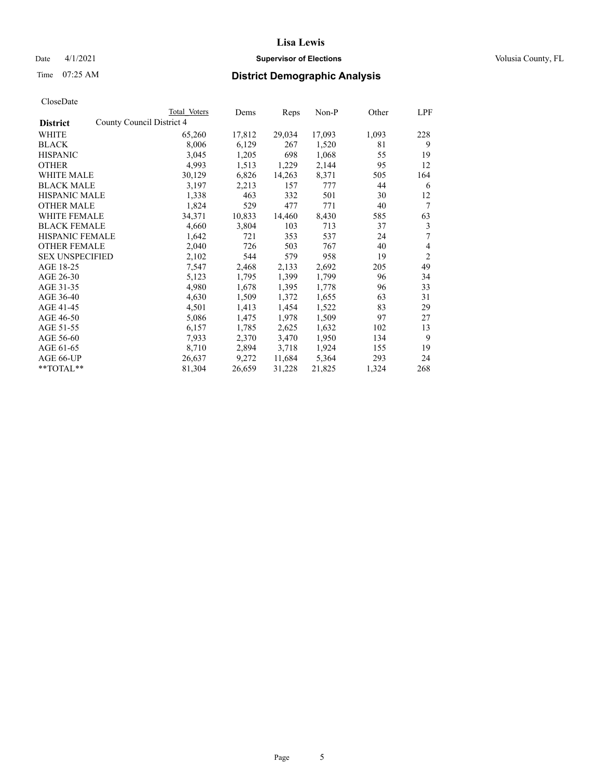## Date 4/1/2021 **Supervisor of Elections Supervisor of Elections** Volusia County, FL

| CloseDate |
|-----------|
|-----------|

|                                              | Total Voters | Dems   | Reps   | Non-P  | Other | LPF            |
|----------------------------------------------|--------------|--------|--------|--------|-------|----------------|
| County Council District 4<br><b>District</b> |              |        |        |        |       |                |
| WHITE                                        | 65,260       | 17,812 | 29,034 | 17,093 | 1,093 | 228            |
| <b>BLACK</b>                                 | 8,006        | 6,129  | 267    | 1,520  | 81    | 9              |
| <b>HISPANIC</b>                              | 3,045        | 1,205  | 698    | 1,068  | 55    | 19             |
| <b>OTHER</b>                                 | 4,993        | 1,513  | 1,229  | 2,144  | 95    | 12             |
| <b>WHITE MALE</b>                            | 30,129       | 6,826  | 14,263 | 8,371  | 505   | 164            |
| <b>BLACK MALE</b>                            | 3,197        | 2,213  | 157    | 777    | 44    | 6              |
| <b>HISPANIC MALE</b>                         | 1,338        | 463    | 332    | 501    | 30    | 12             |
| <b>OTHER MALE</b>                            | 1,824        | 529    | 477    | 771    | 40    | 7              |
| <b>WHITE FEMALE</b>                          | 34,371       | 10,833 | 14,460 | 8,430  | 585   | 63             |
| <b>BLACK FEMALE</b>                          | 4,660        | 3,804  | 103    | 713    | 37    | 3              |
| <b>HISPANIC FEMALE</b>                       | 1,642        | 721    | 353    | 537    | 24    | 7              |
| <b>OTHER FEMALE</b>                          | 2,040        | 726    | 503    | 767    | 40    | $\overline{4}$ |
| <b>SEX UNSPECIFIED</b>                       | 2,102        | 544    | 579    | 958    | 19    | $\overline{2}$ |
| AGE 18-25                                    | 7,547        | 2,468  | 2,133  | 2,692  | 205   | 49             |
| AGE 26-30                                    | 5,123        | 1,795  | 1,399  | 1,799  | 96    | 34             |
| AGE 31-35                                    | 4,980        | 1,678  | 1,395  | 1,778  | 96    | 33             |
| AGE 36-40                                    | 4,630        | 1,509  | 1,372  | 1,655  | 63    | 31             |
| AGE 41-45                                    | 4,501        | 1,413  | 1,454  | 1,522  | 83    | 29             |
| AGE 46-50                                    | 5,086        | 1,475  | 1,978  | 1,509  | 97    | 27             |
| AGE 51-55                                    | 6,157        | 1,785  | 2,625  | 1,632  | 102   | 13             |
| AGE 56-60                                    | 7,933        | 2,370  | 3,470  | 1,950  | 134   | 9              |
| AGE 61-65                                    | 8,710        | 2,894  | 3,718  | 1,924  | 155   | 19             |
| AGE 66-UP                                    | 26,637       | 9,272  | 11,684 | 5,364  | 293   | 24             |
| **TOTAL**                                    | 81,304       | 26,659 | 31,228 | 21,825 | 1,324 | 268            |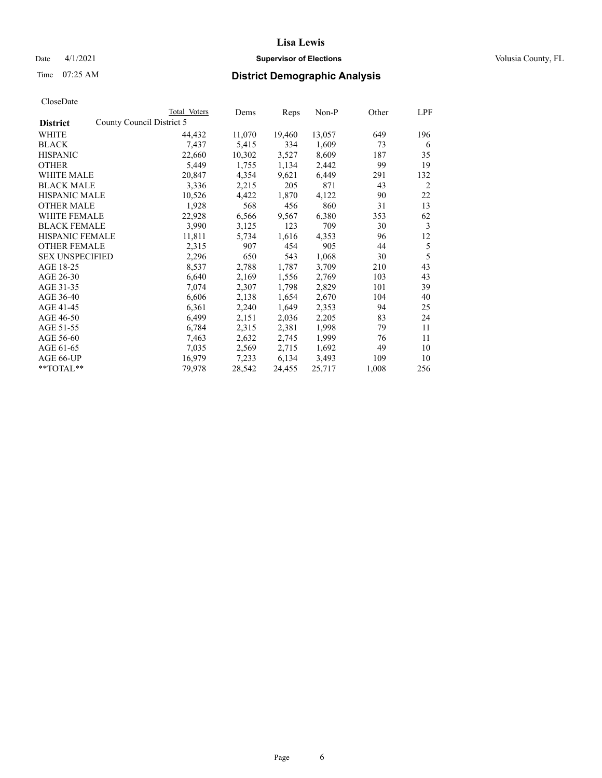## Date 4/1/2021 **Supervisor of Elections Supervisor of Elections** Volusia County, FL

|                                              | Total Voters | Dems   | Reps   | Non-P  | Other | LPF |
|----------------------------------------------|--------------|--------|--------|--------|-------|-----|
| County Council District 5<br><b>District</b> |              |        |        |        |       |     |
| WHITE                                        | 44,432       | 11,070 | 19,460 | 13,057 | 649   | 196 |
| <b>BLACK</b>                                 | 7,437        | 5,415  | 334    | 1,609  | 73    | 6   |
| <b>HISPANIC</b>                              | 22,660       | 10,302 | 3,527  | 8,609  | 187   | 35  |
| <b>OTHER</b>                                 | 5,449        | 1,755  | 1,134  | 2,442  | 99    | 19  |
| WHITE MALE                                   | 20,847       | 4,354  | 9,621  | 6,449  | 291   | 132 |
| <b>BLACK MALE</b>                            | 3,336        | 2,215  | 205    | 871    | 43    | 2   |
| <b>HISPANIC MALE</b>                         | 10,526       | 4,422  | 1,870  | 4,122  | 90    | 22  |
| <b>OTHER MALE</b>                            | 1,928        | 568    | 456    | 860    | 31    | 13  |
| <b>WHITE FEMALE</b>                          | 22,928       | 6,566  | 9,567  | 6,380  | 353   | 62  |
| <b>BLACK FEMALE</b>                          | 3,990        | 3,125  | 123    | 709    | 30    | 3   |
| <b>HISPANIC FEMALE</b>                       | 11,811       | 5,734  | 1,616  | 4,353  | 96    | 12  |
| <b>OTHER FEMALE</b>                          | 2,315        | 907    | 454    | 905    | 44    | 5   |
| <b>SEX UNSPECIFIED</b>                       | 2,296        | 650    | 543    | 1,068  | 30    | 5   |
| AGE 18-25                                    | 8,537        | 2,788  | 1,787  | 3,709  | 210   | 43  |
| AGE 26-30                                    | 6,640        | 2,169  | 1,556  | 2,769  | 103   | 43  |
| AGE 31-35                                    | 7,074        | 2,307  | 1,798  | 2,829  | 101   | 39  |
| AGE 36-40                                    | 6,606        | 2,138  | 1,654  | 2,670  | 104   | 40  |
| AGE 41-45                                    | 6,361        | 2,240  | 1,649  | 2,353  | 94    | 25  |
| AGE 46-50                                    | 6,499        | 2,151  | 2,036  | 2,205  | 83    | 24  |
| AGE 51-55                                    | 6,784        | 2,315  | 2,381  | 1,998  | 79    | 11  |
| AGE 56-60                                    | 7,463        | 2,632  | 2,745  | 1,999  | 76    | 11  |
| AGE 61-65                                    | 7,035        | 2,569  | 2,715  | 1,692  | 49    | 10  |
| AGE 66-UP                                    | 16,979       | 7,233  | 6,134  | 3,493  | 109   | 10  |
| **TOTAL**                                    | 79,978       | 28,542 | 24,455 | 25,717 | 1,008 | 256 |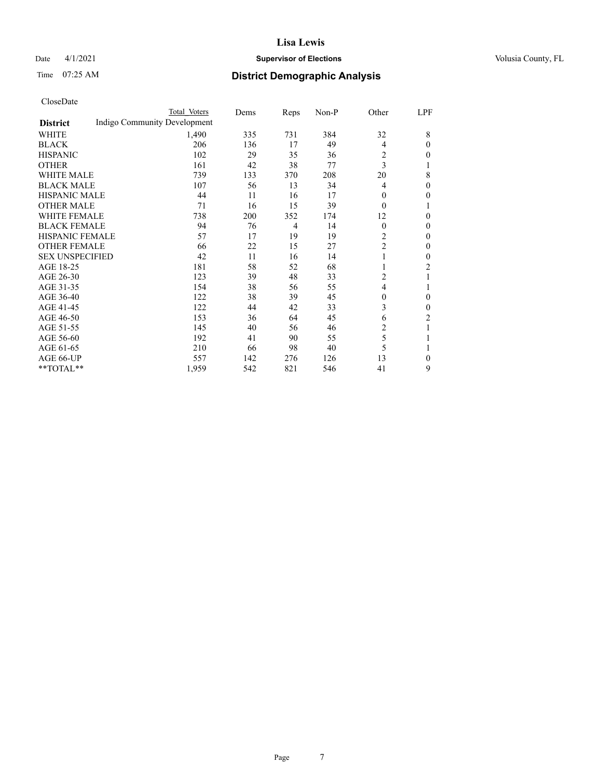## Date 4/1/2021 **Supervisor of Elections Supervisor of Elections** Volusia County, FL

# Time 07:25 AM **District Demographic Analysis**

|                        | Total Voters                 | Dems | Reps           | Non-P | Other          | LPF          |
|------------------------|------------------------------|------|----------------|-------|----------------|--------------|
| <b>District</b>        | Indigo Community Development |      |                |       |                |              |
| WHITE                  | 1,490                        | 335  | 731            | 384   | 32             | 8            |
| <b>BLACK</b>           | 206                          | 136  | 17             | 49    | 4              | $\theta$     |
| <b>HISPANIC</b>        | 102                          | 29   | 35             | 36    | $\overline{c}$ | $\Omega$     |
| <b>OTHER</b>           | 161                          | 42   | 38             | 77    | 3              |              |
| WHITE MALE             | 739                          | 133  | 370            | 208   | 20             | 8            |
| <b>BLACK MALE</b>      | 107                          | 56   | 13             | 34    | 4              | $\theta$     |
| <b>HISPANIC MALE</b>   | 44                           | 11   | 16             | 17    | $\Omega$       | $\Omega$     |
| <b>OTHER MALE</b>      | 71                           | 16   | 15             | 39    | $\theta$       | 1            |
| <b>WHITE FEMALE</b>    | 738                          | 200  | 352            | 174   | 12             | 0            |
| <b>BLACK FEMALE</b>    | 94                           | 76   | $\overline{4}$ | 14    | $\theta$       | $\Omega$     |
| HISPANIC FEMALE        | 57                           | 17   | 19             | 19    | 2              | $\Omega$     |
| <b>OTHER FEMALE</b>    | 66                           | 22   | 15             | 27    | 2              | $\theta$     |
| <b>SEX UNSPECIFIED</b> | 42                           | 11   | 16             | 14    |                | $\Omega$     |
| AGE 18-25              | 181                          | 58   | 52             | 68    |                | 2            |
| AGE 26-30              | 123                          | 39   | 48             | 33    | 2              |              |
| AGE 31-35              | 154                          | 38   | 56             | 55    | 4              |              |
| AGE 36-40              | 122                          | 38   | 39             | 45    | 0              | $\mathbf{0}$ |
| AGE 41-45              | 122                          | 44   | 42             | 33    | 3              | $\theta$     |
| AGE 46-50              | 153                          | 36   | 64             | 45    | 6              | 2            |
| AGE 51-55              | 145                          | 40   | 56             | 46    | $\overline{c}$ | 1            |
| AGE 56-60              | 192                          | 41   | 90             | 55    | 5              |              |
| AGE 61-65              | 210                          | 66   | 98             | 40    | 5              |              |
| AGE 66-UP              | 557                          | 142  | 276            | 126   | 13             | $\Omega$     |
| **TOTAL**              | 1,959                        | 542  | 821            | 546   | 41             | 9            |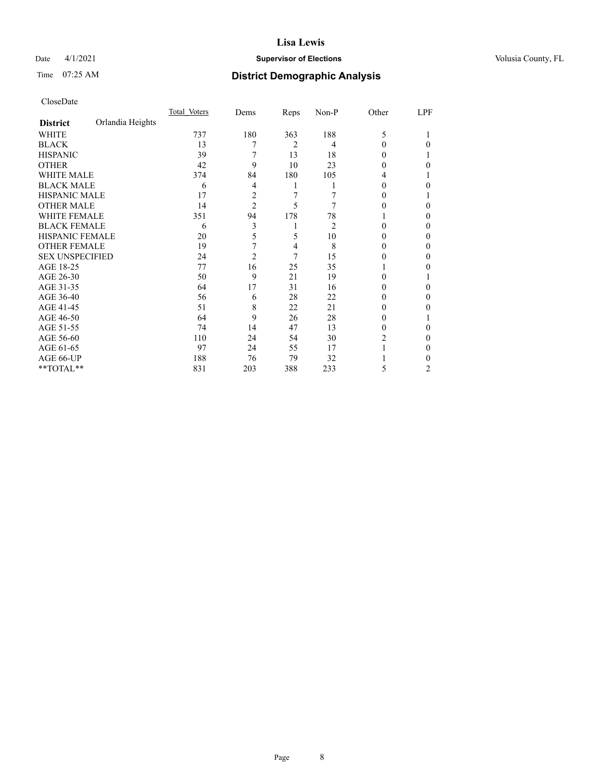## Date 4/1/2021 **Supervisor of Elections Supervisor of Elections** Volusia County, FL

# Time 07:25 AM **District Demographic Analysis**

|                        |                  | Total Voters | Dems           | Reps | Non-P | Other  | LPF |
|------------------------|------------------|--------------|----------------|------|-------|--------|-----|
| <b>District</b>        | Orlandia Heights |              |                |      |       |        |     |
| WHITE                  |                  | 737          | 180            | 363  | 188   | 5      |     |
| <b>BLACK</b>           |                  | 13           | 7              | 2    | 4     | 0      | 0   |
| <b>HISPANIC</b>        |                  | 39           |                | 13   | 18    | 0      |     |
| <b>OTHER</b>           |                  | 42           | 9              | 10   | 23    | 0      | 0   |
| <b>WHITE MALE</b>      |                  | 374          | 84             | 180  | 105   | 4      |     |
| <b>BLACK MALE</b>      |                  | 6            | 4              | 1    |       | 0      | 0   |
| <b>HISPANIC MALE</b>   |                  | 17           | 2              | 7    | 7     | $_{0}$ |     |
| <b>OTHER MALE</b>      |                  | 14           | 2              | 5    | 7     | 0      | 0   |
| <b>WHITE FEMALE</b>    |                  | 351          | 94             | 178  | 78    |        | 0   |
| <b>BLACK FEMALE</b>    |                  | 6            | 3              | 1    | 2     | 0      | 0   |
| HISPANIC FEMALE        |                  | 20           | 5              | 5    | 10    | 0      | 0   |
| <b>OTHER FEMALE</b>    |                  | 19           | 7              | 4    | 8     | $_{0}$ | 0   |
| <b>SEX UNSPECIFIED</b> |                  | 24           | $\overline{2}$ | 7    | 15    | 0      | 0   |
| AGE 18-25              |                  | 77           | 16             | 25   | 35    |        | 0   |
| AGE 26-30              |                  | 50           | 9              | 21   | 19    | 0      |     |
| AGE 31-35              |                  | 64           | 17             | 31   | 16    | 0      | 0   |
| AGE 36-40              |                  | 56           | 6              | 28   | 22    | 0      | 0   |
| AGE 41-45              |                  | 51           | 8              | 22   | 21    | 0      | 0   |
| AGE 46-50              |                  | 64           | 9              | 26   | 28    | $_{0}$ |     |
| AGE 51-55              |                  | 74           | 14             | 47   | 13    | 0      | 0   |
| AGE 56-60              |                  | 110          | 24             | 54   | 30    | 2      | 0   |
| AGE 61-65              |                  | 97           | 24             | 55   | 17    |        | 0   |
| AGE 66-UP              |                  | 188          | 76             | 79   | 32    |        | 0   |
| **TOTAL**              |                  | 831          | 203            | 388  | 233   | 5      | 2   |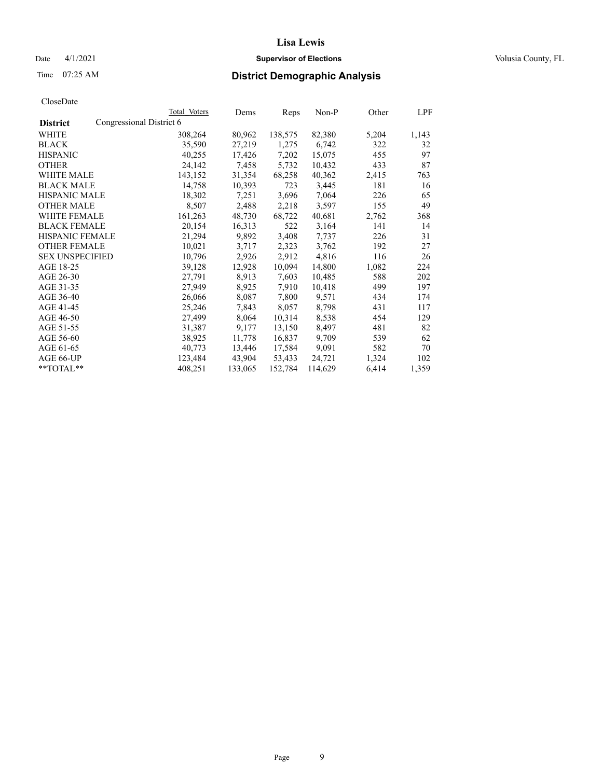## Date 4/1/2021 **Supervisor of Elections Supervisor of Elections** Volusia County, FL

## Time 07:25 AM **District Demographic Analysis**

|                        |                          | Total Voters | Dems    | Reps    | Non-P   | Other | LPF   |
|------------------------|--------------------------|--------------|---------|---------|---------|-------|-------|
| <b>District</b>        | Congressional District 6 |              |         |         |         |       |       |
| WHITE                  |                          | 308,264      | 80,962  | 138,575 | 82,380  | 5,204 | 1,143 |
| <b>BLACK</b>           |                          | 35,590       | 27,219  | 1,275   | 6,742   | 322   | 32    |
| <b>HISPANIC</b>        |                          | 40,255       | 17,426  | 7,202   | 15,075  | 455   | 97    |
| <b>OTHER</b>           |                          | 24,142       | 7,458   | 5,732   | 10,432  | 433   | 87    |
| WHITE MALE             |                          | 143,152      | 31,354  | 68,258  | 40,362  | 2,415 | 763   |
| <b>BLACK MALE</b>      |                          | 14,758       | 10,393  | 723     | 3,445   | 181   | 16    |
| <b>HISPANIC MALE</b>   |                          | 18,302       | 7,251   | 3,696   | 7,064   | 226   | 65    |
| <b>OTHER MALE</b>      |                          | 8,507        | 2,488   | 2,218   | 3,597   | 155   | 49    |
| <b>WHITE FEMALE</b>    |                          | 161,263      | 48,730  | 68,722  | 40,681  | 2,762 | 368   |
| <b>BLACK FEMALE</b>    |                          | 20.154       | 16,313  | 522     | 3,164   | 141   | 14    |
| <b>HISPANIC FEMALE</b> |                          | 21,294       | 9,892   | 3,408   | 7,737   | 226   | 31    |
| <b>OTHER FEMALE</b>    |                          | 10,021       | 3,717   | 2,323   | 3,762   | 192   | 27    |
| <b>SEX UNSPECIFIED</b> |                          | 10,796       | 2,926   | 2,912   | 4,816   | 116   | 26    |
| AGE 18-25              |                          | 39,128       | 12,928  | 10,094  | 14,800  | 1,082 | 224   |
| AGE 26-30              |                          | 27,791       | 8,913   | 7,603   | 10,485  | 588   | 202   |
| AGE 31-35              |                          | 27,949       | 8,925   | 7,910   | 10,418  | 499   | 197   |
| AGE 36-40              |                          | 26,066       | 8,087   | 7,800   | 9,571   | 434   | 174   |
| AGE 41-45              |                          | 25,246       | 7,843   | 8,057   | 8,798   | 431   | 117   |
| AGE 46-50              |                          | 27,499       | 8,064   | 10,314  | 8,538   | 454   | 129   |
| AGE 51-55              |                          | 31,387       | 9,177   | 13,150  | 8,497   | 481   | 82    |
| AGE 56-60              |                          | 38,925       | 11,778  | 16,837  | 9,709   | 539   | 62    |
| AGE 61-65              |                          | 40,773       | 13,446  | 17,584  | 9,091   | 582   | 70    |
| AGE 66-UP              |                          | 123,484      | 43,904  | 53,433  | 24,721  | 1,324 | 102   |
| $*$ $TOTAL**$          |                          | 408,251      | 133,065 | 152,784 | 114,629 | 6,414 | 1,359 |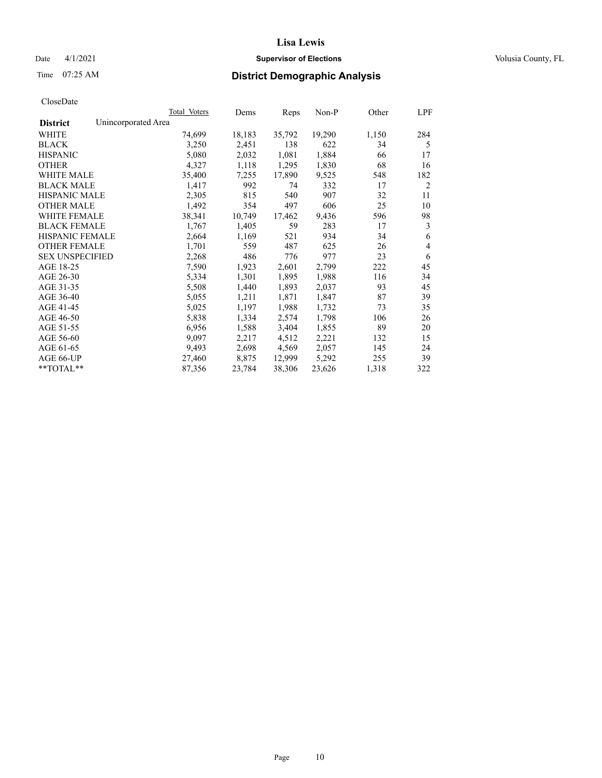## Date 4/1/2021 **Supervisor of Elections Supervisor of Elections** Volusia County, FL

# Time 07:25 AM **District Demographic Analysis**

|                        | Total Voters        | Dems   | Reps   | Non-P  | Other | LPF            |
|------------------------|---------------------|--------|--------|--------|-------|----------------|
| <b>District</b>        | Unincorporated Area |        |        |        |       |                |
| WHITE                  | 74,699              | 18,183 | 35,792 | 19,290 | 1,150 | 284            |
| <b>BLACK</b>           | 3,250               | 2,451  | 138    | 622    | 34    | 5              |
| <b>HISPANIC</b>        | 5,080               | 2,032  | 1,081  | 1,884  | 66    | 17             |
| <b>OTHER</b>           | 4,327               | 1,118  | 1,295  | 1,830  | 68    | 16             |
| <b>WHITE MALE</b>      | 35,400              | 7,255  | 17,890 | 9,525  | 548   | 182            |
| <b>BLACK MALE</b>      | 1,417               | 992    | 74     | 332    | 17    | 2              |
| <b>HISPANIC MALE</b>   | 2,305               | 815    | 540    | 907    | 32    | 11             |
| <b>OTHER MALE</b>      | 1,492               | 354    | 497    | 606    | 25    | 10             |
| <b>WHITE FEMALE</b>    | 38,341              | 10,749 | 17,462 | 9,436  | 596   | 98             |
| <b>BLACK FEMALE</b>    | 1,767               | 1,405  | 59     | 283    | 17    | 3              |
| <b>HISPANIC FEMALE</b> | 2,664               | 1,169  | 521    | 934    | 34    | 6              |
| <b>OTHER FEMALE</b>    | 1,701               | 559    | 487    | 625    | 26    | $\overline{4}$ |
| <b>SEX UNSPECIFIED</b> | 2,268               | 486    | 776    | 977    | 23    | 6              |
| AGE 18-25              | 7,590               | 1,923  | 2,601  | 2,799  | 222   | 45             |
| AGE 26-30              | 5,334               | 1,301  | 1,895  | 1,988  | 116   | 34             |
| AGE 31-35              | 5,508               | 1,440  | 1,893  | 2,037  | 93    | 45             |
| AGE 36-40              | 5,055               | 1,211  | 1,871  | 1,847  | 87    | 39             |
| AGE 41-45              | 5,025               | 1,197  | 1,988  | 1,732  | 73    | 35             |
| AGE 46-50              | 5,838               | 1,334  | 2,574  | 1,798  | 106   | 26             |
| AGE 51-55              | 6,956               | 1,588  | 3,404  | 1,855  | 89    | 20             |
| AGE 56-60              | 9,097               | 2,217  | 4,512  | 2,221  | 132   | 15             |
| AGE 61-65              | 9,493               | 2,698  | 4,569  | 2,057  | 145   | 24             |
| AGE 66-UP              | 27,460              | 8,875  | 12,999 | 5,292  | 255   | 39             |
| $*$ $TOTAL**$          | 87,356              | 23,784 | 38,306 | 23,626 | 1,318 | 322            |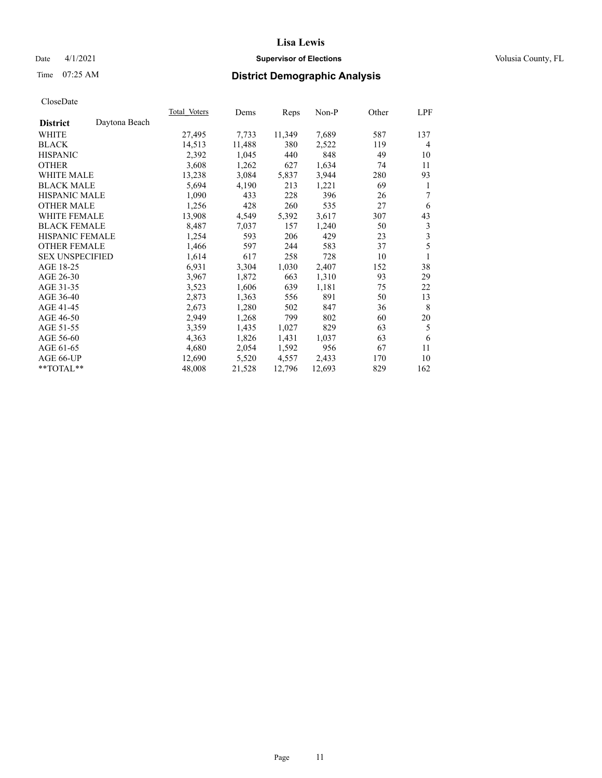## Date 4/1/2021 **Supervisor of Elections Supervisor of Elections** Volusia County, FL

# Time 07:25 AM **District Demographic Analysis**

|                        |               | Total Voters | Dems   | Reps   | Non-P  | Other | LPF |
|------------------------|---------------|--------------|--------|--------|--------|-------|-----|
| <b>District</b>        | Daytona Beach |              |        |        |        |       |     |
| WHITE                  |               | 27,495       | 7,733  | 11,349 | 7,689  | 587   | 137 |
| <b>BLACK</b>           |               | 14,513       | 11,488 | 380    | 2,522  | 119   | 4   |
| <b>HISPANIC</b>        |               | 2,392        | 1,045  | 440    | 848    | 49    | 10  |
| <b>OTHER</b>           |               | 3,608        | 1,262  | 627    | 1,634  | 74    | 11  |
| WHITE MALE             |               | 13,238       | 3,084  | 5,837  | 3,944  | 280   | 93  |
| <b>BLACK MALE</b>      |               | 5,694        | 4,190  | 213    | 1,221  | 69    | 1   |
| <b>HISPANIC MALE</b>   |               | 1,090        | 433    | 228    | 396    | 26    | 7   |
| <b>OTHER MALE</b>      |               | 1,256        | 428    | 260    | 535    | 27    | 6   |
| WHITE FEMALE           |               | 13,908       | 4,549  | 5,392  | 3,617  | 307   | 43  |
| <b>BLACK FEMALE</b>    |               | 8,487        | 7,037  | 157    | 1,240  | 50    | 3   |
| <b>HISPANIC FEMALE</b> |               | 1,254        | 593    | 206    | 429    | 23    | 3   |
| <b>OTHER FEMALE</b>    |               | 1,466        | 597    | 244    | 583    | 37    | 5   |
| <b>SEX UNSPECIFIED</b> |               | 1,614        | 617    | 258    | 728    | 10    | 1   |
| AGE 18-25              |               | 6,931        | 3,304  | 1,030  | 2,407  | 152   | 38  |
| AGE 26-30              |               | 3,967        | 1,872  | 663    | 1,310  | 93    | 29  |
| AGE 31-35              |               | 3,523        | 1,606  | 639    | 1,181  | 75    | 22  |
| AGE 36-40              |               | 2,873        | 1,363  | 556    | 891    | 50    | 13  |
| AGE 41-45              |               | 2,673        | 1,280  | 502    | 847    | 36    | 8   |
| AGE 46-50              |               | 2,949        | 1,268  | 799    | 802    | 60    | 20  |
| AGE 51-55              |               | 3,359        | 1,435  | 1,027  | 829    | 63    | 5   |
| AGE 56-60              |               | 4,363        | 1,826  | 1,431  | 1,037  | 63    | 6   |
| AGE 61-65              |               | 4,680        | 2,054  | 1,592  | 956    | 67    | 11  |
| AGE 66-UP              |               | 12,690       | 5,520  | 4,557  | 2,433  | 170   | 10  |
| $*$ TOTAL $*$          |               | 48,008       | 21,528 | 12,796 | 12,693 | 829   | 162 |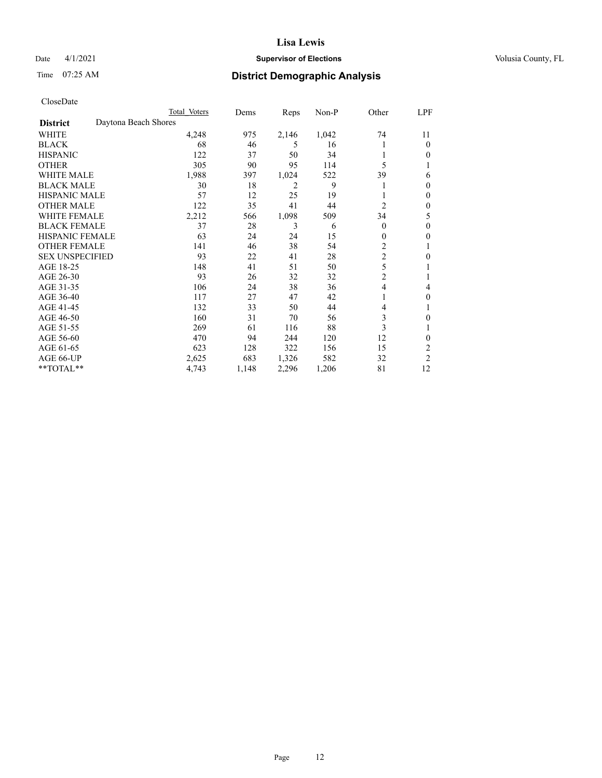## Date 4/1/2021 **Supervisor of Elections Supervisor of Elections** Volusia County, FL

# Time 07:25 AM **District Demographic Analysis**

|                        |                      | Total Voters | Dems  | Reps  | Non-P | Other          | LPF            |
|------------------------|----------------------|--------------|-------|-------|-------|----------------|----------------|
| <b>District</b>        | Daytona Beach Shores |              |       |       |       |                |                |
| WHITE                  |                      | 4,248        | 975   | 2,146 | 1,042 | 74             | 11             |
| <b>BLACK</b>           |                      | 68           | 46    | 5     | 16    |                | $\Omega$       |
| <b>HISPANIC</b>        |                      | 122          | 37    | 50    | 34    |                | $\Omega$       |
| <b>OTHER</b>           |                      | 305          | 90    | 95    | 114   | 5              |                |
| <b>WHITE MALE</b>      |                      | 1,988        | 397   | 1,024 | 522   | 39             | 6              |
| <b>BLACK MALE</b>      |                      | 30           | 18    | 2     | 9     |                | $\Omega$       |
| <b>HISPANIC MALE</b>   |                      | 57           | 12    | 25    | 19    |                | $\theta$       |
| <b>OTHER MALE</b>      |                      | 122          | 35    | 41    | 44    | 2              | $\mathbf{0}$   |
| WHITE FEMALE           |                      | 2,212        | 566   | 1,098 | 509   | 34             | 5              |
| <b>BLACK FEMALE</b>    |                      | 37           | 28    | 3     | 6     | $\theta$       | $\mathbf{0}$   |
| <b>HISPANIC FEMALE</b> |                      | 63           | 24    | 24    | 15    | $\theta$       | 0              |
| <b>OTHER FEMALE</b>    |                      | 141          | 46    | 38    | 54    | $\overline{c}$ |                |
| <b>SEX UNSPECIFIED</b> |                      | 93           | 22    | 41    | 28    | $\overline{c}$ | $\theta$       |
| AGE 18-25              |                      | 148          | 41    | 51    | 50    | 5              |                |
| AGE 26-30              |                      | 93           | 26    | 32    | 32    | $\overline{c}$ | 1              |
| AGE 31-35              |                      | 106          | 24    | 38    | 36    | $\overline{4}$ | 4              |
| AGE 36-40              |                      | 117          | 27    | 47    | 42    | 1              | $\mathbf{0}$   |
| AGE 41-45              |                      | 132          | 33    | 50    | 44    | 4              |                |
| AGE 46-50              |                      | 160          | 31    | 70    | 56    | 3              | 0              |
| AGE 51-55              |                      | 269          | 61    | 116   | 88    | 3              |                |
| AGE 56-60              |                      | 470          | 94    | 244   | 120   | 12             | 0              |
| AGE 61-65              |                      | 623          | 128   | 322   | 156   | 15             | 2              |
| AGE 66-UP              |                      | 2,625        | 683   | 1,326 | 582   | 32             | $\overline{c}$ |
| **TOTAL**              |                      | 4,743        | 1,148 | 2,296 | 1,206 | 81             | 12             |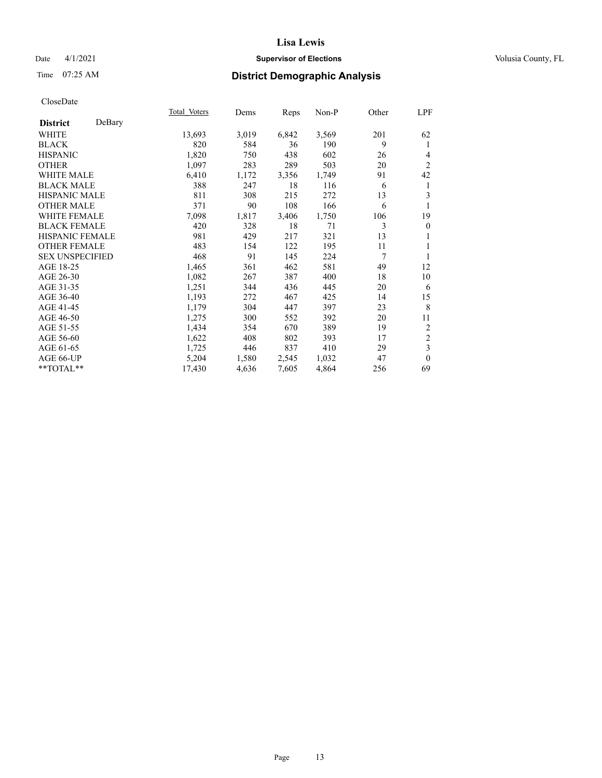## Date 4/1/2021 **Supervisor of Elections Supervisor of Elections** Volusia County, FL

# Time 07:25 AM **District Demographic Analysis**

|                        |        | Total Voters | Dems  | Reps  | Non-P | Other | LPF              |
|------------------------|--------|--------------|-------|-------|-------|-------|------------------|
| <b>District</b>        | DeBary |              |       |       |       |       |                  |
| WHITE                  |        | 13,693       | 3,019 | 6,842 | 3,569 | 201   | 62               |
| <b>BLACK</b>           |        | 820          | 584   | 36    | 190   | 9     | 1                |
| <b>HISPANIC</b>        |        | 1,820        | 750   | 438   | 602   | 26    | 4                |
| <b>OTHER</b>           |        | 1,097        | 283   | 289   | 503   | 20    | $\overline{2}$   |
| WHITE MALE             |        | 6,410        | 1,172 | 3,356 | 1,749 | 91    | 42               |
| <b>BLACK MALE</b>      |        | 388          | 247   | 18    | 116   | 6     | 1                |
| <b>HISPANIC MALE</b>   |        | 811          | 308   | 215   | 272   | 13    | 3                |
| <b>OTHER MALE</b>      |        | 371          | 90    | 108   | 166   | 6     | 1                |
| <b>WHITE FEMALE</b>    |        | 7,098        | 1,817 | 3,406 | 1,750 | 106   | 19               |
| <b>BLACK FEMALE</b>    |        | 420          | 328   | 18    | 71    | 3     | $\boldsymbol{0}$ |
| <b>HISPANIC FEMALE</b> |        | 981          | 429   | 217   | 321   | 13    | 1                |
| <b>OTHER FEMALE</b>    |        | 483          | 154   | 122   | 195   | 11    | 1                |
| <b>SEX UNSPECIFIED</b> |        | 468          | 91    | 145   | 224   | 7     | 1                |
| AGE 18-25              |        | 1,465        | 361   | 462   | 581   | 49    | 12               |
| AGE 26-30              |        | 1,082        | 267   | 387   | 400   | 18    | 10               |
| AGE 31-35              |        | 1,251        | 344   | 436   | 445   | 20    | 6                |
| AGE 36-40              |        | 1,193        | 272   | 467   | 425   | 14    | 15               |
| AGE 41-45              |        | 1,179        | 304   | 447   | 397   | 23    | 8                |
| AGE 46-50              |        | 1,275        | 300   | 552   | 392   | 20    | 11               |
| AGE 51-55              |        | 1,434        | 354   | 670   | 389   | 19    | $\overline{c}$   |
| AGE 56-60              |        | 1,622        | 408   | 802   | 393   | 17    | $\sqrt{2}$       |
| AGE 61-65              |        | 1,725        | 446   | 837   | 410   | 29    | $\mathfrak{Z}$   |
| AGE 66-UP              |        | 5,204        | 1,580 | 2,545 | 1,032 | 47    | $\theta$         |
| **TOTAL**              |        | 17,430       | 4,636 | 7,605 | 4,864 | 256   | 69               |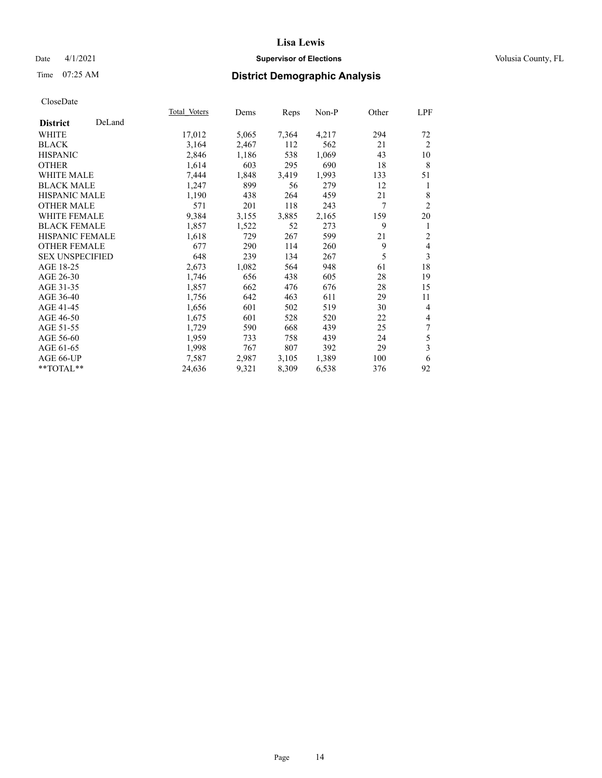## Date 4/1/2021 **Supervisor of Elections Supervisor of Elections** Volusia County, FL

# Time 07:25 AM **District Demographic Analysis**

|                        |        | Total Voters | Dems  | Reps  | Non-P | Other | LPF            |
|------------------------|--------|--------------|-------|-------|-------|-------|----------------|
| <b>District</b>        | DeLand |              |       |       |       |       |                |
| WHITE                  |        | 17,012       | 5,065 | 7,364 | 4,217 | 294   | 72             |
| <b>BLACK</b>           |        | 3,164        | 2,467 | 112   | 562   | 21    | $\overline{2}$ |
| <b>HISPANIC</b>        |        | 2,846        | 1,186 | 538   | 1,069 | 43    | 10             |
| <b>OTHER</b>           |        | 1,614        | 603   | 295   | 690   | 18    | 8              |
| <b>WHITE MALE</b>      |        | 7,444        | 1,848 | 3,419 | 1,993 | 133   | 51             |
| <b>BLACK MALE</b>      |        | 1,247        | 899   | 56    | 279   | 12    | 1              |
| <b>HISPANIC MALE</b>   |        | 1,190        | 438   | 264   | 459   | 21    | 8              |
| <b>OTHER MALE</b>      |        | 571          | 201   | 118   | 243   | 7     | $\overline{2}$ |
| <b>WHITE FEMALE</b>    |        | 9,384        | 3,155 | 3,885 | 2,165 | 159   | 20             |
| <b>BLACK FEMALE</b>    |        | 1,857        | 1,522 | 52    | 273   | 9     | 1              |
| <b>HISPANIC FEMALE</b> |        | 1,618        | 729   | 267   | 599   | 21    | $\overline{2}$ |
| <b>OTHER FEMALE</b>    |        | 677          | 290   | 114   | 260   | 9     | $\overline{4}$ |
| <b>SEX UNSPECIFIED</b> |        | 648          | 239   | 134   | 267   | 5     | 3              |
| AGE 18-25              |        | 2,673        | 1,082 | 564   | 948   | 61    | 18             |
| AGE 26-30              |        | 1,746        | 656   | 438   | 605   | 28    | 19             |
| AGE 31-35              |        | 1,857        | 662   | 476   | 676   | 28    | 15             |
| AGE 36-40              |        | 1,756        | 642   | 463   | 611   | 29    | 11             |
| AGE 41-45              |        | 1,656        | 601   | 502   | 519   | 30    | $\overline{4}$ |
| AGE 46-50              |        | 1,675        | 601   | 528   | 520   | 22    | $\overline{4}$ |
| AGE 51-55              |        | 1,729        | 590   | 668   | 439   | 25    | 7              |
| AGE 56-60              |        | 1,959        | 733   | 758   | 439   | 24    | 5              |
| AGE 61-65              |        | 1,998        | 767   | 807   | 392   | 29    | 3              |
| AGE 66-UP              |        | 7,587        | 2,987 | 3,105 | 1,389 | 100   | 6              |
| $**TOTAL**$            |        | 24,636       | 9,321 | 8,309 | 6,538 | 376   | 92             |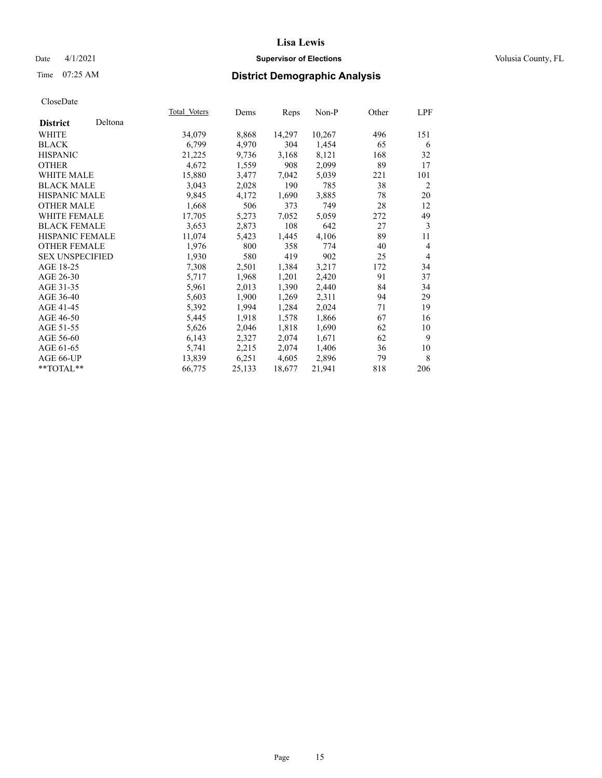## Date 4/1/2021 **Supervisor of Elections Supervisor of Elections** Volusia County, FL

# Time 07:25 AM **District Demographic Analysis**

|                        |         | Total Voters | Dems   | Reps   | Non-P  | Other | LPF            |
|------------------------|---------|--------------|--------|--------|--------|-------|----------------|
| <b>District</b>        | Deltona |              |        |        |        |       |                |
| WHITE                  |         | 34,079       | 8,868  | 14,297 | 10,267 | 496   | 151            |
| <b>BLACK</b>           |         | 6,799        | 4,970  | 304    | 1,454  | 65    | 6              |
| <b>HISPANIC</b>        |         | 21,225       | 9,736  | 3,168  | 8,121  | 168   | 32             |
| <b>OTHER</b>           |         | 4,672        | 1,559  | 908    | 2,099  | 89    | 17             |
| <b>WHITE MALE</b>      |         | 15,880       | 3,477  | 7,042  | 5,039  | 221   | 101            |
| <b>BLACK MALE</b>      |         | 3,043        | 2,028  | 190    | 785    | 38    | $\overline{2}$ |
| <b>HISPANIC MALE</b>   |         | 9,845        | 4,172  | 1,690  | 3,885  | 78    | 20             |
| <b>OTHER MALE</b>      |         | 1,668        | 506    | 373    | 749    | 28    | 12             |
| WHITE FEMALE           |         | 17,705       | 5,273  | 7,052  | 5,059  | 272   | 49             |
| <b>BLACK FEMALE</b>    |         | 3,653        | 2,873  | 108    | 642    | 27    | 3              |
| <b>HISPANIC FEMALE</b> |         | 11,074       | 5,423  | 1,445  | 4,106  | 89    | 11             |
| <b>OTHER FEMALE</b>    |         | 1,976        | 800    | 358    | 774    | 40    | 4              |
| <b>SEX UNSPECIFIED</b> |         | 1,930        | 580    | 419    | 902    | 25    | 4              |
| AGE 18-25              |         | 7,308        | 2,501  | 1,384  | 3,217  | 172   | 34             |
| AGE 26-30              |         | 5,717        | 1,968  | 1,201  | 2,420  | 91    | 37             |
| AGE 31-35              |         | 5,961        | 2,013  | 1,390  | 2,440  | 84    | 34             |
| AGE 36-40              |         | 5,603        | 1,900  | 1,269  | 2,311  | 94    | 29             |
| AGE 41-45              |         | 5,392        | 1,994  | 1,284  | 2,024  | 71    | 19             |
| AGE 46-50              |         | 5,445        | 1,918  | 1,578  | 1,866  | 67    | 16             |
| AGE 51-55              |         | 5,626        | 2,046  | 1,818  | 1,690  | 62    | 10             |
| AGE 56-60              |         | 6,143        | 2,327  | 2,074  | 1,671  | 62    | 9              |
| AGE 61-65              |         | 5,741        | 2,215  | 2,074  | 1,406  | 36    | 10             |
| AGE 66-UP              |         | 13,839       | 6,251  | 4,605  | 2,896  | 79    | 8              |
| **TOTAL**              |         | 66,775       | 25,133 | 18,677 | 21,941 | 818   | 206            |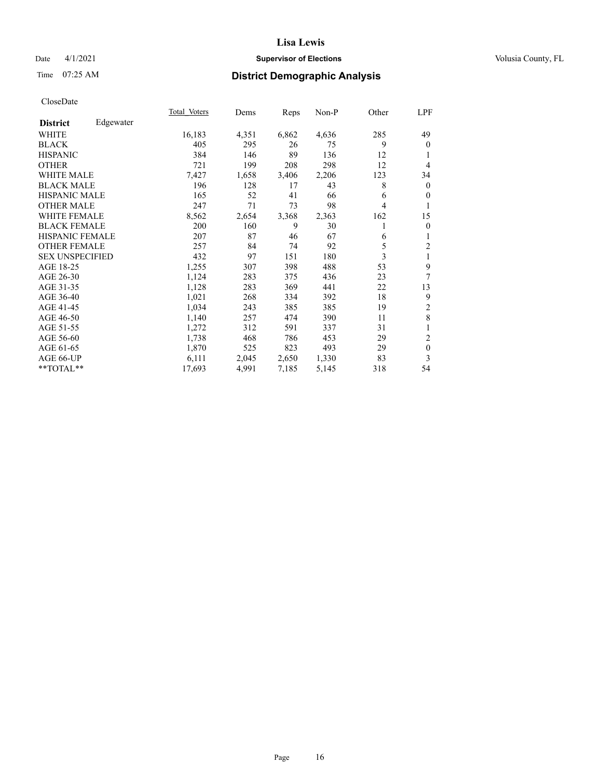## Date 4/1/2021 **Supervisor of Elections Supervisor of Elections** Volusia County, FL

# Time 07:25 AM **District Demographic Analysis**

|                        |           | <b>Total Voters</b> | Dems  | Reps  | $Non-P$ | Other | LPF            |
|------------------------|-----------|---------------------|-------|-------|---------|-------|----------------|
| <b>District</b>        | Edgewater |                     |       |       |         |       |                |
| WHITE                  |           | 16,183              | 4,351 | 6,862 | 4,636   | 285   | 49             |
| <b>BLACK</b>           |           | 405                 | 295   | 26    | 75      | 9     | $\theta$       |
| <b>HISPANIC</b>        |           | 384                 | 146   | 89    | 136     | 12    |                |
| <b>OTHER</b>           |           | 721                 | 199   | 208   | 298     | 12    | 4              |
| <b>WHITE MALE</b>      |           | 7,427               | 1,658 | 3,406 | 2,206   | 123   | 34             |
| <b>BLACK MALE</b>      |           | 196                 | 128   | 17    | 43      | 8     | $\mathbf{0}$   |
| <b>HISPANIC MALE</b>   |           | 165                 | 52    | 41    | 66      | 6     | $\theta$       |
| <b>OTHER MALE</b>      |           | 247                 | 71    | 73    | 98      | 4     | 1              |
| WHITE FEMALE           |           | 8,562               | 2,654 | 3,368 | 2,363   | 162   | 15             |
| <b>BLACK FEMALE</b>    |           | 200                 | 160   | 9     | 30      | 1     | $\overline{0}$ |
| <b>HISPANIC FEMALE</b> |           | 207                 | 87    | 46    | 67      | 6     | 1              |
| <b>OTHER FEMALE</b>    |           | 257                 | 84    | 74    | 92      | 5     | $\overline{2}$ |
| <b>SEX UNSPECIFIED</b> |           | 432                 | 97    | 151   | 180     | 3     | 1              |
| AGE 18-25              |           | 1,255               | 307   | 398   | 488     | 53    | 9              |
| AGE 26-30              |           | 1,124               | 283   | 375   | 436     | 23    | 7              |
| AGE 31-35              |           | 1,128               | 283   | 369   | 441     | 22    | 13             |
| AGE 36-40              |           | 1,021               | 268   | 334   | 392     | 18    | 9              |
| AGE 41-45              |           | 1,034               | 243   | 385   | 385     | 19    | 2              |
| AGE 46-50              |           | 1,140               | 257   | 474   | 390     | 11    | 8              |
| AGE 51-55              |           | 1,272               | 312   | 591   | 337     | 31    | 1              |
| AGE 56-60              |           | 1,738               | 468   | 786   | 453     | 29    | $\overline{c}$ |
| AGE 61-65              |           | 1,870               | 525   | 823   | 493     | 29    | $\mathbf{0}$   |
| AGE 66-UP              |           | 6,111               | 2,045 | 2,650 | 1,330   | 83    | 3              |
| **TOTAL**              |           | 17,693              | 4,991 | 7,185 | 5,145   | 318   | 54             |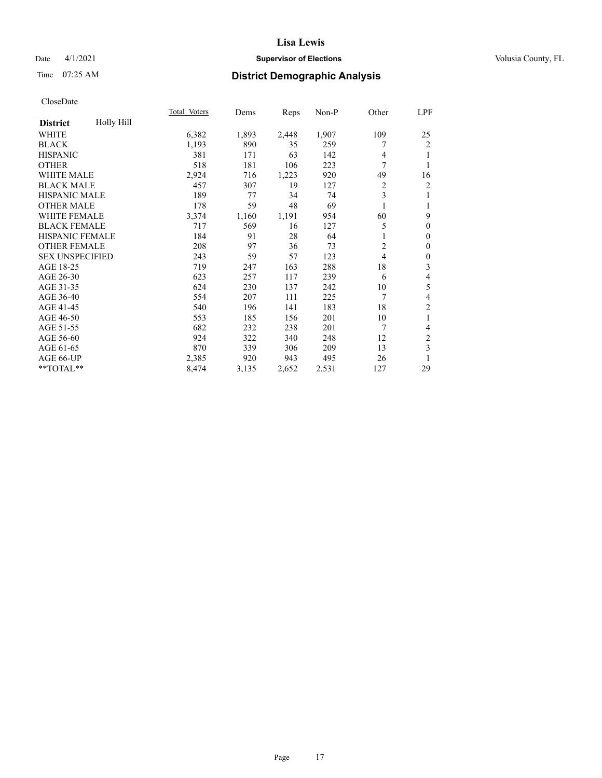## Date 4/1/2021 **Supervisor of Elections Supervisor of Elections** Volusia County, FL

# Time 07:25 AM **District Demographic Analysis**

|                               | Total Voters | Dems  | Reps  | $Non-P$ | Other          | LPF              |
|-------------------------------|--------------|-------|-------|---------|----------------|------------------|
| Holly Hill<br><b>District</b> |              |       |       |         |                |                  |
| WHITE                         | 6,382        | 1,893 | 2,448 | 1,907   | 109            | 25               |
| <b>BLACK</b>                  | 1,193        | 890   | 35    | 259     |                | 2                |
| <b>HISPANIC</b>               | 381          | 171   | 63    | 142     | 4              | 1                |
| <b>OTHER</b>                  | 518          | 181   | 106   | 223     | 7              | 1                |
| WHITE MALE                    | 2,924        | 716   | 1,223 | 920     | 49             | 16               |
| <b>BLACK MALE</b>             | 457          | 307   | 19    | 127     | $\overline{c}$ | 2                |
| HISPANIC MALE                 | 189          | 77    | 34    | 74      | 3              | 1                |
| <b>OTHER MALE</b>             | 178          | 59    | 48    | 69      |                | 1                |
| WHITE FEMALE                  | 3,374        | 1,160 | 1,191 | 954     | 60             | 9                |
| <b>BLACK FEMALE</b>           | 717          | 569   | 16    | 127     | 5              | $\mathbf{0}$     |
| <b>HISPANIC FEMALE</b>        | 184          | 91    | 28    | 64      |                | $\mathbf{0}$     |
| <b>OTHER FEMALE</b>           | 208          | 97    | 36    | 73      | 2              | $\mathbf{0}$     |
| <b>SEX UNSPECIFIED</b>        | 243          | 59    | 57    | 123     | 4              | $\boldsymbol{0}$ |
| AGE 18-25                     | 719          | 247   | 163   | 288     | 18             | 3                |
| AGE 26-30                     | 623          | 257   | 117   | 239     | 6              | 4                |
| AGE 31-35                     | 624          | 230   | 137   | 242     | 10             | 5                |
| AGE 36-40                     | 554          | 207   | 111   | 225     | 7              | 4                |
| AGE 41-45                     | 540          | 196   | 141   | 183     | 18             | $\overline{2}$   |
| AGE 46-50                     | 553          | 185   | 156   | 201     | 10             | 1                |
| AGE 51-55                     | 682          | 232   | 238   | 201     | 7              | 4                |
| AGE 56-60                     | 924          | 322   | 340   | 248     | 12             | 2                |
| AGE 61-65                     | 870          | 339   | 306   | 209     | 13             | 3                |
| AGE 66-UP                     | 2,385        | 920   | 943   | 495     | 26             | 1                |
| **TOTAL**                     | 8,474        | 3,135 | 2,652 | 2,531   | 127            | 29               |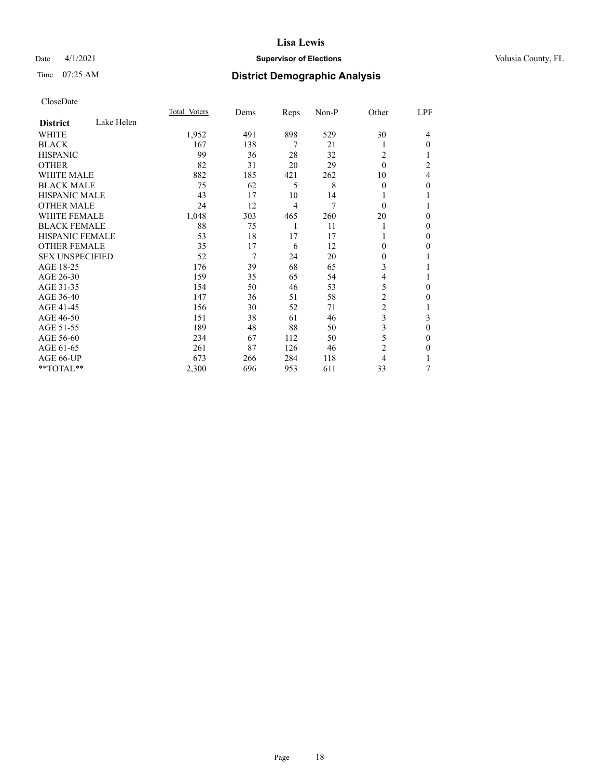## Date 4/1/2021 **Supervisor of Elections Supervisor of Elections** Volusia County, FL

# Time 07:25 AM **District Demographic Analysis**

|                        |            | Total Voters | Dems | Reps | Non-P | Other          | LPF |
|------------------------|------------|--------------|------|------|-------|----------------|-----|
| <b>District</b>        | Lake Helen |              |      |      |       |                |     |
| WHITE                  |            | 1,952        | 491  | 898  | 529   | 30             | 4   |
| <b>BLACK</b>           |            | 167          | 138  | 7    | 21    | 1              | 0   |
| <b>HISPANIC</b>        |            | 99           | 36   | 28   | 32    | 2              |     |
| <b>OTHER</b>           |            | 82           | 31   | 20   | 29    | $\theta$       | 2   |
| WHITE MALE             |            | 882          | 185  | 421  | 262   | 10             | 4   |
| <b>BLACK MALE</b>      |            | 75           | 62   | 5    | 8     | $\Omega$       | 0   |
| <b>HISPANIC MALE</b>   |            | 43           | 17   | 10   | 14    | 1              |     |
| <b>OTHER MALE</b>      |            | 24           | 12   | 4    | 7     | $\theta$       |     |
| <b>WHITE FEMALE</b>    |            | 1,048        | 303  | 465  | 260   | 20             | 0   |
| <b>BLACK FEMALE</b>    |            | 88           | 75   | 1    | 11    | 1              | 0   |
| <b>HISPANIC FEMALE</b> |            | 53           | 18   | 17   | 17    | 1              | 0   |
| <b>OTHER FEMALE</b>    |            | 35           | 17   | 6    | 12    | 0              | 0   |
| <b>SEX UNSPECIFIED</b> |            | 52           | 7    | 24   | 20    | $\Omega$       |     |
| AGE 18-25              |            | 176          | 39   | 68   | 65    | 3              |     |
| AGE 26-30              |            | 159          | 35   | 65   | 54    | 4              | 1   |
| AGE 31-35              |            | 154          | 50   | 46   | 53    | 5              | 0   |
| AGE 36-40              |            | 147          | 36   | 51   | 58    | 2              | 0   |
| AGE 41-45              |            | 156          | 30   | 52   | 71    | $\overline{2}$ |     |
| AGE 46-50              |            | 151          | 38   | 61   | 46    | 3              | 3   |
| AGE 51-55              |            | 189          | 48   | 88   | 50    | 3              | 0   |
| AGE 56-60              |            | 234          | 67   | 112  | 50    | 5              | 0   |
| AGE 61-65              |            | 261          | 87   | 126  | 46    | $\overline{2}$ | 0   |
| AGE 66-UP              |            | 673          | 266  | 284  | 118   | 4              |     |
| **TOTAL**              |            | 2,300        | 696  | 953  | 611   | 33             | 7   |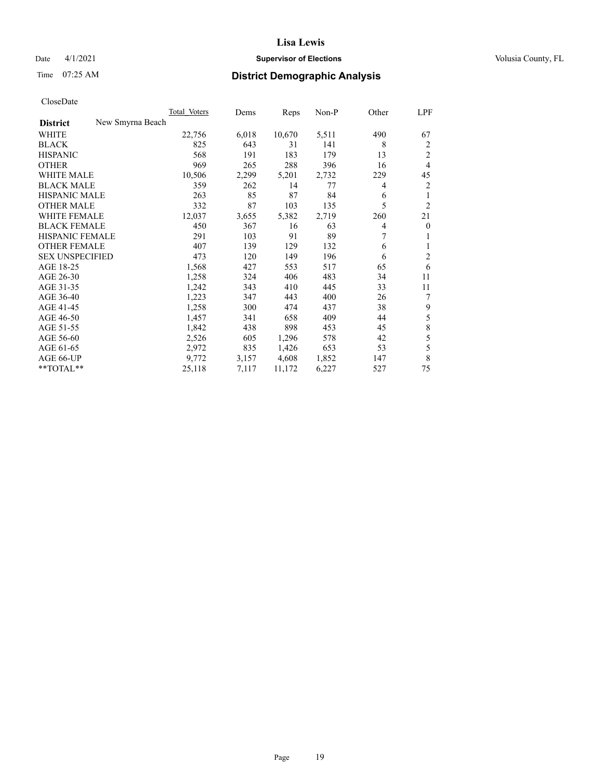## Date 4/1/2021 **Supervisor of Elections Supervisor of Elections** Volusia County, FL

| CloseDate |
|-----------|
|-----------|

|                                     | Total Voters | Dems  | Reps   | $Non-P$ | Other | LPF            |
|-------------------------------------|--------------|-------|--------|---------|-------|----------------|
| New Smyrna Beach<br><b>District</b> |              |       |        |         |       |                |
| WHITE                               | 22,756       | 6,018 | 10,670 | 5,511   | 490   | 67             |
| <b>BLACK</b>                        | 825          | 643   | 31     | 141     | 8     | 2              |
| <b>HISPANIC</b>                     | 568          | 191   | 183    | 179     | 13    | $\overline{c}$ |
| <b>OTHER</b>                        | 969          | 265   | 288    | 396     | 16    | $\overline{4}$ |
| <b>WHITE MALE</b>                   | 10,506       | 2,299 | 5,201  | 2,732   | 229   | 45             |
| <b>BLACK MALE</b>                   | 359          | 262   | 14     | 77      | 4     | $\overline{c}$ |
| <b>HISPANIC MALE</b>                | 263          | 85    | 87     | 84      | 6     | 1              |
| <b>OTHER MALE</b>                   | 332          | 87    | 103    | 135     | 5     | $\overline{2}$ |
| <b>WHITE FEMALE</b>                 | 12,037       | 3,655 | 5,382  | 2,719   | 260   | 21             |
| <b>BLACK FEMALE</b>                 | 450          | 367   | 16     | 63      | 4     | $\mathbf{0}$   |
| HISPANIC FEMALE                     | 291          | 103   | 91     | 89      | 7     | 1              |
| <b>OTHER FEMALE</b>                 | 407          | 139   | 129    | 132     | 6     | 1              |
| <b>SEX UNSPECIFIED</b>              | 473          | 120   | 149    | 196     | 6     | 2              |
| AGE 18-25                           | 1,568        | 427   | 553    | 517     | 65    | 6              |
| AGE 26-30                           | 1,258        | 324   | 406    | 483     | 34    | 11             |
| AGE 31-35                           | 1,242        | 343   | 410    | 445     | 33    | 11             |
| AGE 36-40                           | 1,223        | 347   | 443    | 400     | 26    | 7              |
| AGE 41-45                           | 1,258        | 300   | 474    | 437     | 38    | 9              |
| AGE 46-50                           | 1,457        | 341   | 658    | 409     | 44    | 5              |
| AGE 51-55                           | 1,842        | 438   | 898    | 453     | 45    | $\,$ $\,$      |
| AGE 56-60                           | 2,526        | 605   | 1,296  | 578     | 42    | 5              |
| AGE 61-65                           | 2,972        | 835   | 1,426  | 653     | 53    | 5              |
| AGE 66-UP                           | 9,772        | 3,157 | 4,608  | 1,852   | 147   | 8              |
| **TOTAL**                           | 25,118       | 7,117 | 11,172 | 6,227   | 527   | 75             |
|                                     |              |       |        |         |       |                |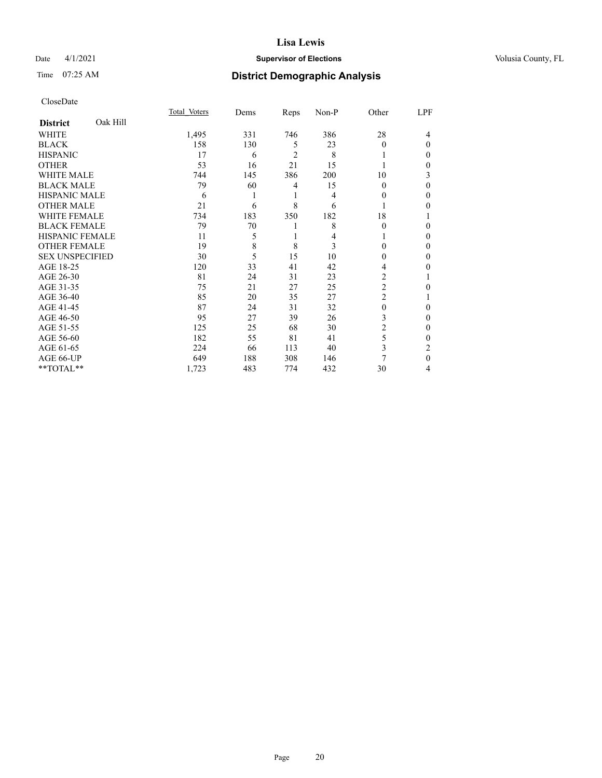## Date 4/1/2021 **Supervisor of Elections Supervisor of Elections** Volusia County, FL

# Time 07:25 AM **District Demographic Analysis**

|                        |          | Total Voters | Dems | Reps           | Non-P | Other          | LPF      |
|------------------------|----------|--------------|------|----------------|-------|----------------|----------|
| <b>District</b>        | Oak Hill |              |      |                |       |                |          |
| WHITE                  |          | 1,495        | 331  | 746            | 386   | 28             | 4        |
| <b>BLACK</b>           |          | 158          | 130  | 5              | 23    | $\Omega$       | $\Omega$ |
| <b>HISPANIC</b>        |          | 17           | 6    | $\overline{c}$ | 8     |                | 0        |
| <b>OTHER</b>           |          | 53           | 16   | 21             | 15    |                | 0        |
| WHITE MALE             |          | 744          | 145  | 386            | 200   | 10             | 3        |
| <b>BLACK MALE</b>      |          | 79           | 60   | 4              | 15    | $\theta$       | 0        |
| <b>HISPANIC MALE</b>   |          | 6            | 1    | 1              | 4     | $\Omega$       | 0        |
| <b>OTHER MALE</b>      |          | 21           | 6    | 8              | 6     |                | 0        |
| <b>WHITE FEMALE</b>    |          | 734          | 183  | 350            | 182   | 18             |          |
| <b>BLACK FEMALE</b>    |          | 79           | 70   | 1              | 8     | $\Omega$       | 0        |
| <b>HISPANIC FEMALE</b> |          | 11           | 5    |                | 4     |                | 0        |
| <b>OTHER FEMALE</b>    |          | 19           | 8    | 8              | 3     | 0              | 0        |
| <b>SEX UNSPECIFIED</b> |          | 30           | 5    | 15             | 10    | 0              | 0        |
| AGE 18-25              |          | 120          | 33   | 41             | 42    | 4              | 0        |
| AGE 26-30              |          | 81           | 24   | 31             | 23    | 2              |          |
| AGE 31-35              |          | 75           | 21   | 27             | 25    | $\overline{2}$ | 0        |
| AGE 36-40              |          | 85           | 20   | 35             | 27    | 2              |          |
| AGE 41-45              |          | 87           | 24   | 31             | 32    | 0              | 0        |
| AGE 46-50              |          | 95           | 27   | 39             | 26    | 3              | 0        |
| AGE 51-55              |          | 125          | 25   | 68             | 30    | 2              | 0        |
| AGE 56-60              |          | 182          | 55   | 81             | 41    | 5              | 0        |
| AGE 61-65              |          | 224          | 66   | 113            | 40    | 3              | 2        |
| AGE 66-UP              |          | 649          | 188  | 308            | 146   | 7              | $\Omega$ |
| **TOTAL**              |          | 1,723        | 483  | 774            | 432   | 30             | 4        |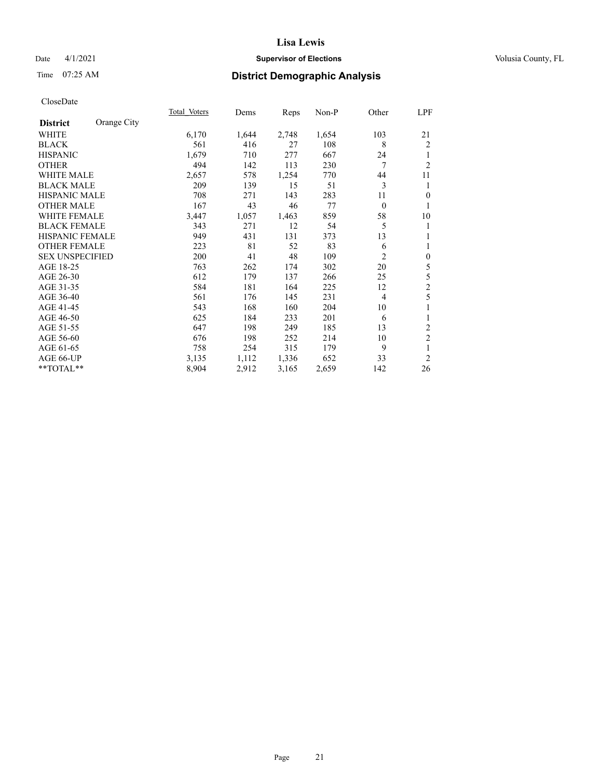## Date 4/1/2021 **Supervisor of Elections Supervisor of Elections** Volusia County, FL

# Time 07:25 AM **District Demographic Analysis**

|                        |             | Total Voters | Dems  | Reps  | Non-P | Other          | LPF              |
|------------------------|-------------|--------------|-------|-------|-------|----------------|------------------|
| <b>District</b>        | Orange City |              |       |       |       |                |                  |
| WHITE                  |             | 6,170        | 1,644 | 2,748 | 1,654 | 103            | 21               |
| <b>BLACK</b>           |             | 561          | 416   | 27    | 108   | 8              | $\overline{2}$   |
| <b>HISPANIC</b>        |             | 1,679        | 710   | 277   | 667   | 24             | 1                |
| <b>OTHER</b>           |             | 494          | 142   | 113   | 230   | 7              | $\overline{2}$   |
| <b>WHITE MALE</b>      |             | 2,657        | 578   | 1,254 | 770   | 44             | 11               |
| <b>BLACK MALE</b>      |             | 209          | 139   | 15    | 51    | 3              | 1                |
| <b>HISPANIC MALE</b>   |             | 708          | 271   | 143   | 283   | 11             | $\overline{0}$   |
| <b>OTHER MALE</b>      |             | 167          | 43    | 46    | 77    | $\mathbf{0}$   | 1                |
| <b>WHITE FEMALE</b>    |             | 3,447        | 1,057 | 1,463 | 859   | 58             | 10               |
| <b>BLACK FEMALE</b>    |             | 343          | 271   | 12    | 54    | 5              | 1                |
| <b>HISPANIC FEMALE</b> |             | 949          | 431   | 131   | 373   | 13             | 1                |
| <b>OTHER FEMALE</b>    |             | 223          | 81    | 52    | 83    | 6              | 1                |
| <b>SEX UNSPECIFIED</b> |             | 200          | 41    | 48    | 109   | $\overline{2}$ | $\boldsymbol{0}$ |
| AGE 18-25              |             | 763          | 262   | 174   | 302   | 20             | 5                |
| AGE 26-30              |             | 612          | 179   | 137   | 266   | 25             | 5                |
| AGE 31-35              |             | 584          | 181   | 164   | 225   | 12             | $\overline{c}$   |
| AGE 36-40              |             | 561          | 176   | 145   | 231   | 4              | 5                |
| AGE 41-45              |             | 543          | 168   | 160   | 204   | 10             | 1                |
| AGE 46-50              |             | 625          | 184   | 233   | 201   | 6              | 1                |
| AGE 51-55              |             | 647          | 198   | 249   | 185   | 13             | $\overline{c}$   |
| AGE 56-60              |             | 676          | 198   | 252   | 214   | 10             | $\boldsymbol{2}$ |
| AGE 61-65              |             | 758          | 254   | 315   | 179   | 9              | 1                |
| AGE 66-UP              |             | 3,135        | 1,112 | 1,336 | 652   | 33             | $\overline{2}$   |
| **TOTAL**              |             | 8,904        | 2,912 | 3,165 | 2,659 | 142            | 26               |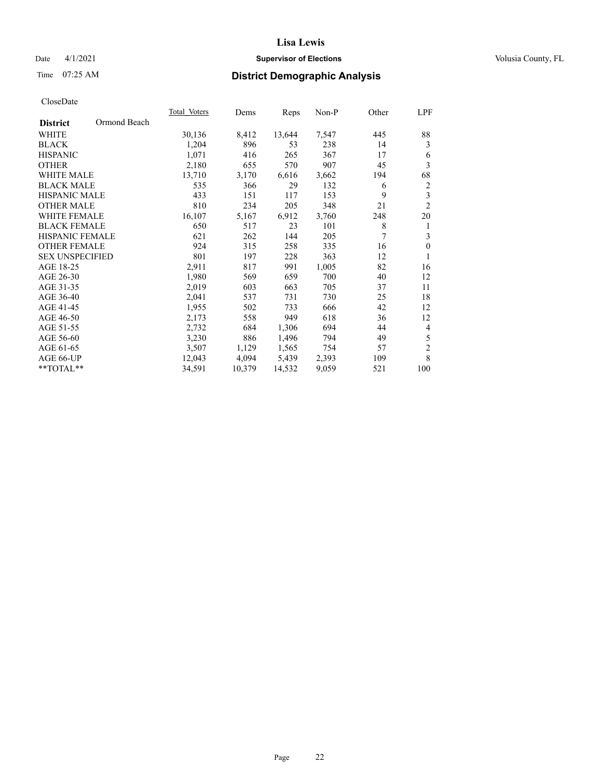## Date 4/1/2021 **Supervisor of Elections Supervisor of Elections** Volusia County, FL

# Time 07:25 AM **District Demographic Analysis**

|                        |              | Total Voters | Dems   | Reps   | Non-P | Other | LPF                     |
|------------------------|--------------|--------------|--------|--------|-------|-------|-------------------------|
| <b>District</b>        | Ormond Beach |              |        |        |       |       |                         |
| WHITE                  |              | 30,136       | 8,412  | 13,644 | 7,547 | 445   | 88                      |
| <b>BLACK</b>           |              | 1,204        | 896    | 53     | 238   | 14    | 3                       |
| <b>HISPANIC</b>        |              | 1,071        | 416    | 265    | 367   | 17    | 6                       |
| <b>OTHER</b>           |              | 2,180        | 655    | 570    | 907   | 45    | 3                       |
| WHITE MALE             |              | 13,710       | 3,170  | 6,616  | 3,662 | 194   | 68                      |
| <b>BLACK MALE</b>      |              | 535          | 366    | 29     | 132   | 6     | $\overline{c}$          |
| <b>HISPANIC MALE</b>   |              | 433          | 151    | 117    | 153   | 9     | $\overline{\mathbf{3}}$ |
| <b>OTHER MALE</b>      |              | 810          | 234    | 205    | 348   | 21    | $\mathfrak{2}$          |
| WHITE FEMALE           |              | 16,107       | 5,167  | 6,912  | 3,760 | 248   | 20                      |
| <b>BLACK FEMALE</b>    |              | 650          | 517    | 23     | 101   | 8     | 1                       |
| <b>HISPANIC FEMALE</b> |              | 621          | 262    | 144    | 205   | 7     | $\mathfrak{Z}$          |
| <b>OTHER FEMALE</b>    |              | 924          | 315    | 258    | 335   | 16    | $\mathbf{0}$            |
| <b>SEX UNSPECIFIED</b> |              | 801          | 197    | 228    | 363   | 12    | 1                       |
| AGE 18-25              |              | 2,911        | 817    | 991    | 1,005 | 82    | 16                      |
| AGE 26-30              |              | 1,980        | 569    | 659    | 700   | 40    | 12                      |
| AGE 31-35              |              | 2,019        | 603    | 663    | 705   | 37    | 11                      |
| AGE 36-40              |              | 2,041        | 537    | 731    | 730   | 25    | 18                      |
| AGE 41-45              |              | 1,955        | 502    | 733    | 666   | 42    | 12                      |
| AGE 46-50              |              | 2,173        | 558    | 949    | 618   | 36    | 12                      |
| AGE 51-55              |              | 2,732        | 684    | 1,306  | 694   | 44    | 4                       |
| AGE 56-60              |              | 3,230        | 886    | 1,496  | 794   | 49    | 5                       |
| AGE 61-65              |              | 3,507        | 1,129  | 1,565  | 754   | 57    | $\mathfrak{2}$          |
| AGE 66-UP              |              | 12,043       | 4,094  | 5,439  | 2,393 | 109   | 8                       |
| **TOTAL**              |              | 34,591       | 10,379 | 14,532 | 9,059 | 521   | 100                     |
|                        |              |              |        |        |       |       |                         |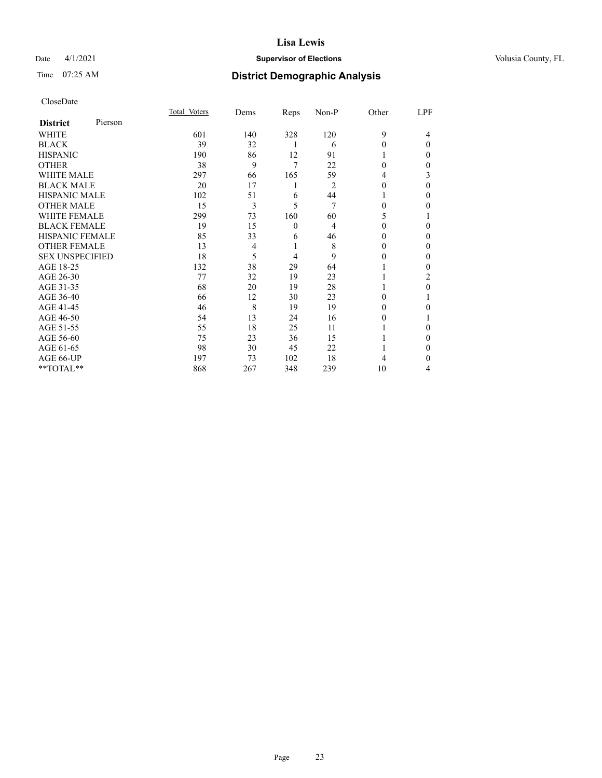## Date 4/1/2021 **Supervisor of Elections Supervisor of Elections** Volusia County, FL

| CloseDate |
|-----------|
|-----------|

| Total Voters | Dems | Reps         | Non-P | Other    | LPF      |
|--------------|------|--------------|-------|----------|----------|
|              |      |              |       |          |          |
| 601          | 140  | 328          | 120   | 9        | 4        |
| 39           | 32   | 1            | 6     | 0        | $\theta$ |
| 190          | 86   | 12           | 91    |          | $_{0}$   |
| 38           | 9    | 7            | 22    | 0        | 0        |
| 297          | 66   | 165          | 59    | 4        | 3        |
| 20           | 17   | 1            | 2     | $_{0}$   | $\theta$ |
| 102          | 51   | 6            | 44    |          | 0        |
| 15           | 3    | 5            | 7     | 0        | 0        |
| 299          | 73   | 160          | 60    | 5        |          |
| 19           | 15   | $\mathbf{0}$ | 4     | $_{0}$   | 0        |
| 85           | 33   | 6            | 46    | 0        | 0        |
| 13           | 4    |              | 8     | $_{0}$   | 0        |
| 18           | 5    | 4            | 9     | $_{0}$   | 0        |
| 132          | 38   | 29           | 64    |          | 0        |
| 77           | 32   | 19           | 23    |          | 2        |
| 68           | 20   | 19           | 28    |          | 0        |
| 66           | 12   | 30           | 23    | $_{0}$   |          |
| 46           | 8    | 19           | 19    | 0        | 0        |
| 54           | 13   | 24           | 16    | $\theta$ |          |
| 55           | 18   | 25           | 11    |          | $_{0}$   |
| 75           | 23   | 36           | 15    |          | 0        |
| 98           | 30   | 45           | 22    |          | 0        |
| 197          | 73   | 102          | 18    | 4        | 0        |
| 868          | 267  | 348          | 239   | 10       | 4        |
|              |      |              |       |          |          |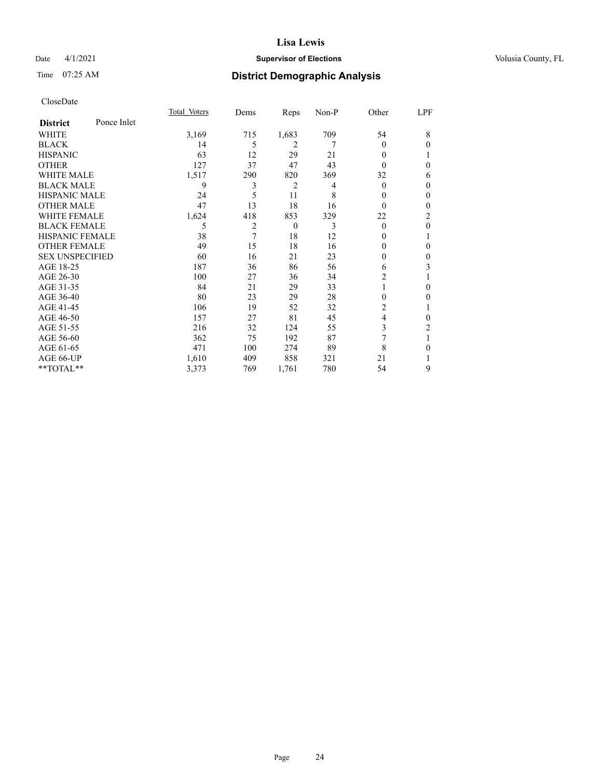## Date 4/1/2021 **Supervisor of Elections Supervisor of Elections** Volusia County, FL

# Time 07:25 AM **District Demographic Analysis**

|                        |             | Total Voters | Dems | Reps           | $Non-P$ | Other          | LPF          |
|------------------------|-------------|--------------|------|----------------|---------|----------------|--------------|
| <b>District</b>        | Ponce Inlet |              |      |                |         |                |              |
| WHITE                  |             | 3,169        | 715  | 1,683          | 709     | 54             | 8            |
| <b>BLACK</b>           |             | 14           | 5    | $\overline{2}$ | 7       | 0              | $\theta$     |
| <b>HISPANIC</b>        |             | 63           | 12   | 29             | 21      | 0              |              |
| <b>OTHER</b>           |             | 127          | 37   | 47             | 43      | $\Omega$       | 0            |
| WHITE MALE             |             | 1,517        | 290  | 820            | 369     | 32             | 6            |
| <b>BLACK MALE</b>      |             | 9            | 3    | 2              | 4       | $\theta$       | $\Omega$     |
| <b>HISPANIC MALE</b>   |             | 24           | 5    | 11             | 8       | 0              | $\mathbf{0}$ |
| <b>OTHER MALE</b>      |             | 47           | 13   | 18             | 16      | $\Omega$       | $\mathbf{0}$ |
| WHITE FEMALE           |             | 1,624        | 418  | 853            | 329     | 22             | 2            |
| <b>BLACK FEMALE</b>    |             | 5            | 2    | $\theta$       | 3       | $\theta$       | $\theta$     |
| <b>HISPANIC FEMALE</b> |             | 38           | 7    | 18             | 12      | $\Omega$       |              |
| <b>OTHER FEMALE</b>    |             | 49           | 15   | 18             | 16      | $\Omega$       | 0            |
| <b>SEX UNSPECIFIED</b> |             | 60           | 16   | 21             | 23      | 0              | $\Omega$     |
| AGE 18-25              |             | 187          | 36   | 86             | 56      | 6              | 3            |
| AGE 26-30              |             | 100          | 27   | 36             | 34      | 2              |              |
| AGE 31-35              |             | 84           | 21   | 29             | 33      |                | 0            |
| AGE 36-40              |             | 80           | 23   | 29             | 28      | 0              | 0            |
| AGE 41-45              |             | 106          | 19   | 52             | 32      | $\overline{c}$ |              |
| AGE 46-50              |             | 157          | 27   | 81             | 45      | 4              | $\Omega$     |
| AGE 51-55              |             | 216          | 32   | 124            | 55      | 3              | 2            |
| AGE 56-60              |             | 362          | 75   | 192            | 87      | 7              |              |
| AGE 61-65              |             | 471          | 100  | 274            | 89      | 8              | 0            |
| AGE 66-UP              |             | 1,610        | 409  | 858            | 321     | 21             |              |
| **TOTAL**              |             | 3,373        | 769  | 1,761          | 780     | 54             | 9            |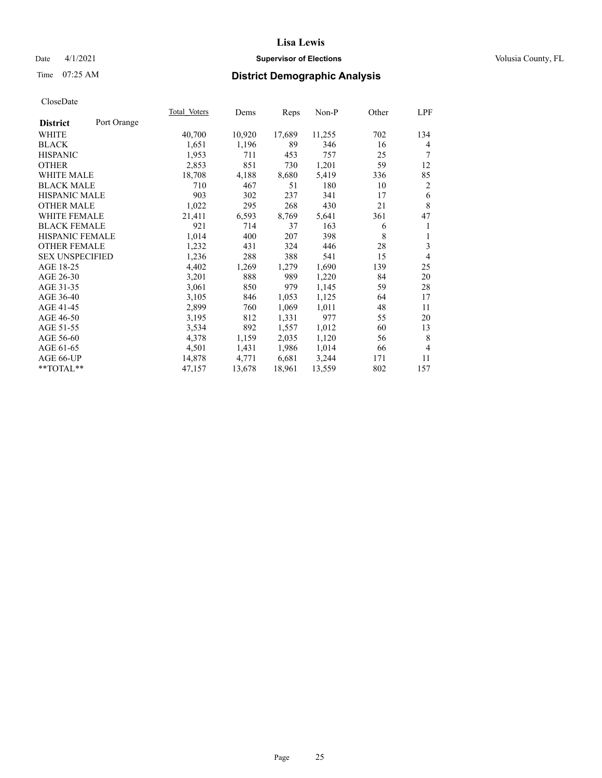## Date 4/1/2021 **Supervisor of Elections Supervisor of Elections** Volusia County, FL

# Time 07:25 AM **District Demographic Analysis**

| Total Voters | Dems   |        | Non-P  | Other | LPF            |
|--------------|--------|--------|--------|-------|----------------|
|              |        |        |        |       |                |
| 40,700       | 10,920 | 17,689 | 11,255 | 702   | 134            |
| 1,651        | 1,196  | 89     | 346    | 16    | 4              |
| 1,953        | 711    | 453    | 757    | 25    | 7              |
| 2,853        | 851    | 730    | 1,201  | 59    | 12             |
| 18,708       | 4,188  | 8,680  | 5,419  | 336   | 85             |
| 710          | 467    | 51     | 180    | 10    | $\overline{2}$ |
| 903          | 302    | 237    | 341    | 17    | 6              |
| 1,022        | 295    | 268    | 430    | 21    | $\,8\,$        |
| 21,411       | 6,593  | 8,769  | 5,641  | 361   | 47             |
| 921          | 714    | 37     | 163    | 6     | 1              |
| 1,014        | 400    | 207    | 398    | 8     | 1              |
| 1,232        | 431    | 324    | 446    | 28    | 3              |
| 1,236        | 288    | 388    | 541    | 15    | 4              |
| 4,402        | 1,269  | 1,279  | 1,690  | 139   | 25             |
| 3,201        | 888    | 989    | 1,220  | 84    | 20             |
| 3,061        | 850    | 979    | 1,145  | 59    | 28             |
| 3,105        | 846    | 1,053  | 1,125  | 64    | 17             |
| 2,899        | 760    | 1,069  | 1,011  | 48    | 11             |
| 3,195        | 812    | 1,331  | 977    | 55    | 20             |
| 3,534        | 892    | 1,557  | 1,012  | 60    | 13             |
| 4,378        | 1,159  | 2,035  | 1,120  | 56    | 8              |
| 4,501        | 1,431  | 1,986  | 1,014  | 66    | $\overline{4}$ |
| 14,878       | 4,771  | 6,681  | 3,244  | 171   | 11             |
| 47,157       | 13,678 | 18,961 | 13,559 | 802   | 157            |
|              |        |        | Reps   |       |                |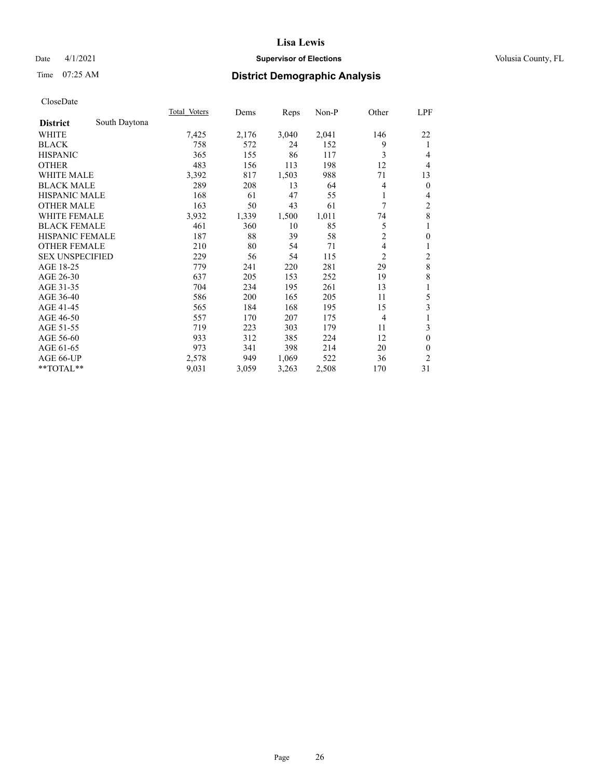## Date 4/1/2021 **Supervisor of Elections Supervisor of Elections** Volusia County, FL

# Time 07:25 AM **District Demographic Analysis**

|                        |               | Total Voters | Dems  | Reps  | $Non-P$ | Other          | <u>LPF</u>              |
|------------------------|---------------|--------------|-------|-------|---------|----------------|-------------------------|
| <b>District</b>        | South Daytona |              |       |       |         |                |                         |
| WHITE                  |               | 7,425        | 2,176 | 3,040 | 2,041   | 146            | 22                      |
| <b>BLACK</b>           |               | 758          | 572   | 24    | 152     | 9              | 1                       |
| <b>HISPANIC</b>        |               | 365          | 155   | 86    | 117     | 3              | 4                       |
| <b>OTHER</b>           |               | 483          | 156   | 113   | 198     | 12             | 4                       |
| <b>WHITE MALE</b>      |               | 3,392        | 817   | 1,503 | 988     | 71             | 13                      |
| <b>BLACK MALE</b>      |               | 289          | 208   | 13    | 64      | 4              | $\mathbf{0}$            |
| <b>HISPANIC MALE</b>   |               | 168          | 61    | 47    | 55      | 1              | 4                       |
| <b>OTHER MALE</b>      |               | 163          | 50    | 43    | 61      | 7              | 2                       |
| WHITE FEMALE           |               | 3,932        | 1,339 | 1,500 | 1,011   | 74             | 8                       |
| <b>BLACK FEMALE</b>    |               | 461          | 360   | 10    | 85      | 5              | 1                       |
| <b>HISPANIC FEMALE</b> |               | 187          | 88    | 39    | 58      | $\overline{2}$ | $\mathbf{0}$            |
| <b>OTHER FEMALE</b>    |               | 210          | 80    | 54    | 71      | 4              | 1                       |
| <b>SEX UNSPECIFIED</b> |               | 229          | 56    | 54    | 115     | 2              | $\overline{\mathbf{c}}$ |
| AGE 18-25              |               | 779          | 241   | 220   | 281     | 29             | 8                       |
| AGE 26-30              |               | 637          | 205   | 153   | 252     | 19             | 8                       |
| AGE 31-35              |               | 704          | 234   | 195   | 261     | 13             | 1                       |
| AGE 36-40              |               | 586          | 200   | 165   | 205     | 11             | 5                       |
| AGE 41-45              |               | 565          | 184   | 168   | 195     | 15             | 3                       |
| AGE 46-50              |               | 557          | 170   | 207   | 175     | $\overline{4}$ | 1                       |
| AGE 51-55              |               | 719          | 223   | 303   | 179     | 11             | 3                       |
| AGE 56-60              |               | 933          | 312   | 385   | 224     | 12             | $\theta$                |
| AGE 61-65              |               | 973          | 341   | 398   | 214     | 20             | $\theta$                |
| AGE 66-UP              |               | 2,578        | 949   | 1,069 | 522     | 36             | 2                       |
| $*$ TOTAL $*$          |               | 9,031        | 3,059 | 3,263 | 2,508   | 170            | 31                      |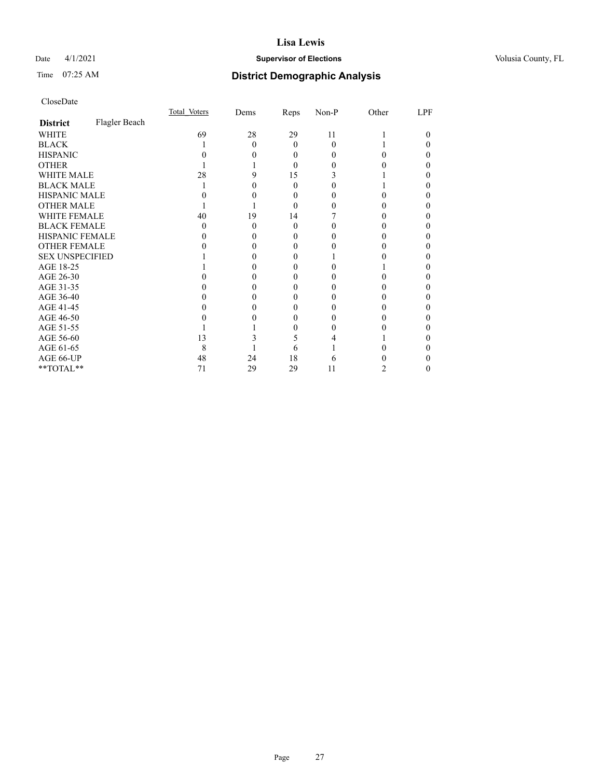## Date 4/1/2021 **Supervisor of Elections Supervisor of Elections** Volusia County, FL

# Time 07:25 AM **District Demographic Analysis**

|                        |               | Total Voters | Dems | Reps     | Non-P    | Other | LPF |
|------------------------|---------------|--------------|------|----------|----------|-------|-----|
| <b>District</b>        | Flagler Beach |              |      |          |          |       |     |
| WHITE                  |               | 69           | 28   | 29       | 11       |       | 0   |
| <b>BLACK</b>           |               |              | 0    | $\Omega$ | $\Omega$ |       |     |
| <b>HISPANIC</b>        |               |              |      | 0        | $_{0}$   |       |     |
| <b>OTHER</b>           |               |              |      | 0        |          |       |     |
| WHITE MALE             |               | 28           |      | 15       |          |       |     |
| <b>BLACK MALE</b>      |               |              |      | 0        |          |       |     |
| <b>HISPANIC MALE</b>   |               |              |      | 0        |          |       |     |
| <b>OTHER MALE</b>      |               |              |      | 0        |          |       | 0   |
| <b>WHITE FEMALE</b>    |               | 40           | 19   | 14       |          |       |     |
| <b>BLACK FEMALE</b>    |               | $\mathbf{0}$ | 0    | $\Omega$ |          |       |     |
| HISPANIC FEMALE        |               |              |      |          |          |       |     |
| <b>OTHER FEMALE</b>    |               |              |      | 0        |          |       |     |
| <b>SEX UNSPECIFIED</b> |               |              |      |          |          |       |     |
| AGE 18-25              |               |              |      |          |          |       |     |
| AGE 26-30              |               |              |      |          |          |       |     |
| AGE 31-35              |               |              |      |          |          |       |     |
| AGE 36-40              |               |              |      | 0        |          |       |     |
| AGE 41-45              |               |              |      |          |          |       |     |
| AGE 46-50              |               |              |      | $\theta$ | $\theta$ |       |     |
| AGE 51-55              |               |              |      |          |          |       |     |
| AGE 56-60              |               | 13           |      | ć        |          |       |     |
| AGE 61-65              |               | 8            |      | 6        |          |       |     |
| AGE 66-UP              |               | 48           | 24   | 18       | 6        |       |     |
| **TOTAL**              |               | 71           | 29   | 29       | 11       | 2     | 0   |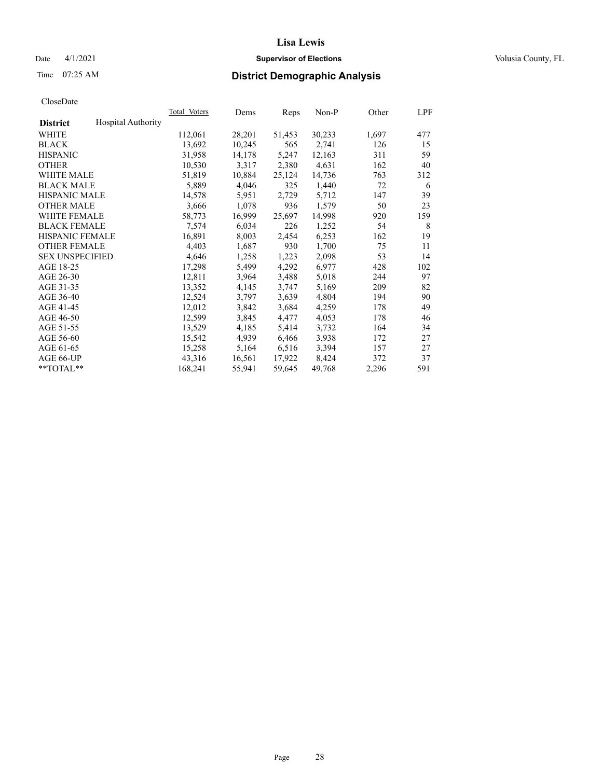## Date 4/1/2021 **Supervisor of Elections Supervisor of Elections** Volusia County, FL

# Time 07:25 AM **District Demographic Analysis**

|                        |                           | Total Voters | Dems   | Reps   | Non-P  | Other | LPF |
|------------------------|---------------------------|--------------|--------|--------|--------|-------|-----|
| <b>District</b>        | <b>Hospital Authority</b> |              |        |        |        |       |     |
| WHITE                  |                           | 112,061      | 28,201 | 51,453 | 30,233 | 1,697 | 477 |
| <b>BLACK</b>           |                           | 13,692       | 10,245 | 565    | 2,741  | 126   | 15  |
| <b>HISPANIC</b>        |                           | 31,958       | 14,178 | 5,247  | 12,163 | 311   | 59  |
| <b>OTHER</b>           |                           | 10,530       | 3,317  | 2,380  | 4,631  | 162   | 40  |
| WHITE MALE             |                           | 51,819       | 10,884 | 25,124 | 14,736 | 763   | 312 |
| <b>BLACK MALE</b>      |                           | 5,889        | 4,046  | 325    | 1,440  | 72    | 6   |
| <b>HISPANIC MALE</b>   |                           | 14,578       | 5,951  | 2,729  | 5,712  | 147   | 39  |
| <b>OTHER MALE</b>      |                           | 3,666        | 1,078  | 936    | 1,579  | 50    | 23  |
| <b>WHITE FEMALE</b>    |                           | 58,773       | 16,999 | 25,697 | 14,998 | 920   | 159 |
| <b>BLACK FEMALE</b>    |                           | 7,574        | 6,034  | 226    | 1,252  | 54    | 8   |
| <b>HISPANIC FEMALE</b> |                           | 16,891       | 8,003  | 2,454  | 6,253  | 162   | 19  |
| <b>OTHER FEMALE</b>    |                           | 4,403        | 1,687  | 930    | 1,700  | 75    | 11  |
| <b>SEX UNSPECIFIED</b> |                           | 4,646        | 1,258  | 1,223  | 2,098  | 53    | 14  |
| AGE 18-25              |                           | 17,298       | 5,499  | 4,292  | 6,977  | 428   | 102 |
| AGE 26-30              |                           | 12,811       | 3,964  | 3,488  | 5,018  | 244   | 97  |
| AGE 31-35              |                           | 13,352       | 4,145  | 3,747  | 5,169  | 209   | 82  |
| AGE 36-40              |                           | 12,524       | 3,797  | 3,639  | 4,804  | 194   | 90  |
| AGE 41-45              |                           | 12,012       | 3,842  | 3,684  | 4,259  | 178   | 49  |
| AGE 46-50              |                           | 12,599       | 3,845  | 4,477  | 4,053  | 178   | 46  |
| AGE 51-55              |                           | 13,529       | 4,185  | 5,414  | 3,732  | 164   | 34  |
| AGE 56-60              |                           | 15,542       | 4,939  | 6,466  | 3,938  | 172   | 27  |
| AGE 61-65              |                           | 15,258       | 5,164  | 6,516  | 3,394  | 157   | 27  |
| AGE 66-UP              |                           | 43,316       | 16,561 | 17,922 | 8,424  | 372   | 37  |
| $*$ $TOTAL**$          |                           | 168,241      | 55,941 | 59,645 | 49,768 | 2,296 | 591 |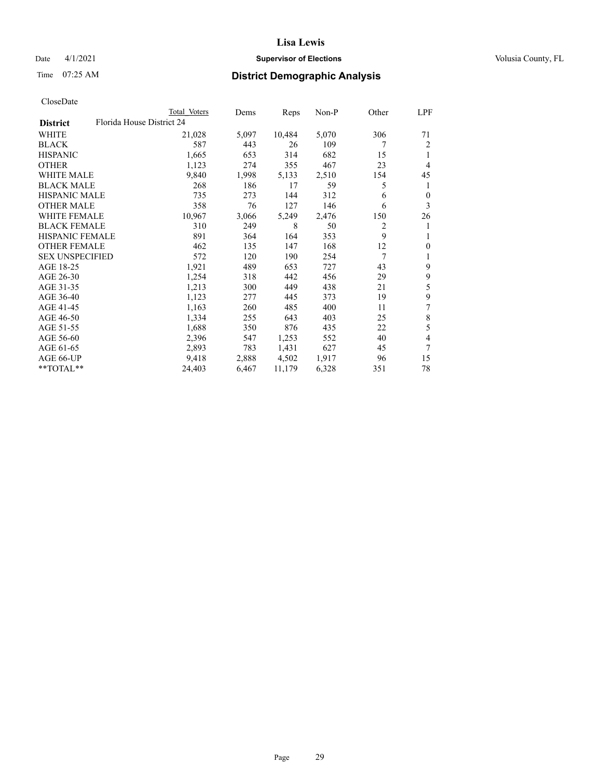## Date 4/1/2021 **Supervisor of Elections Supervisor of Elections** Volusia County, FL

| CloseDate |
|-----------|
|-----------|

| Total Voters | Dems                      |        | Non-P |      | LPF      |
|--------------|---------------------------|--------|-------|------|----------|
|              |                           |        |       |      |          |
| 21,028       | 5,097                     | 10,484 | 5,070 | 306  | 71       |
| 587          | 443                       | 26     | 109   | 7    | 2        |
| 1,665        | 653                       | 314    | 682   | 15   | 1        |
| 1,123        | 274                       | 355    | 467   | 23   | 4        |
| 9,840        | 1,998                     | 5,133  | 2,510 | 154  | 45       |
| 268          | 186                       | 17     | 59    | 5    | 1        |
| 735          | 273                       | 144    | 312   | 6    | $\theta$ |
| 358          | 76                        | 127    | 146   | 6    | 3        |
| 10,967       | 3,066                     | 5,249  | 2,476 | 150  | 26       |
| 310          | 249                       | 8      | 50    | 2    | 1        |
| 891          | 364                       | 164    | 353   | 9    | 1        |
| 462          | 135                       | 147    | 168   | 12   | $\theta$ |
| 572          | 120                       | 190    | 254   | 7    | 1        |
| 1,921        | 489                       | 653    | 727   | 43   | 9        |
| 1,254        | 318                       | 442    | 456   | 29   | 9        |
| 1,213        | 300                       | 449    | 438   | 21   | 5        |
| 1,123        | 277                       | 445    | 373   | 19   | 9        |
| 1,163        | 260                       | 485    | 400   | 11   | 7        |
| 1,334        | 255                       | 643    | 403   | 25   | $\,8\,$  |
| 1,688        | 350                       | 876    | 435   | 22   | 5        |
| 2,396        | 547                       | 1,253  | 552   | 40   | 4        |
| 2,893        | 783                       | 1,431  | 627   | 45   | 7        |
| 9,418        | 2,888                     | 4,502  | 1,917 | 96   | 15       |
| 24,403       | 6,467                     | 11,179 | 6,328 | 351  | 78       |
|              | Florida House District 24 |        |       | Reps | Other    |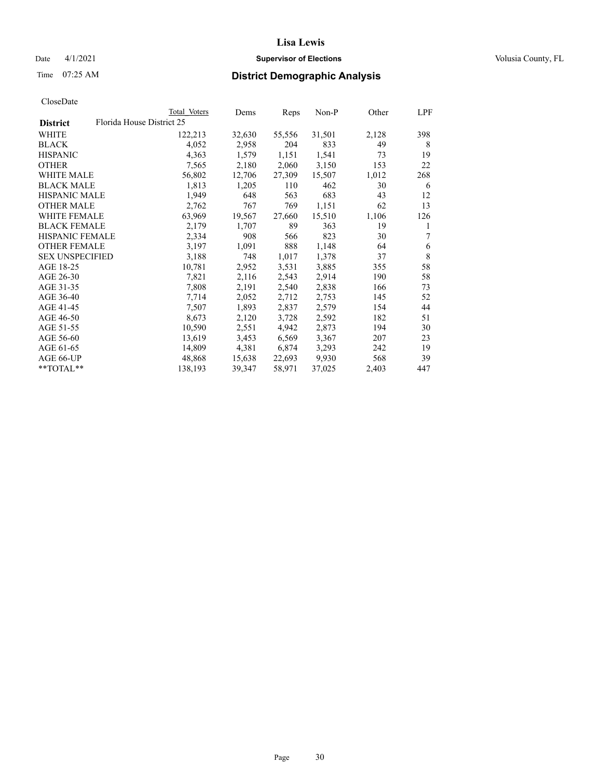## Date 4/1/2021 **Supervisor of Elections Supervisor of Elections** Volusia County, FL

|                        | Total Voters              | Dems   | Reps   | Non-P  | Other | LPF         |
|------------------------|---------------------------|--------|--------|--------|-------|-------------|
| <b>District</b>        | Florida House District 25 |        |        |        |       |             |
| WHITE                  | 122,213                   | 32,630 | 55,556 | 31,501 | 2,128 | 398         |
| <b>BLACK</b>           | 4,052                     | 2,958  | 204    | 833    | 49    | 8           |
| <b>HISPANIC</b>        | 4,363                     | 1,579  | 1,151  | 1,541  | 73    | 19          |
| <b>OTHER</b>           | 7,565                     | 2,180  | 2,060  | 3,150  | 153   | 22          |
| <b>WHITE MALE</b>      | 56,802                    | 12,706 | 27,309 | 15,507 | 1,012 | 268         |
| <b>BLACK MALE</b>      | 1,813                     | 1,205  | 110    | 462    | 30    | 6           |
| <b>HISPANIC MALE</b>   | 1,949                     | 648    | 563    | 683    | 43    | 12          |
| <b>OTHER MALE</b>      | 2,762                     | 767    | 769    | 1,151  | 62    | 13          |
| <b>WHITE FEMALE</b>    | 63,969                    | 19,567 | 27,660 | 15,510 | 1,106 | 126         |
| <b>BLACK FEMALE</b>    | 2,179                     | 1,707  | 89     | 363    | 19    | 1           |
| <b>HISPANIC FEMALE</b> | 2,334                     | 908    | 566    | 823    | 30    | 7           |
| <b>OTHER FEMALE</b>    | 3,197                     | 1,091  | 888    | 1,148  | 64    | 6           |
| <b>SEX UNSPECIFIED</b> | 3,188                     | 748    | 1,017  | 1,378  | 37    | $\,$ 8 $\,$ |
| AGE 18-25              | 10,781                    | 2,952  | 3,531  | 3,885  | 355   | 58          |
| AGE 26-30              | 7,821                     | 2,116  | 2,543  | 2,914  | 190   | 58          |
| AGE 31-35              | 7,808                     | 2,191  | 2,540  | 2,838  | 166   | 73          |
| AGE 36-40              | 7,714                     | 2,052  | 2,712  | 2,753  | 145   | 52          |
| AGE 41-45              | 7,507                     | 1,893  | 2,837  | 2,579  | 154   | 44          |
| AGE 46-50              | 8,673                     | 2,120  | 3,728  | 2,592  | 182   | 51          |
| AGE 51-55              | 10,590                    | 2,551  | 4,942  | 2,873  | 194   | 30          |
| AGE 56-60              | 13,619                    | 3,453  | 6,569  | 3,367  | 207   | 23          |
| AGE 61-65              | 14,809                    | 4,381  | 6,874  | 3,293  | 242   | 19          |
| AGE 66-UP              | 48,868                    | 15,638 | 22,693 | 9,930  | 568   | 39          |
| **TOTAL**              | 138,193                   | 39,347 | 58,971 | 37,025 | 2,403 | 447         |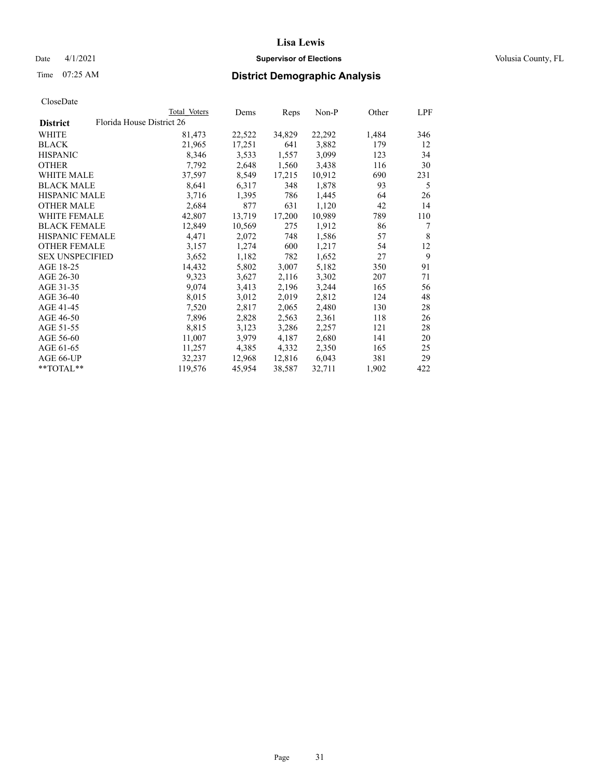## Date 4/1/2021 **Supervisor of Elections Supervisor of Elections** Volusia County, FL

# Time 07:25 AM **District Demographic Analysis**

|                        | Total Voters              | Dems   | Reps   | Non-P  | Other | LPF |
|------------------------|---------------------------|--------|--------|--------|-------|-----|
| <b>District</b>        | Florida House District 26 |        |        |        |       |     |
| WHITE                  | 81,473                    | 22,522 | 34,829 | 22,292 | 1,484 | 346 |
| <b>BLACK</b>           | 21,965                    | 17,251 | 641    | 3,882  | 179   | 12  |
| <b>HISPANIC</b>        | 8,346                     | 3,533  | 1,557  | 3,099  | 123   | 34  |
| <b>OTHER</b>           | 7,792                     | 2,648  | 1,560  | 3,438  | 116   | 30  |
| WHITE MALE             | 37,597                    | 8,549  | 17,215 | 10,912 | 690   | 231 |
| <b>BLACK MALE</b>      | 8,641                     | 6,317  | 348    | 1,878  | 93    | 5   |
| <b>HISPANIC MALE</b>   | 3,716                     | 1,395  | 786    | 1,445  | 64    | 26  |
| <b>OTHER MALE</b>      | 2,684                     | 877    | 631    | 1,120  | 42    | 14  |
| <b>WHITE FEMALE</b>    | 42,807                    | 13,719 | 17,200 | 10,989 | 789   | 110 |
| <b>BLACK FEMALE</b>    | 12,849                    | 10,569 | 275    | 1,912  | 86    | 7   |
| <b>HISPANIC FEMALE</b> | 4,471                     | 2,072  | 748    | 1,586  | 57    | 8   |
| <b>OTHER FEMALE</b>    | 3,157                     | 1,274  | 600    | 1,217  | 54    | 12  |
| <b>SEX UNSPECIFIED</b> | 3,652                     | 1,182  | 782    | 1,652  | 27    | 9   |
| AGE 18-25              | 14,432                    | 5,802  | 3,007  | 5,182  | 350   | 91  |
| AGE 26-30              | 9,323                     | 3,627  | 2,116  | 3,302  | 207   | 71  |
| AGE 31-35              | 9,074                     | 3,413  | 2,196  | 3,244  | 165   | 56  |
| AGE 36-40              | 8,015                     | 3,012  | 2,019  | 2,812  | 124   | 48  |
| AGE 41-45              | 7,520                     | 2,817  | 2,065  | 2,480  | 130   | 28  |
| AGE 46-50              | 7,896                     | 2,828  | 2,563  | 2,361  | 118   | 26  |
| AGE 51-55              | 8,815                     | 3,123  | 3,286  | 2,257  | 121   | 28  |
| AGE 56-60              | 11,007                    | 3,979  | 4,187  | 2,680  | 141   | 20  |
| AGE 61-65              | 11,257                    | 4,385  | 4,332  | 2,350  | 165   | 25  |
| AGE 66-UP              | 32,237                    | 12,968 | 12,816 | 6,043  | 381   | 29  |
| $*$ TOTAL $*$          | 119,576                   | 45,954 | 38,587 | 32,711 | 1,902 | 422 |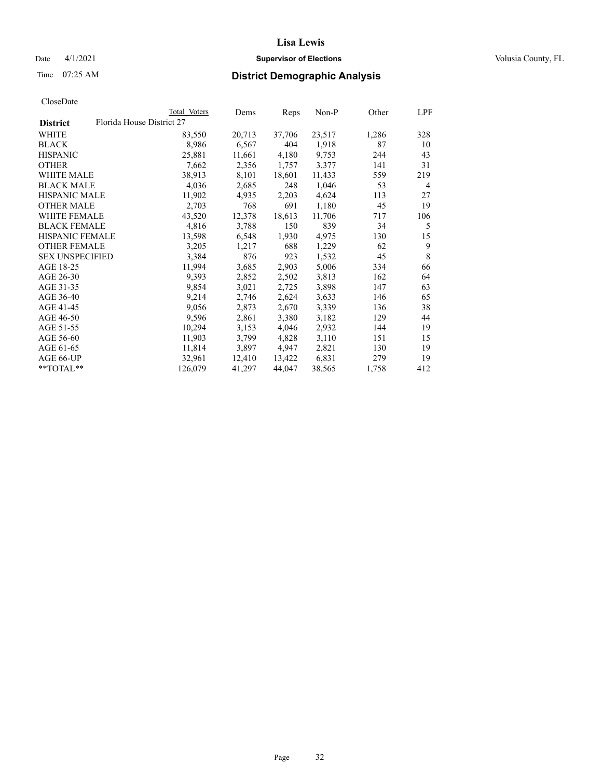## Date 4/1/2021 **Supervisor of Elections Supervisor of Elections** Volusia County, FL

| Total Voters | Dems                      | Reps   | Non-P  | Other | LPF |
|--------------|---------------------------|--------|--------|-------|-----|
|              |                           |        |        |       |     |
| 83,550       | 20,713                    | 37,706 | 23,517 | 1,286 | 328 |
| 8,986        | 6,567                     | 404    | 1,918  | 87    | 10  |
| 25,881       | 11,661                    | 4,180  | 9,753  | 244   | 43  |
| 7,662        | 2,356                     | 1,757  | 3,377  | 141   | 31  |
| 38,913       | 8,101                     | 18,601 | 11,433 | 559   | 219 |
| 4,036        | 2,685                     | 248    | 1,046  | 53    | 4   |
| 11,902       | 4,935                     | 2,203  | 4,624  | 113   | 27  |
| 2,703        | 768                       | 691    | 1,180  | 45    | 19  |
| 43,520       | 12,378                    | 18,613 | 11,706 | 717   | 106 |
| 4,816        | 3,788                     | 150    | 839    | 34    | 5   |
| 13,598       | 6,548                     | 1,930  | 4,975  | 130   | 15  |
| 3,205        | 1,217                     | 688    | 1,229  | 62    | 9   |
| 3,384        | 876                       | 923    | 1,532  | 45    | 8   |
| 11,994       | 3,685                     | 2,903  | 5,006  | 334   | 66  |
| 9,393        | 2,852                     | 2,502  | 3,813  | 162   | 64  |
| 9,854        | 3,021                     | 2,725  | 3,898  | 147   | 63  |
| 9,214        | 2,746                     | 2,624  | 3,633  | 146   | 65  |
| 9,056        | 2,873                     | 2,670  | 3,339  | 136   | 38  |
| 9,596        | 2,861                     | 3,380  | 3,182  | 129   | 44  |
| 10,294       | 3,153                     | 4,046  | 2,932  | 144   | 19  |
| 11,903       | 3,799                     | 4,828  | 3,110  | 151   | 15  |
| 11,814       | 3,897                     | 4,947  | 2,821  | 130   | 19  |
| 32,961       | 12,410                    | 13,422 | 6,831  | 279   | 19  |
| 126,079      | 41,297                    | 44,047 | 38,565 | 1,758 | 412 |
|              | Florida House District 27 |        |        |       |     |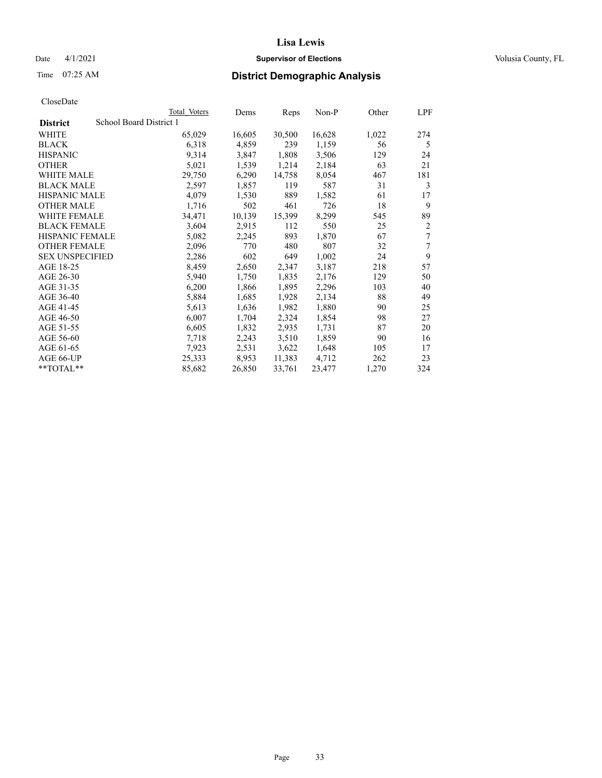## Date 4/1/2021 **Supervisor of Elections Supervisor of Elections** Volusia County, FL

# Time 07:25 AM **District Demographic Analysis**

|                        | Total Voters            | Dems   | Reps   | Non-P  | Other | LPF            |
|------------------------|-------------------------|--------|--------|--------|-------|----------------|
| <b>District</b>        | School Board District 1 |        |        |        |       |                |
| WHITE                  | 65,029                  | 16,605 | 30,500 | 16,628 | 1,022 | 274            |
| <b>BLACK</b>           | 6,318                   | 4,859  | 239    | 1,159  | 56    | 5              |
| <b>HISPANIC</b>        | 9,314                   | 3,847  | 1,808  | 3,506  | 129   | 24             |
| <b>OTHER</b>           | 5,021                   | 1,539  | 1,214  | 2,184  | 63    | 21             |
| WHITE MALE             | 29,750                  | 6,290  | 14,758 | 8,054  | 467   | 181            |
| <b>BLACK MALE</b>      | 2,597                   | 1,857  | 119    | 587    | 31    | 3              |
| <b>HISPANIC MALE</b>   | 4,079                   | 1,530  | 889    | 1,582  | 61    | 17             |
| <b>OTHER MALE</b>      | 1,716                   | 502    | 461    | 726    | 18    | 9              |
| WHITE FEMALE           | 34,471                  | 10,139 | 15,399 | 8,299  | 545   | 89             |
| <b>BLACK FEMALE</b>    | 3,604                   | 2,915  | 112    | 550    | 25    | $\overline{2}$ |
| <b>HISPANIC FEMALE</b> | 5,082                   | 2,245  | 893    | 1,870  | 67    | 7              |
| <b>OTHER FEMALE</b>    | 2,096                   | 770    | 480    | 807    | 32    | 7              |
| <b>SEX UNSPECIFIED</b> | 2,286                   | 602    | 649    | 1,002  | 24    | 9              |
| AGE 18-25              | 8,459                   | 2,650  | 2,347  | 3,187  | 218   | 57             |
| AGE 26-30              | 5,940                   | 1,750  | 1,835  | 2,176  | 129   | 50             |
| AGE 31-35              | 6,200                   | 1,866  | 1,895  | 2,296  | 103   | 40             |
| AGE 36-40              | 5,884                   | 1,685  | 1,928  | 2,134  | 88    | 49             |
| AGE 41-45              | 5,613                   | 1,636  | 1,982  | 1,880  | 90    | 25             |
| AGE 46-50              | 6,007                   | 1,704  | 2,324  | 1,854  | 98    | 27             |
| AGE 51-55              | 6,605                   | 1,832  | 2,935  | 1,731  | 87    | 20             |
| AGE 56-60              | 7,718                   | 2,243  | 3,510  | 1,859  | 90    | 16             |
| AGE 61-65              | 7,923                   | 2,531  | 3,622  | 1,648  | 105   | 17             |
| AGE 66-UP              | 25,333                  | 8,953  | 11,383 | 4,712  | 262   | 23             |
| **TOTAL**              | 85,682                  | 26,850 | 33,761 | 23,477 | 1,270 | 324            |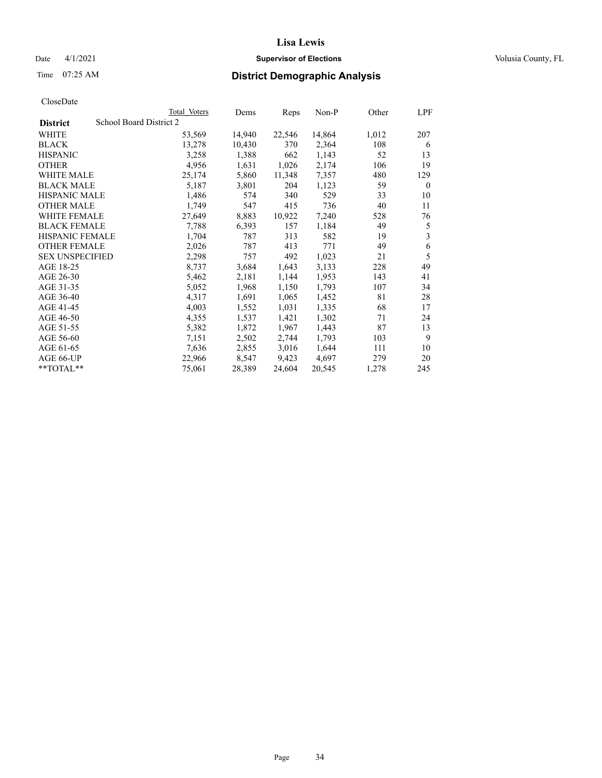## Date 4/1/2021 **Supervisor of Elections Supervisor of Elections** Volusia County, FL

# Time 07:25 AM **District Demographic Analysis**

|                        | Total Voters            | Dems   | Reps   | Non-P  | Other | LPF      |
|------------------------|-------------------------|--------|--------|--------|-------|----------|
| <b>District</b>        | School Board District 2 |        |        |        |       |          |
| WHITE                  | 53,569                  | 14,940 | 22,546 | 14,864 | 1,012 | 207      |
| <b>BLACK</b>           | 13,278                  | 10,430 | 370    | 2,364  | 108   | 6        |
| <b>HISPANIC</b>        | 3,258                   | 1,388  | 662    | 1,143  | 52    | 13       |
| <b>OTHER</b>           | 4,956                   | 1,631  | 1,026  | 2,174  | 106   | 19       |
| WHITE MALE             | 25,174                  | 5,860  | 11,348 | 7,357  | 480   | 129      |
| <b>BLACK MALE</b>      | 5,187                   | 3,801  | 204    | 1,123  | 59    | $\theta$ |
| <b>HISPANIC MALE</b>   | 1,486                   | 574    | 340    | 529    | 33    | 10       |
| <b>OTHER MALE</b>      | 1,749                   | 547    | 415    | 736    | 40    | 11       |
| <b>WHITE FEMALE</b>    | 27,649                  | 8,883  | 10,922 | 7,240  | 528   | 76       |
| <b>BLACK FEMALE</b>    | 7,788                   | 6,393  | 157    | 1,184  | 49    | 5        |
| <b>HISPANIC FEMALE</b> | 1,704                   | 787    | 313    | 582    | 19    | 3        |
| <b>OTHER FEMALE</b>    | 2,026                   | 787    | 413    | 771    | 49    | 6        |
| <b>SEX UNSPECIFIED</b> | 2,298                   | 757    | 492    | 1,023  | 21    | 5        |
| AGE 18-25              | 8,737                   | 3,684  | 1,643  | 3,133  | 228   | 49       |
| AGE 26-30              | 5,462                   | 2,181  | 1,144  | 1,953  | 143   | 41       |
| AGE 31-35              | 5,052                   | 1,968  | 1,150  | 1,793  | 107   | 34       |
| AGE 36-40              | 4,317                   | 1,691  | 1,065  | 1,452  | 81    | 28       |
| AGE 41-45              | 4,003                   | 1,552  | 1,031  | 1,335  | 68    | 17       |
| AGE 46-50              | 4,355                   | 1,537  | 1,421  | 1,302  | 71    | 24       |
| AGE 51-55              | 5,382                   | 1,872  | 1,967  | 1,443  | 87    | 13       |
| AGE 56-60              | 7,151                   | 2,502  | 2,744  | 1,793  | 103   | 9        |
| AGE 61-65              | 7,636                   | 2,855  | 3,016  | 1,644  | 111   | 10       |
| AGE 66-UP              | 22,966                  | 8,547  | 9,423  | 4,697  | 279   | 20       |
| $*$ $TOTAL**$          | 75,061                  | 28,389 | 24,604 | 20,545 | 1,278 | 245      |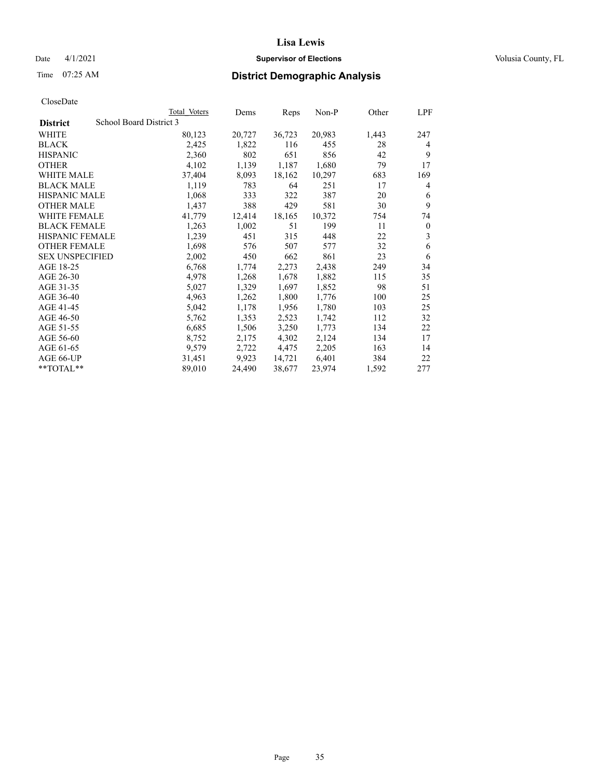## Date 4/1/2021 **Supervisor of Elections Supervisor of Elections** Volusia County, FL

# Time 07:25 AM **District Demographic Analysis**

|                                            | Total Voters | Dems   | Reps   | Non-P  | Other | LPF      |
|--------------------------------------------|--------------|--------|--------|--------|-------|----------|
| School Board District 3<br><b>District</b> |              |        |        |        |       |          |
| WHITE                                      | 80,123       | 20,727 | 36,723 | 20,983 | 1,443 | 247      |
| <b>BLACK</b>                               | 2,425        | 1,822  | 116    | 455    | 28    | 4        |
| <b>HISPANIC</b>                            | 2,360        | 802    | 651    | 856    | 42    | 9        |
| <b>OTHER</b>                               | 4,102        | 1,139  | 1,187  | 1,680  | 79    | 17       |
| WHITE MALE                                 | 37,404       | 8,093  | 18,162 | 10,297 | 683   | 169      |
| <b>BLACK MALE</b>                          | 1,119        | 783    | 64     | 251    | 17    | 4        |
| <b>HISPANIC MALE</b>                       | 1,068        | 333    | 322    | 387    | 20    | 6        |
| <b>OTHER MALE</b>                          | 1,437        | 388    | 429    | 581    | 30    | 9        |
| WHITE FEMALE                               | 41,779       | 12,414 | 18,165 | 10,372 | 754   | 74       |
| <b>BLACK FEMALE</b>                        | 1,263        | 1,002  | 51     | 199    | 11    | $\theta$ |
| <b>HISPANIC FEMALE</b>                     | 1,239        | 451    | 315    | 448    | 22    | 3        |
| <b>OTHER FEMALE</b>                        | 1,698        | 576    | 507    | 577    | 32    | 6        |
| <b>SEX UNSPECIFIED</b>                     | 2,002        | 450    | 662    | 861    | 23    | 6        |
| AGE 18-25                                  | 6,768        | 1,774  | 2,273  | 2,438  | 249   | 34       |
| AGE 26-30                                  | 4,978        | 1,268  | 1,678  | 1,882  | 115   | 35       |
| AGE 31-35                                  | 5,027        | 1,329  | 1,697  | 1,852  | 98    | 51       |
| AGE 36-40                                  | 4,963        | 1,262  | 1,800  | 1,776  | 100   | 25       |
| AGE 41-45                                  | 5,042        | 1,178  | 1,956  | 1,780  | 103   | 25       |
| AGE 46-50                                  | 5,762        | 1,353  | 2,523  | 1,742  | 112   | 32       |
| AGE 51-55                                  | 6,685        | 1,506  | 3,250  | 1,773  | 134   | 22       |
| AGE 56-60                                  | 8,752        | 2,175  | 4,302  | 2,124  | 134   | 17       |
| AGE 61-65                                  | 9,579        | 2,722  | 4,475  | 2,205  | 163   | 14       |
| AGE 66-UP                                  | 31,451       | 9,923  | 14,721 | 6,401  | 384   | 22       |
| **TOTAL**                                  | 89,010       | 24,490 | 38,677 | 23,974 | 1,592 | 277      |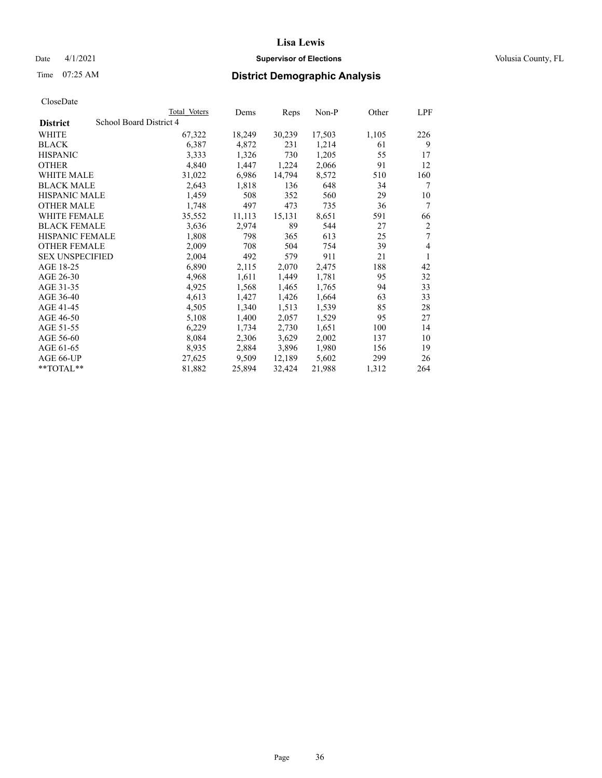## Date 4/1/2021 **Supervisor of Elections Supervisor of Elections** Volusia County, FL

# Time 07:25 AM **District Demographic Analysis**

|                        |                         | Total Voters | Dems   | Reps   | Non-P  | Other | LPF |
|------------------------|-------------------------|--------------|--------|--------|--------|-------|-----|
| <b>District</b>        | School Board District 4 |              |        |        |        |       |     |
| WHITE                  |                         | 67,322       | 18,249 | 30,239 | 17,503 | 1,105 | 226 |
| <b>BLACK</b>           |                         | 6,387        | 4,872  | 231    | 1,214  | 61    | 9   |
| <b>HISPANIC</b>        |                         | 3,333        | 1,326  | 730    | 1,205  | 55    | 17  |
| <b>OTHER</b>           |                         | 4,840        | 1,447  | 1,224  | 2,066  | 91    | 12  |
| WHITE MALE             |                         | 31,022       | 6,986  | 14,794 | 8,572  | 510   | 160 |
| <b>BLACK MALE</b>      |                         | 2,643        | 1,818  | 136    | 648    | 34    | 7   |
| <b>HISPANIC MALE</b>   |                         | 1,459        | 508    | 352    | 560    | 29    | 10  |
| <b>OTHER MALE</b>      |                         | 1,748        | 497    | 473    | 735    | 36    | 7   |
| WHITE FEMALE           |                         | 35,552       | 11,113 | 15,131 | 8,651  | 591   | 66  |
| <b>BLACK FEMALE</b>    |                         | 3,636        | 2,974  | 89     | 544    | 27    | 2   |
| <b>HISPANIC FEMALE</b> |                         | 1,808        | 798    | 365    | 613    | 25    | 7   |
| <b>OTHER FEMALE</b>    |                         | 2,009        | 708    | 504    | 754    | 39    | 4   |
| <b>SEX UNSPECIFIED</b> |                         | 2,004        | 492    | 579    | 911    | 21    | 1   |
| AGE 18-25              |                         | 6,890        | 2,115  | 2,070  | 2,475  | 188   | 42  |
| AGE 26-30              |                         | 4,968        | 1,611  | 1,449  | 1,781  | 95    | 32  |
| AGE 31-35              |                         | 4,925        | 1,568  | 1,465  | 1,765  | 94    | 33  |
| AGE 36-40              |                         | 4,613        | 1,427  | 1,426  | 1,664  | 63    | 33  |
| AGE 41-45              |                         | 4,505        | 1,340  | 1,513  | 1,539  | 85    | 28  |
| AGE 46-50              |                         | 5,108        | 1,400  | 2,057  | 1,529  | 95    | 27  |
| AGE 51-55              |                         | 6,229        | 1,734  | 2,730  | 1,651  | 100   | 14  |
| AGE 56-60              |                         | 8,084        | 2,306  | 3,629  | 2,002  | 137   | 10  |
| AGE 61-65              |                         | 8,935        | 2,884  | 3,896  | 1,980  | 156   | 19  |
| AGE 66-UP              |                         | 27,625       | 9,509  | 12,189 | 5,602  | 299   | 26  |
| $*$ $TOTAL**$          |                         | 81,882       | 25,894 | 32,424 | 21,988 | 1,312 | 264 |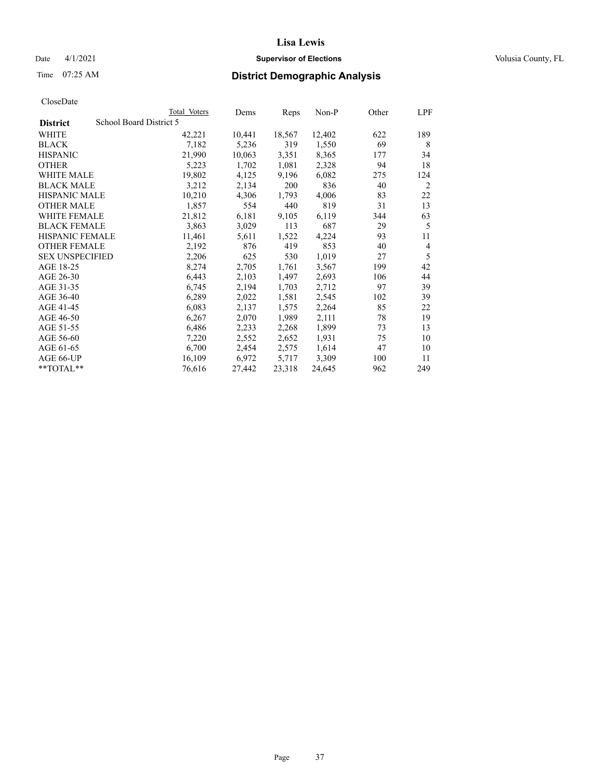## Date 4/1/2021 **Supervisor of Elections Supervisor of Elections** Volusia County, FL

# Time 07:25 AM **District Demographic Analysis**

|                        | Total Voters            | Dems   | Reps   | Non-P  | Other | LPF |
|------------------------|-------------------------|--------|--------|--------|-------|-----|
| <b>District</b>        | School Board District 5 |        |        |        |       |     |
| WHITE                  | 42,221                  | 10,441 | 18,567 | 12,402 | 622   | 189 |
| <b>BLACK</b>           | 7,182                   | 5,236  | 319    | 1,550  | 69    | 8   |
| <b>HISPANIC</b>        | 21,990                  | 10,063 | 3,351  | 8,365  | 177   | 34  |
| <b>OTHER</b>           | 5,223                   | 1,702  | 1,081  | 2,328  | 94    | 18  |
| WHITE MALE             | 19,802                  | 4,125  | 9,196  | 6,082  | 275   | 124 |
| <b>BLACK MALE</b>      | 3,212                   | 2,134  | 200    | 836    | 40    | 2   |
| <b>HISPANIC MALE</b>   | 10,210                  | 4,306  | 1,793  | 4,006  | 83    | 22  |
| <b>OTHER MALE</b>      | 1,857                   | 554    | 440    | 819    | 31    | 13  |
| WHITE FEMALE           | 21,812                  | 6,181  | 9,105  | 6,119  | 344   | 63  |
| <b>BLACK FEMALE</b>    | 3,863                   | 3,029  | 113    | 687    | 29    | 5   |
| <b>HISPANIC FEMALE</b> | 11,461                  | 5,611  | 1,522  | 4,224  | 93    | 11  |
| <b>OTHER FEMALE</b>    | 2,192                   | 876    | 419    | 853    | 40    | 4   |
| <b>SEX UNSPECIFIED</b> | 2,206                   | 625    | 530    | 1,019  | 27    | 5   |
| AGE 18-25              | 8,274                   | 2,705  | 1,761  | 3,567  | 199   | 42  |
| AGE 26-30              | 6,443                   | 2,103  | 1,497  | 2,693  | 106   | 44  |
| AGE 31-35              | 6,745                   | 2,194  | 1,703  | 2,712  | 97    | 39  |
| AGE 36-40              | 6,289                   | 2,022  | 1,581  | 2,545  | 102   | 39  |
| AGE 41-45              | 6,083                   | 2,137  | 1,575  | 2,264  | 85    | 22  |
| AGE 46-50              | 6,267                   | 2,070  | 1,989  | 2,111  | 78    | 19  |
| AGE 51-55              | 6,486                   | 2,233  | 2,268  | 1,899  | 73    | 13  |
| AGE 56-60              | 7,220                   | 2,552  | 2,652  | 1,931  | 75    | 10  |
| AGE 61-65              | 6,700                   | 2,454  | 2,575  | 1,614  | 47    | 10  |
| AGE 66-UP              | 16,109                  | 6,972  | 5,717  | 3,309  | 100   | 11  |
| **TOTAL**              | 76,616                  | 27,442 | 23,318 | 24,645 | 962   | 249 |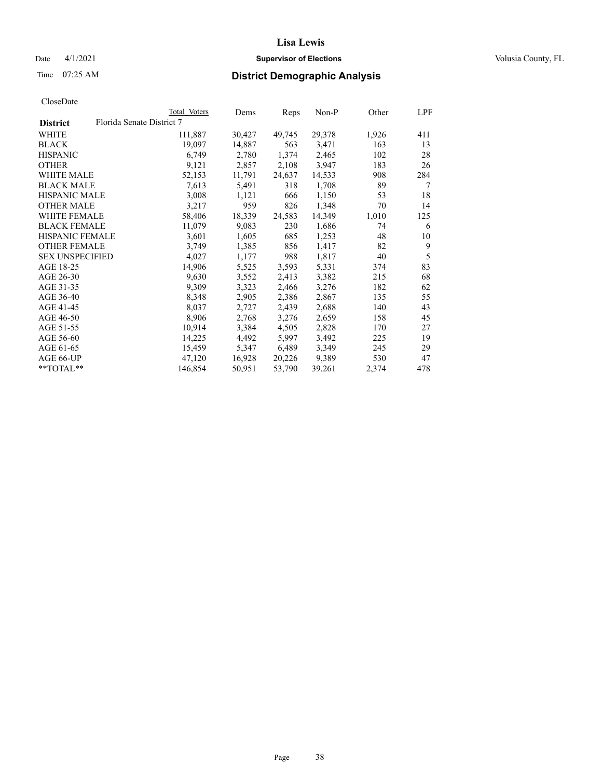## Date 4/1/2021 **Supervisor of Elections Supervisor of Elections** Volusia County, FL

| CloseDate |
|-----------|
|-----------|

|                        |                           | Total Voters | Dems   | Reps   | $Non-P$ | Other | <u>LPF</u> |
|------------------------|---------------------------|--------------|--------|--------|---------|-------|------------|
| <b>District</b>        | Florida Senate District 7 |              |        |        |         |       |            |
| WHITE                  |                           | 111,887      | 30,427 | 49,745 | 29,378  | 1,926 | 411        |
| <b>BLACK</b>           |                           | 19,097       | 14,887 | 563    | 3,471   | 163   | 13         |
| <b>HISPANIC</b>        |                           | 6,749        | 2,780  | 1,374  | 2,465   | 102   | 28         |
| <b>OTHER</b>           |                           | 9,121        | 2,857  | 2,108  | 3,947   | 183   | 26         |
| <b>WHITE MALE</b>      |                           | 52,153       | 11,791 | 24,637 | 14,533  | 908   | 284        |
| <b>BLACK MALE</b>      |                           | 7,613        | 5,491  | 318    | 1,708   | 89    | 7          |
| <b>HISPANIC MALE</b>   |                           | 3,008        | 1,121  | 666    | 1,150   | 53    | 18         |
| <b>OTHER MALE</b>      |                           | 3,217        | 959    | 826    | 1,348   | 70    | 14         |
| <b>WHITE FEMALE</b>    |                           | 58,406       | 18,339 | 24,583 | 14,349  | 1,010 | 125        |
| <b>BLACK FEMALE</b>    |                           | 11,079       | 9,083  | 230    | 1,686   | 74    | 6          |
| HISPANIC FEMALE        |                           | 3,601        | 1,605  | 685    | 1,253   | 48    | 10         |
| <b>OTHER FEMALE</b>    |                           | 3,749        | 1,385  | 856    | 1,417   | 82    | 9          |
| <b>SEX UNSPECIFIED</b> |                           | 4,027        | 1,177  | 988    | 1,817   | 40    | 5          |
| AGE 18-25              |                           | 14,906       | 5,525  | 3,593  | 5,331   | 374   | 83         |
| AGE 26-30              |                           | 9,630        | 3,552  | 2,413  | 3,382   | 215   | 68         |
| AGE 31-35              |                           | 9,309        | 3,323  | 2,466  | 3,276   | 182   | 62         |
| AGE 36-40              |                           | 8,348        | 2,905  | 2,386  | 2,867   | 135   | 55         |
| AGE 41-45              |                           | 8,037        | 2,727  | 2,439  | 2,688   | 140   | 43         |
| AGE 46-50              |                           | 8,906        | 2,768  | 3,276  | 2,659   | 158   | 45         |
| AGE 51-55              |                           | 10,914       | 3,384  | 4,505  | 2,828   | 170   | 27         |
| AGE 56-60              |                           | 14,225       | 4,492  | 5,997  | 3,492   | 225   | 19         |
| AGE 61-65              |                           | 15,459       | 5,347  | 6,489  | 3,349   | 245   | 29         |
| AGE 66-UP              |                           | 47,120       | 16,928 | 20,226 | 9,389   | 530   | 47         |
| $*$ TOTAL $*$          |                           | 146,854      | 50,951 | 53,790 | 39,261  | 2,374 | 478        |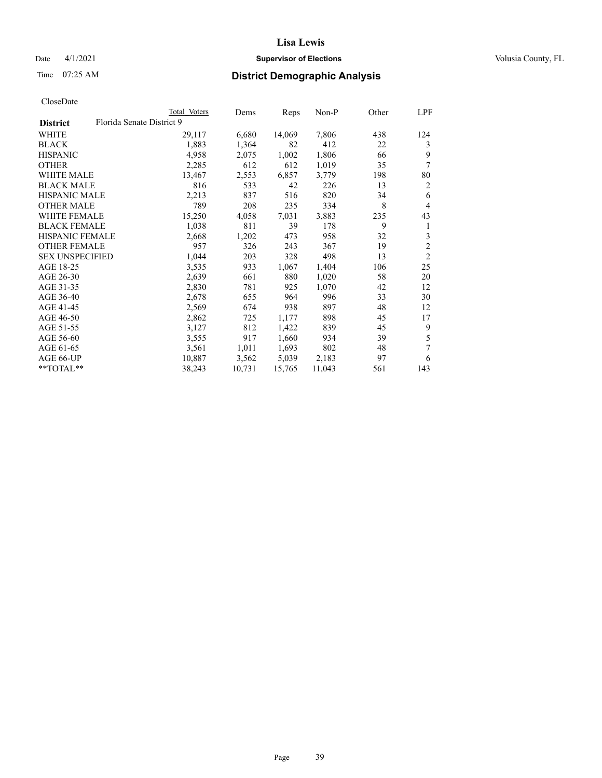## Date 4/1/2021 **Supervisor of Elections Supervisor of Elections** Volusia County, FL

# Time 07:25 AM **District Demographic Analysis**

|                        |                           | Total Voters | Dems   | Reps   | $Non-P$ | Other | LPF            |
|------------------------|---------------------------|--------------|--------|--------|---------|-------|----------------|
| <b>District</b>        | Florida Senate District 9 |              |        |        |         |       |                |
| WHITE                  |                           | 29,117       | 6,680  | 14,069 | 7,806   | 438   | 124            |
| <b>BLACK</b>           |                           | 1,883        | 1,364  | 82     | 412     | 22    | 3              |
| <b>HISPANIC</b>        |                           | 4,958        | 2,075  | 1,002  | 1,806   | 66    | 9              |
| <b>OTHER</b>           |                           | 2,285        | 612    | 612    | 1,019   | 35    | 7              |
| <b>WHITE MALE</b>      |                           | 13,467       | 2,553  | 6,857  | 3,779   | 198   | 80             |
| <b>BLACK MALE</b>      |                           | 816          | 533    | 42     | 226     | 13    | 2              |
| <b>HISPANIC MALE</b>   |                           | 2,213        | 837    | 516    | 820     | 34    | 6              |
| <b>OTHER MALE</b>      |                           | 789          | 208    | 235    | 334     | 8     | $\overline{4}$ |
| WHITE FEMALE           |                           | 15,250       | 4,058  | 7,031  | 3,883   | 235   | 43             |
| <b>BLACK FEMALE</b>    |                           | 1,038        | 811    | 39     | 178     | 9     | 1              |
| <b>HISPANIC FEMALE</b> |                           | 2,668        | 1,202  | 473    | 958     | 32    | 3              |
| <b>OTHER FEMALE</b>    |                           | 957          | 326    | 243    | 367     | 19    | $\overline{c}$ |
| <b>SEX UNSPECIFIED</b> |                           | 1,044        | 203    | 328    | 498     | 13    | $\overline{2}$ |
| AGE 18-25              |                           | 3,535        | 933    | 1,067  | 1,404   | 106   | 25             |
| AGE 26-30              |                           | 2,639        | 661    | 880    | 1,020   | 58    | 20             |
| AGE 31-35              |                           | 2,830        | 781    | 925    | 1,070   | 42    | 12             |
| AGE 36-40              |                           | 2,678        | 655    | 964    | 996     | 33    | 30             |
| AGE 41-45              |                           | 2,569        | 674    | 938    | 897     | 48    | 12             |
| AGE 46-50              |                           | 2,862        | 725    | 1,177  | 898     | 45    | 17             |
| AGE 51-55              |                           | 3,127        | 812    | 1,422  | 839     | 45    | 9              |
| AGE 56-60              |                           | 3,555        | 917    | 1,660  | 934     | 39    | 5              |
| AGE 61-65              |                           | 3,561        | 1,011  | 1,693  | 802     | 48    | 7              |
| AGE 66-UP              |                           | 10,887       | 3,562  | 5,039  | 2,183   | 97    | 6              |
| $*$ $TOTAL**$          |                           | 38,243       | 10,731 | 15,765 | 11,043  | 561   | 143            |
|                        |                           |              |        |        |         |       |                |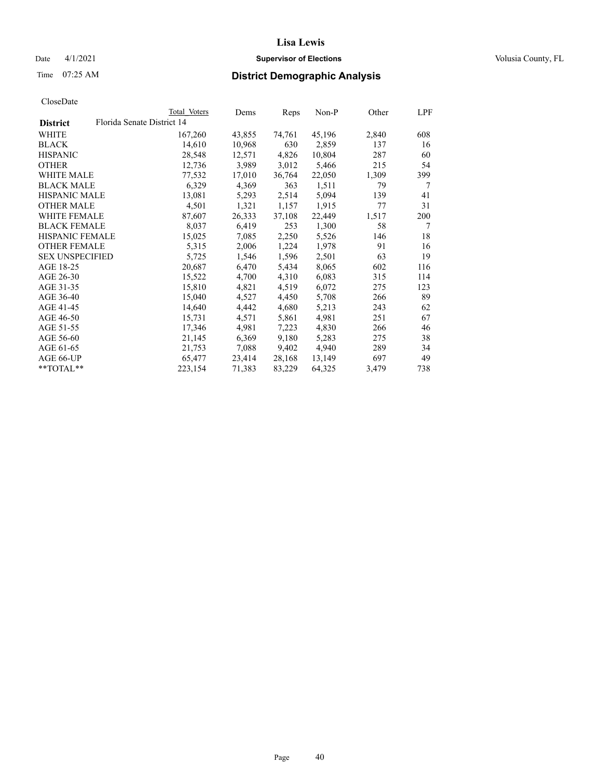## Date 4/1/2021 **Supervisor of Elections Supervisor of Elections** Volusia County, FL

# Time 07:25 AM **District Demographic Analysis**

|                        |                            | Total Voters | Dems   | Reps   | Non-P  | Other | LPF |
|------------------------|----------------------------|--------------|--------|--------|--------|-------|-----|
| <b>District</b>        | Florida Senate District 14 |              |        |        |        |       |     |
| WHITE                  |                            | 167,260      | 43,855 | 74,761 | 45,196 | 2,840 | 608 |
| <b>BLACK</b>           |                            | 14,610       | 10,968 | 630    | 2,859  | 137   | 16  |
| <b>HISPANIC</b>        |                            | 28,548       | 12,571 | 4,826  | 10,804 | 287   | 60  |
| <b>OTHER</b>           |                            | 12,736       | 3,989  | 3,012  | 5,466  | 215   | 54  |
| WHITE MALE             |                            | 77,532       | 17,010 | 36,764 | 22,050 | 1,309 | 399 |
| <b>BLACK MALE</b>      |                            | 6,329        | 4,369  | 363    | 1,511  | 79    | 7   |
| <b>HISPANIC MALE</b>   |                            | 13,081       | 5,293  | 2,514  | 5,094  | 139   | 41  |
| <b>OTHER MALE</b>      |                            | 4,501        | 1,321  | 1,157  | 1,915  | 77    | 31  |
| <b>WHITE FEMALE</b>    |                            | 87,607       | 26,333 | 37,108 | 22,449 | 1,517 | 200 |
| <b>BLACK FEMALE</b>    |                            | 8,037        | 6,419  | 253    | 1,300  | 58    | 7   |
| <b>HISPANIC FEMALE</b> |                            | 15,025       | 7,085  | 2,250  | 5,526  | 146   | 18  |
| <b>OTHER FEMALE</b>    |                            | 5,315        | 2,006  | 1,224  | 1,978  | 91    | 16  |
| <b>SEX UNSPECIFIED</b> |                            | 5,725        | 1,546  | 1,596  | 2,501  | 63    | 19  |
| AGE 18-25              |                            | 20,687       | 6,470  | 5,434  | 8,065  | 602   | 116 |
| AGE 26-30              |                            | 15,522       | 4,700  | 4,310  | 6,083  | 315   | 114 |
| AGE 31-35              |                            | 15,810       | 4,821  | 4,519  | 6,072  | 275   | 123 |
| AGE 36-40              |                            | 15,040       | 4,527  | 4,450  | 5,708  | 266   | 89  |
| AGE 41-45              |                            | 14,640       | 4,442  | 4,680  | 5,213  | 243   | 62  |
| AGE 46-50              |                            | 15,731       | 4,571  | 5,861  | 4,981  | 251   | 67  |
| AGE 51-55              |                            | 17,346       | 4,981  | 7,223  | 4,830  | 266   | 46  |
| AGE 56-60              |                            | 21,145       | 6,369  | 9,180  | 5,283  | 275   | 38  |
| AGE 61-65              |                            | 21,753       | 7,088  | 9,402  | 4,940  | 289   | 34  |
| AGE 66-UP              |                            | 65,477       | 23,414 | 28,168 | 13,149 | 697   | 49  |
| $*$ $TOTAL**$          |                            | 223,154      | 71,383 | 83,229 | 64,325 | 3,479 | 738 |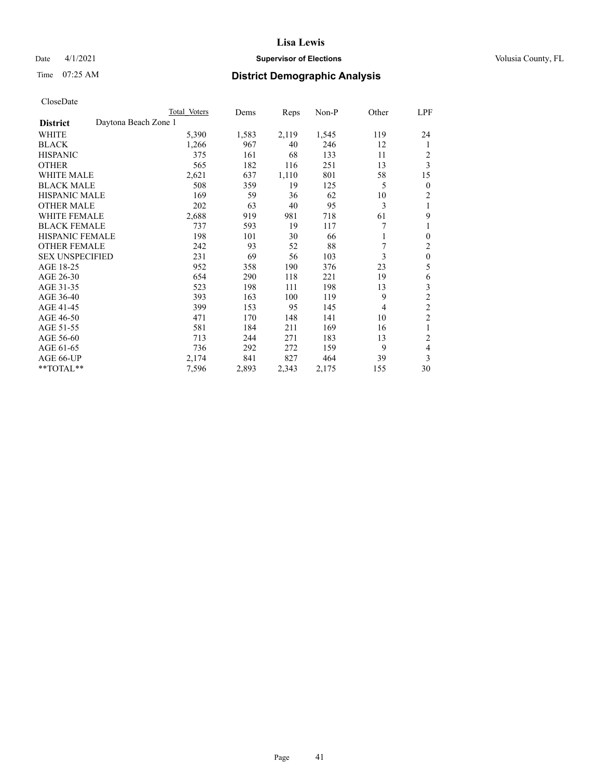## Date 4/1/2021 **Supervisor of Elections Supervisor of Elections** Volusia County, FL

# Time 07:25 AM **District Demographic Analysis**

|                        |                      | Total Voters | Dems  | Reps  | Non-P | Other | LPF              |
|------------------------|----------------------|--------------|-------|-------|-------|-------|------------------|
| <b>District</b>        | Daytona Beach Zone 1 |              |       |       |       |       |                  |
| WHITE                  |                      | 5,390        | 1,583 | 2,119 | 1,545 | 119   | 24               |
| <b>BLACK</b>           |                      | 1,266        | 967   | 40    | 246   | 12    | 1                |
| <b>HISPANIC</b>        |                      | 375          | 161   | 68    | 133   | 11    | 2                |
| <b>OTHER</b>           |                      | 565          | 182   | 116   | 251   | 13    | 3                |
| <b>WHITE MALE</b>      |                      | 2,621        | 637   | 1,110 | 801   | 58    | 15               |
| <b>BLACK MALE</b>      |                      | 508          | 359   | 19    | 125   | 5     | $\boldsymbol{0}$ |
| <b>HISPANIC MALE</b>   |                      | 169          | 59    | 36    | 62    | 10    | 2                |
| <b>OTHER MALE</b>      |                      | 202          | 63    | 40    | 95    | 3     | 1                |
| WHITE FEMALE           |                      | 2,688        | 919   | 981   | 718   | 61    | 9                |
| <b>BLACK FEMALE</b>    |                      | 737          | 593   | 19    | 117   | 7     |                  |
| <b>HISPANIC FEMALE</b> |                      | 198          | 101   | 30    | 66    |       | $\theta$         |
| <b>OTHER FEMALE</b>    |                      | 242          | 93    | 52    | 88    | 7     | $\overline{c}$   |
| <b>SEX UNSPECIFIED</b> |                      | 231          | 69    | 56    | 103   | 3     | $\mathbf{0}$     |
| AGE 18-25              |                      | 952          | 358   | 190   | 376   | 23    | 5                |
| AGE 26-30              |                      | 654          | 290   | 118   | 221   | 19    | 6                |
| AGE 31-35              |                      | 523          | 198   | 111   | 198   | 13    | 3                |
| AGE 36-40              |                      | 393          | 163   | 100   | 119   | 9     | $\overline{c}$   |
| AGE 41-45              |                      | 399          | 153   | 95    | 145   | 4     | $\overline{c}$   |
| AGE 46-50              |                      | 471          | 170   | 148   | 141   | 10    | $\overline{c}$   |
| AGE 51-55              |                      | 581          | 184   | 211   | 169   | 16    | 1                |
| AGE 56-60              |                      | 713          | 244   | 271   | 183   | 13    | $\overline{c}$   |
| AGE 61-65              |                      | 736          | 292   | 272   | 159   | 9     | 4                |
| AGE 66-UP              |                      | 2,174        | 841   | 827   | 464   | 39    | 3                |
| **TOTAL**              |                      | 7,596        | 2,893 | 2,343 | 2,175 | 155   | 30               |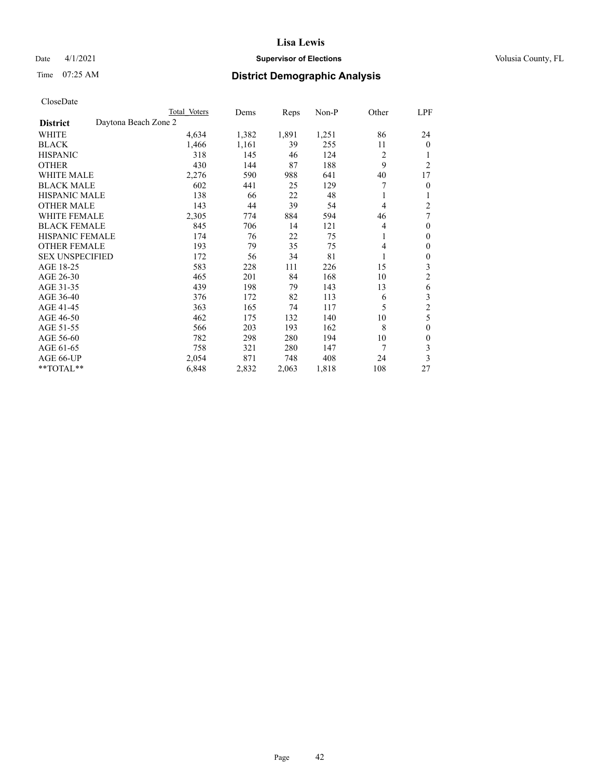## Date 4/1/2021 **Supervisor of Elections Supervisor of Elections** Volusia County, FL

# Time 07:25 AM **District Demographic Analysis**

|                                         | Total Voters | Dems  | Reps  | $Non-P$ | Other          | LPF            |
|-----------------------------------------|--------------|-------|-------|---------|----------------|----------------|
| Daytona Beach Zone 2<br><b>District</b> |              |       |       |         |                |                |
| WHITE                                   | 4,634        | 1,382 | 1,891 | 1,251   | 86             | 24             |
| <b>BLACK</b>                            | 1,466        | 1,161 | 39    | 255     | 11             | $\Omega$       |
| <b>HISPANIC</b>                         | 318          | 145   | 46    | 124     | $\overline{2}$ |                |
| <b>OTHER</b>                            | 430          | 144   | 87    | 188     | 9              | $\overline{c}$ |
| <b>WHITE MALE</b>                       | 2,276        | 590   | 988   | 641     | 40             | 17             |
| <b>BLACK MALE</b>                       | 602          | 441   | 25    | 129     | 7              | 0              |
| <b>HISPANIC MALE</b>                    | 138          | 66    | 22    | 48      | 1              |                |
| <b>OTHER MALE</b>                       | 143          | 44    | 39    | 54      | 4              | 2              |
| <b>WHITE FEMALE</b>                     | 2,305        | 774   | 884   | 594     | 46             | 7              |
| <b>BLACK FEMALE</b>                     | 845          | 706   | 14    | 121     | 4              | $\theta$       |
| <b>HISPANIC FEMALE</b>                  | 174          | 76    | 22    | 75      | 1              | 0              |
| <b>OTHER FEMALE</b>                     | 193          | 79    | 35    | 75      | 4              | 0              |
| <b>SEX UNSPECIFIED</b>                  | 172          | 56    | 34    | 81      |                | 0              |
| AGE 18-25                               | 583          | 228   | 111   | 226     | 15             | 3              |
| AGE 26-30                               | 465          | 201   | 84    | 168     | 10             | 2              |
| AGE 31-35                               | 439          | 198   | 79    | 143     | 13             | 6              |
| AGE 36-40                               | 376          | 172   | 82    | 113     | 6              | 3              |
| AGE 41-45                               | 363          | 165   | 74    | 117     | 5              | $\overline{c}$ |
| AGE 46-50                               | 462          | 175   | 132   | 140     | 10             | 5              |
| AGE 51-55                               | 566          | 203   | 193   | 162     | 8              | 0              |
| AGE 56-60                               | 782          | 298   | 280   | 194     | 10             | 0              |
| AGE 61-65                               | 758          | 321   | 280   | 147     | 7              | 3              |
| AGE 66-UP                               | 2,054        | 871   | 748   | 408     | 24             | 3              |
| **TOTAL**                               | 6,848        | 2,832 | 2,063 | 1,818   | 108            | 27             |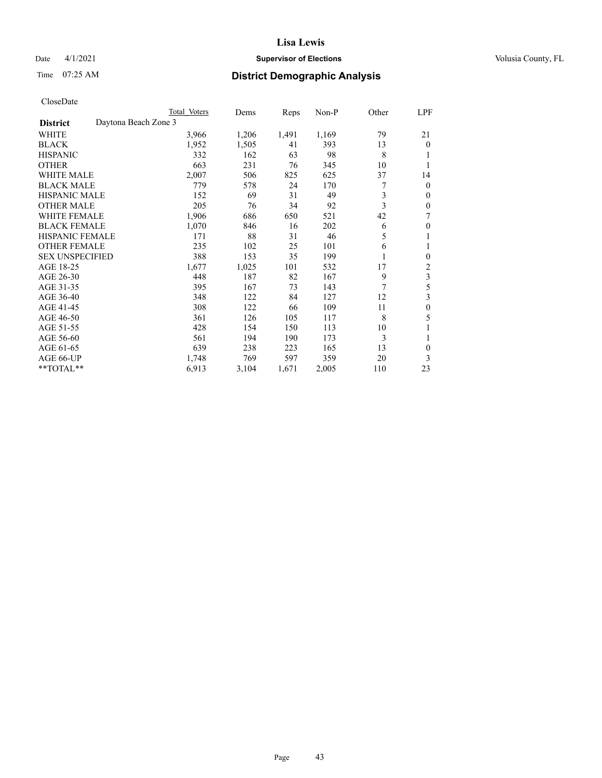## Date 4/1/2021 **Supervisor of Elections Supervisor of Elections** Volusia County, FL

# Time 07:25 AM **District Demographic Analysis**

|                                         | Total Voters | Dems  | Reps  | $Non-P$ | Other | LPF          |
|-----------------------------------------|--------------|-------|-------|---------|-------|--------------|
| Daytona Beach Zone 3<br><b>District</b> |              |       |       |         |       |              |
| WHITE                                   | 3,966        | 1,206 | 1,491 | 1,169   | 79    | 21           |
| <b>BLACK</b>                            | 1,952        | 1,505 | 41    | 393     | 13    | 0            |
| <b>HISPANIC</b>                         | 332          | 162   | 63    | 98      | 8     |              |
| <b>OTHER</b>                            | 663          | 231   | 76    | 345     | 10    |              |
| <b>WHITE MALE</b>                       | 2,007        | 506   | 825   | 625     | 37    | 14           |
| <b>BLACK MALE</b>                       | 779          | 578   | 24    | 170     | 7     | 0            |
| <b>HISPANIC MALE</b>                    | 152          | 69    | 31    | 49      | 3     | 0            |
| <b>OTHER MALE</b>                       | 205          | 76    | 34    | 92      | 3     | 0            |
| <b>WHITE FEMALE</b>                     | 1,906        | 686   | 650   | 521     | 42    | 7            |
| <b>BLACK FEMALE</b>                     | 1,070        | 846   | 16    | 202     | 6     | 0            |
| <b>HISPANIC FEMALE</b>                  | 171          | 88    | 31    | 46      | 5     | 1            |
| <b>OTHER FEMALE</b>                     | 235          | 102   | 25    | 101     | 6     | 1            |
| <b>SEX UNSPECIFIED</b>                  | 388          | 153   | 35    | 199     |       | 0            |
| AGE 18-25                               | 1,677        | 1,025 | 101   | 532     | 17    | 2            |
| AGE 26-30                               | 448          | 187   | 82    | 167     | 9     | 3            |
| AGE 31-35                               | 395          | 167   | 73    | 143     | 7     | 5            |
| AGE 36-40                               | 348          | 122   | 84    | 127     | 12    | 3            |
| AGE 41-45                               | 308          | 122   | 66    | 109     | 11    | $\mathbf{0}$ |
| AGE 46-50                               | 361          | 126   | 105   | 117     | 8     | 5            |
| AGE 51-55                               | 428          | 154   | 150   | 113     | 10    |              |
| AGE 56-60                               | 561          | 194   | 190   | 173     | 3     | 1            |
| AGE 61-65                               | 639          | 238   | 223   | 165     | 13    | 0            |
| AGE 66-UP                               | 1,748        | 769   | 597   | 359     | 20    | 3            |
| **TOTAL**                               | 6,913        | 3,104 | 1,671 | 2,005   | 110   | 23           |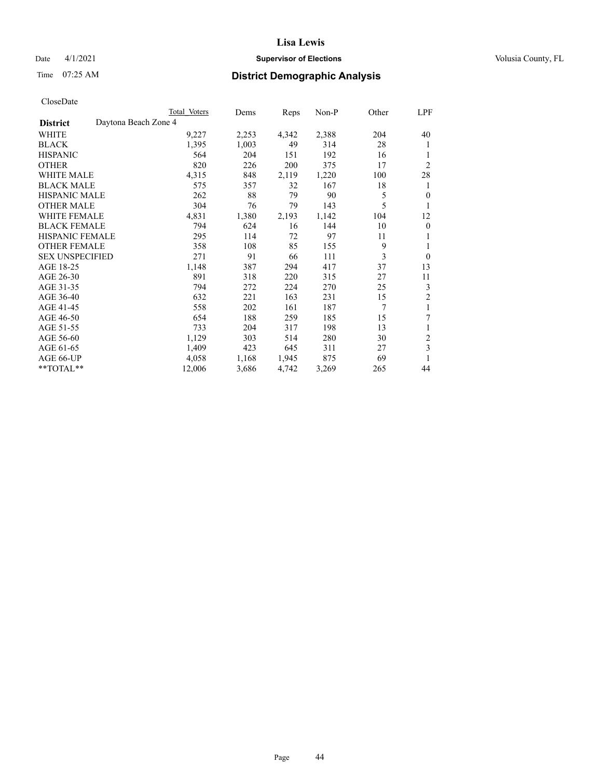## Date 4/1/2021 **Supervisor of Elections Supervisor of Elections** Volusia County, FL

# Time 07:25 AM **District Demographic Analysis**

|                        |                      | Total Voters | Dems  | Reps  | Non-P | Other | LPF            |
|------------------------|----------------------|--------------|-------|-------|-------|-------|----------------|
| <b>District</b>        | Daytona Beach Zone 4 |              |       |       |       |       |                |
| WHITE                  |                      | 9,227        | 2,253 | 4,342 | 2,388 | 204   | 40             |
| <b>BLACK</b>           |                      | 1,395        | 1,003 | 49    | 314   | 28    | 1              |
| <b>HISPANIC</b>        |                      | 564          | 204   | 151   | 192   | 16    | 1              |
| <b>OTHER</b>           |                      | 820          | 226   | 200   | 375   | 17    | $\overline{2}$ |
| <b>WHITE MALE</b>      |                      | 4,315        | 848   | 2,119 | 1,220 | 100   | 28             |
| <b>BLACK MALE</b>      |                      | 575          | 357   | 32    | 167   | 18    | 1              |
| <b>HISPANIC MALE</b>   |                      | 262          | 88    | 79    | 90    | 5     | $\mathbf{0}$   |
| <b>OTHER MALE</b>      |                      | 304          | 76    | 79    | 143   | 5     | 1              |
| <b>WHITE FEMALE</b>    |                      | 4,831        | 1,380 | 2,193 | 1,142 | 104   | 12             |
| <b>BLACK FEMALE</b>    |                      | 794          | 624   | 16    | 144   | 10    | $\mathbf{0}$   |
| <b>HISPANIC FEMALE</b> |                      | 295          | 114   | 72    | 97    | 11    | 1              |
| <b>OTHER FEMALE</b>    |                      | 358          | 108   | 85    | 155   | 9     | 1              |
| <b>SEX UNSPECIFIED</b> |                      | 271          | 91    | 66    | 111   | 3     | $\theta$       |
| AGE 18-25              |                      | 1,148        | 387   | 294   | 417   | 37    | 13             |
| AGE 26-30              |                      | 891          | 318   | 220   | 315   | 27    | 11             |
| AGE 31-35              |                      | 794          | 272   | 224   | 270   | 25    | 3              |
| AGE 36-40              |                      | 632          | 221   | 163   | 231   | 15    | $\overline{2}$ |
| AGE 41-45              |                      | 558          | 202   | 161   | 187   | 7     | 1              |
| AGE 46-50              |                      | 654          | 188   | 259   | 185   | 15    | 7              |
| AGE 51-55              |                      | 733          | 204   | 317   | 198   | 13    | 1              |
| AGE 56-60              |                      | 1,129        | 303   | 514   | 280   | 30    | $\overline{c}$ |
| AGE 61-65              |                      | 1,409        | 423   | 645   | 311   | 27    | 3              |
| AGE 66-UP              |                      | 4,058        | 1,168 | 1,945 | 875   | 69    | 1              |
| **TOTAL**              |                      | 12,006       | 3,686 | 4,742 | 3,269 | 265   | 44             |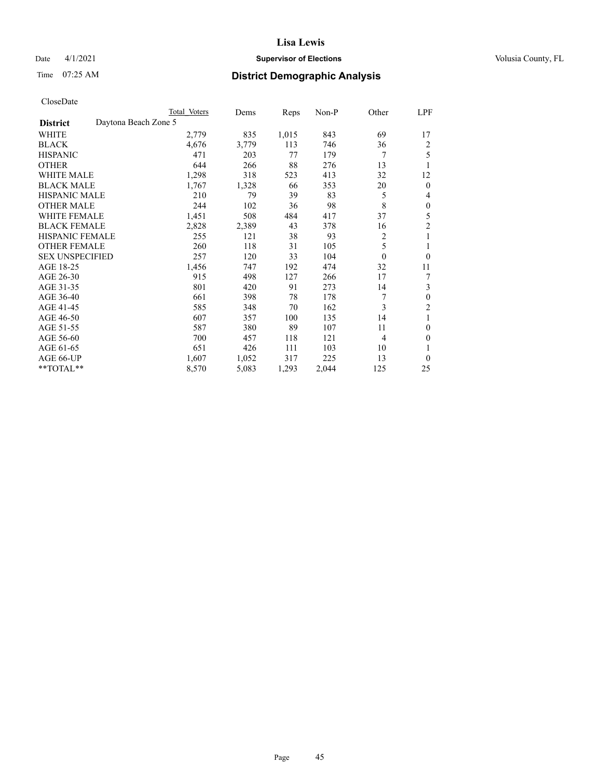## Date 4/1/2021 **Supervisor of Elections Supervisor of Elections** Volusia County, FL

# Time 07:25 AM **District Demographic Analysis**

| Total Voters         | Dems  | Reps  | $Non-P$ | Other            | LPF            |
|----------------------|-------|-------|---------|------------------|----------------|
| Daytona Beach Zone 5 |       |       |         |                  |                |
| 2,779                | 835   | 1,015 | 843     | 69               | 17             |
| 4,676                | 3,779 | 113   | 746     | 36               | 2              |
| 471                  | 203   | 77    | 179     | 7                | 5              |
| 644                  | 266   | 88    | 276     | 13               | 1              |
| 1,298                | 318   | 523   | 413     | 32               | 12             |
| 1,767                | 1,328 | 66    | 353     | 20               | $\mathbf{0}$   |
| 210                  | 79    | 39    | 83      | 5                | 4              |
| 244                  | 102   | 36    | 98      | 8                | $\theta$       |
| 1,451                | 508   | 484   | 417     | 37               | 5              |
| 2,828                | 2,389 | 43    | 378     | 16               | $\overline{2}$ |
| 255                  | 121   | 38    | 93      | 2                | 1              |
| 260                  | 118   | 31    | 105     | 5                | 1              |
| 257                  | 120   | 33    | 104     | $\boldsymbol{0}$ | $\theta$       |
| 1,456                | 747   | 192   | 474     | 32               | 11             |
| 915                  | 498   | 127   | 266     | 17               | 7              |
| 801                  | 420   | 91    | 273     | 14               | 3              |
| 661                  | 398   | 78    | 178     | 7                | $\theta$       |
| 585                  | 348   | 70    | 162     | 3                | $\overline{2}$ |
| 607                  | 357   | 100   | 135     | 14               | 1              |
| 587                  | 380   | 89    | 107     | 11               | $\theta$       |
| 700                  | 457   | 118   | 121     | 4                | $\theta$       |
| 651                  | 426   | 111   | 103     | 10               | 1              |
| 1,607                | 1,052 | 317   | 225     | 13               | $\theta$       |
| 8,570                | 5,083 | 1,293 | 2,044   | 125              | 25             |
|                      |       |       |         |                  |                |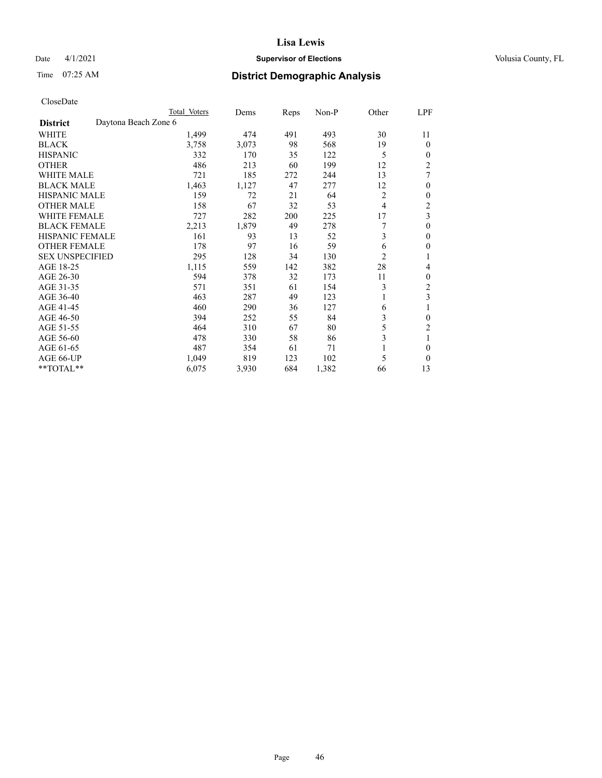## Date 4/1/2021 **Supervisor of Elections Supervisor of Elections** Volusia County, FL

|                                         | Total Voters | Dems  | Reps | Non-P | Other          | LPF            |
|-----------------------------------------|--------------|-------|------|-------|----------------|----------------|
| Daytona Beach Zone 6<br><b>District</b> |              |       |      |       |                |                |
| WHITE                                   | 1,499        | 474   | 491  | 493   | 30             | 11             |
| BLACK                                   | 3,758        | 3,073 | 98   | 568   | 19             | $\overline{0}$ |
| <b>HISPANIC</b>                         | 332          | 170   | 35   | 122   | 5              | $\overline{0}$ |
| OTHER                                   | 486          | 213   | 60   | 199   | 12             | $\overline{c}$ |
| <b>WHITE MALE</b>                       | 721          | 185   | 272  | 244   | 13             | 7              |
| <b>BLACK MALE</b>                       | 1,463        | 1,127 | 47   | 277   | 12             | $\theta$       |
| <b>HISPANIC MALE</b>                    | 159          | 72    | 21   | 64    | $\overline{2}$ | 0              |
| OTHER MALE                              | 158          | 67    | 32   | 53    | 4              | $\overline{c}$ |
| <b>WHITE FEMALE</b>                     | 727          | 282   | 200  | 225   | 17             | 3              |
| <b>BLACK FEMALE</b>                     | 2,213        | 1,879 | 49   | 278   | 7              | 0              |
| <b>HISPANIC FEMALE</b>                  | 161          | 93    | 13   | 52    | 3              | 0              |
| <b>OTHER FEMALE</b>                     | 178          | 97    | 16   | 59    | 6              | 0              |
| <b>SEX UNSPECIFIED</b>                  | 295          | 128   | 34   | 130   | $\overline{2}$ |                |
| AGE 18-25                               | 1,115        | 559   | 142  | 382   | 28             | 4              |
| AGE 26-30                               | 594          | 378   | 32   | 173   | 11             | 0              |
| AGE 31-35                               | 571          | 351   | 61   | 154   | 3              | $\overline{2}$ |
| AGE 36-40                               | 463          | 287   | 49   | 123   |                | 3              |
| AGE 41-45                               | 460          | 290   | 36   | 127   | 6              |                |
| AGE 46-50                               | 394          | 252   | 55   | 84    | 3              | 0              |
| AGE 51-55                               | 464          | 310   | 67   | 80    | 5              | $\overline{c}$ |
| AGE 56-60                               | 478          | 330   | 58   | 86    | 3              |                |
| AGE 61-65                               | 487          | 354   | 61   | 71    |                | $\overline{0}$ |
| AGE 66-UP                               | 1,049        | 819   | 123  | 102   | 5              | $\Omega$       |
| **TOTAL**                               | 6,075        | 3,930 | 684  | 1,382 | 66             | 13             |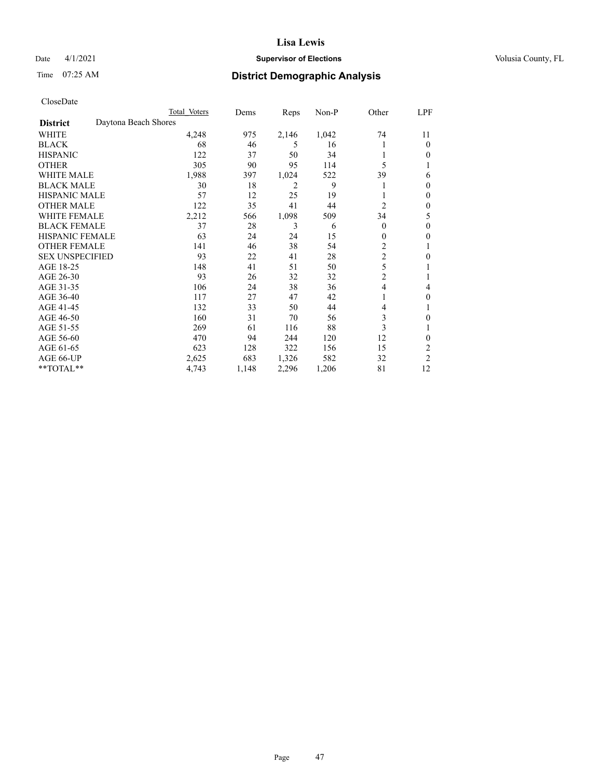## Date 4/1/2021 **Supervisor of Elections Supervisor of Elections** Volusia County, FL

# Time 07:25 AM **District Demographic Analysis**

|                        |                      | Total Voters | Dems  | Reps  | Non-P | Other          | LPF            |
|------------------------|----------------------|--------------|-------|-------|-------|----------------|----------------|
| <b>District</b>        | Daytona Beach Shores |              |       |       |       |                |                |
| WHITE                  |                      | 4,248        | 975   | 2,146 | 1,042 | 74             | 11             |
| <b>BLACK</b>           |                      | 68           | 46    | 5     | 16    |                | $\Omega$       |
| <b>HISPANIC</b>        |                      | 122          | 37    | 50    | 34    |                | $\Omega$       |
| <b>OTHER</b>           |                      | 305          | 90    | 95    | 114   | 5              |                |
| <b>WHITE MALE</b>      |                      | 1,988        | 397   | 1,024 | 522   | 39             | 6              |
| <b>BLACK MALE</b>      |                      | 30           | 18    | 2     | 9     |                | $\Omega$       |
| <b>HISPANIC MALE</b>   |                      | 57           | 12    | 25    | 19    |                | $\theta$       |
| <b>OTHER MALE</b>      |                      | 122          | 35    | 41    | 44    | 2              | $\mathbf{0}$   |
| WHITE FEMALE           |                      | 2,212        | 566   | 1,098 | 509   | 34             | 5              |
| <b>BLACK FEMALE</b>    |                      | 37           | 28    | 3     | 6     | $\theta$       | $\mathbf{0}$   |
| <b>HISPANIC FEMALE</b> |                      | 63           | 24    | 24    | 15    | $\theta$       | 0              |
| <b>OTHER FEMALE</b>    |                      | 141          | 46    | 38    | 54    | $\overline{c}$ |                |
| <b>SEX UNSPECIFIED</b> |                      | 93           | 22    | 41    | 28    | $\overline{c}$ | $\theta$       |
| AGE 18-25              |                      | 148          | 41    | 51    | 50    | 5              |                |
| AGE 26-30              |                      | 93           | 26    | 32    | 32    | $\overline{c}$ | 1              |
| AGE 31-35              |                      | 106          | 24    | 38    | 36    | $\overline{4}$ | 4              |
| AGE 36-40              |                      | 117          | 27    | 47    | 42    | 1              | $\mathbf{0}$   |
| AGE 41-45              |                      | 132          | 33    | 50    | 44    | 4              |                |
| AGE 46-50              |                      | 160          | 31    | 70    | 56    | 3              | 0              |
| AGE 51-55              |                      | 269          | 61    | 116   | 88    | 3              |                |
| AGE 56-60              |                      | 470          | 94    | 244   | 120   | 12             | 0              |
| AGE 61-65              |                      | 623          | 128   | 322   | 156   | 15             | 2              |
| AGE 66-UP              |                      | 2,625        | 683   | 1,326 | 582   | 32             | $\overline{c}$ |
| **TOTAL**              |                      | 4,743        | 1,148 | 2,296 | 1,206 | 81             | 12             |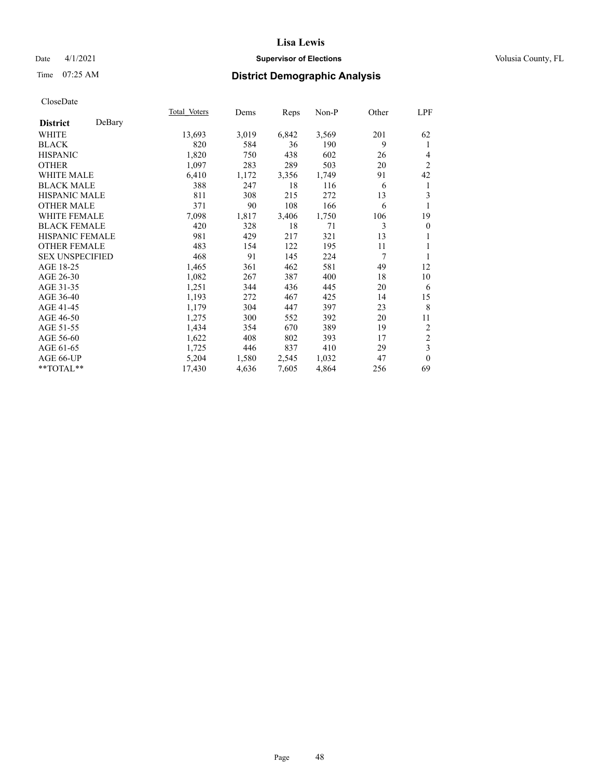## Date 4/1/2021 **Supervisor of Elections Supervisor of Elections** Volusia County, FL

# Time 07:25 AM **District Demographic Analysis**

|                        |        | Total Voters | Dems  | Reps  | Non-P | Other | LPF              |
|------------------------|--------|--------------|-------|-------|-------|-------|------------------|
| <b>District</b>        | DeBary |              |       |       |       |       |                  |
| WHITE                  |        | 13,693       | 3,019 | 6,842 | 3,569 | 201   | 62               |
| <b>BLACK</b>           |        | 820          | 584   | 36    | 190   | 9     | 1                |
| <b>HISPANIC</b>        |        | 1,820        | 750   | 438   | 602   | 26    | 4                |
| <b>OTHER</b>           |        | 1,097        | 283   | 289   | 503   | 20    | $\overline{2}$   |
| WHITE MALE             |        | 6,410        | 1,172 | 3,356 | 1,749 | 91    | 42               |
| <b>BLACK MALE</b>      |        | 388          | 247   | 18    | 116   | 6     | 1                |
| <b>HISPANIC MALE</b>   |        | 811          | 308   | 215   | 272   | 13    | 3                |
| <b>OTHER MALE</b>      |        | 371          | 90    | 108   | 166   | 6     | 1                |
| <b>WHITE FEMALE</b>    |        | 7,098        | 1,817 | 3,406 | 1,750 | 106   | 19               |
| <b>BLACK FEMALE</b>    |        | 420          | 328   | 18    | 71    | 3     | $\boldsymbol{0}$ |
| <b>HISPANIC FEMALE</b> |        | 981          | 429   | 217   | 321   | 13    | 1                |
| <b>OTHER FEMALE</b>    |        | 483          | 154   | 122   | 195   | 11    | 1                |
| <b>SEX UNSPECIFIED</b> |        | 468          | 91    | 145   | 224   | 7     | 1                |
| AGE 18-25              |        | 1,465        | 361   | 462   | 581   | 49    | 12               |
| AGE 26-30              |        | 1,082        | 267   | 387   | 400   | 18    | 10               |
| AGE 31-35              |        | 1,251        | 344   | 436   | 445   | 20    | 6                |
| AGE 36-40              |        | 1,193        | 272   | 467   | 425   | 14    | 15               |
| AGE 41-45              |        | 1,179        | 304   | 447   | 397   | 23    | 8                |
| AGE 46-50              |        | 1,275        | 300   | 552   | 392   | 20    | 11               |
| AGE 51-55              |        | 1,434        | 354   | 670   | 389   | 19    | $\overline{c}$   |
| AGE 56-60              |        | 1,622        | 408   | 802   | 393   | 17    | $\sqrt{2}$       |
| AGE 61-65              |        | 1,725        | 446   | 837   | 410   | 29    | $\mathfrak{Z}$   |
| AGE 66-UP              |        | 5,204        | 1,580 | 2,545 | 1,032 | 47    | $\theta$         |
| **TOTAL**              |        | 17,430       | 4,636 | 7,605 | 4,864 | 256   | 69               |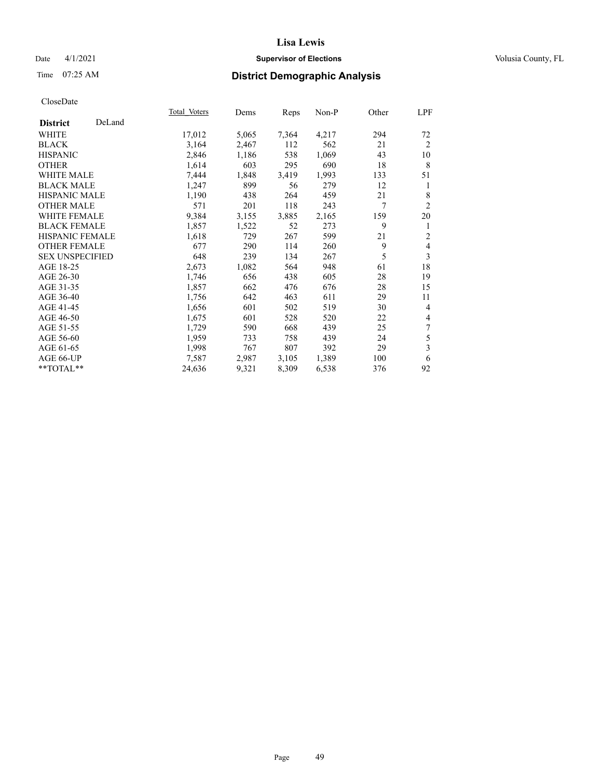## Date 4/1/2021 **Supervisor of Elections Supervisor of Elections** Volusia County, FL

# Time 07:25 AM **District Demographic Analysis**

|                        |        | Total Voters | Dems  | Reps  | Non-P | Other | LPF                     |
|------------------------|--------|--------------|-------|-------|-------|-------|-------------------------|
| <b>District</b>        | DeLand |              |       |       |       |       |                         |
| WHITE                  |        | 17,012       | 5,065 | 7,364 | 4,217 | 294   | 72                      |
| <b>BLACK</b>           |        | 3,164        | 2,467 | 112   | 562   | 21    | 2                       |
| <b>HISPANIC</b>        |        | 2,846        | 1,186 | 538   | 1,069 | 43    | 10                      |
| <b>OTHER</b>           |        | 1,614        | 603   | 295   | 690   | 18    | 8                       |
| <b>WHITE MALE</b>      |        | 7,444        | 1,848 | 3,419 | 1,993 | 133   | 51                      |
| <b>BLACK MALE</b>      |        | 1,247        | 899   | 56    | 279   | 12    | 1                       |
| <b>HISPANIC MALE</b>   |        | 1,190        | 438   | 264   | 459   | 21    | 8                       |
| <b>OTHER MALE</b>      |        | 571          | 201   | 118   | 243   | 7     | $\overline{2}$          |
| <b>WHITE FEMALE</b>    |        | 9,384        | 3,155 | 3,885 | 2,165 | 159   | 20                      |
| <b>BLACK FEMALE</b>    |        | 1,857        | 1,522 | 52    | 273   | 9     | 1                       |
| <b>HISPANIC FEMALE</b> |        | 1,618        | 729   | 267   | 599   | 21    | $\overline{2}$          |
| <b>OTHER FEMALE</b>    |        | 677          | 290   | 114   | 260   | 9     | $\overline{4}$          |
| <b>SEX UNSPECIFIED</b> |        | 648          | 239   | 134   | 267   | 5     | 3                       |
| AGE 18-25              |        | 2,673        | 1,082 | 564   | 948   | 61    | 18                      |
| AGE 26-30              |        | 1,746        | 656   | 438   | 605   | 28    | 19                      |
| AGE 31-35              |        | 1,857        | 662   | 476   | 676   | 28    | 15                      |
| AGE 36-40              |        | 1,756        | 642   | 463   | 611   | 29    | 11                      |
| AGE 41-45              |        | 1,656        | 601   | 502   | 519   | 30    | $\overline{4}$          |
| AGE 46-50              |        | 1,675        | 601   | 528   | 520   | 22    | $\overline{4}$          |
| AGE 51-55              |        | 1,729        | 590   | 668   | 439   | 25    | 7                       |
| AGE 56-60              |        | 1,959        | 733   | 758   | 439   | 24    | 5                       |
| AGE 61-65              |        | 1,998        | 767   | 807   | 392   | 29    | $\overline{\mathbf{3}}$ |
| AGE 66-UP              |        | 7,587        | 2,987 | 3,105 | 1,389 | 100   | 6                       |
| **TOTAL**              |        | 24,636       | 9,321 | 8,309 | 6,538 | 376   | 92                      |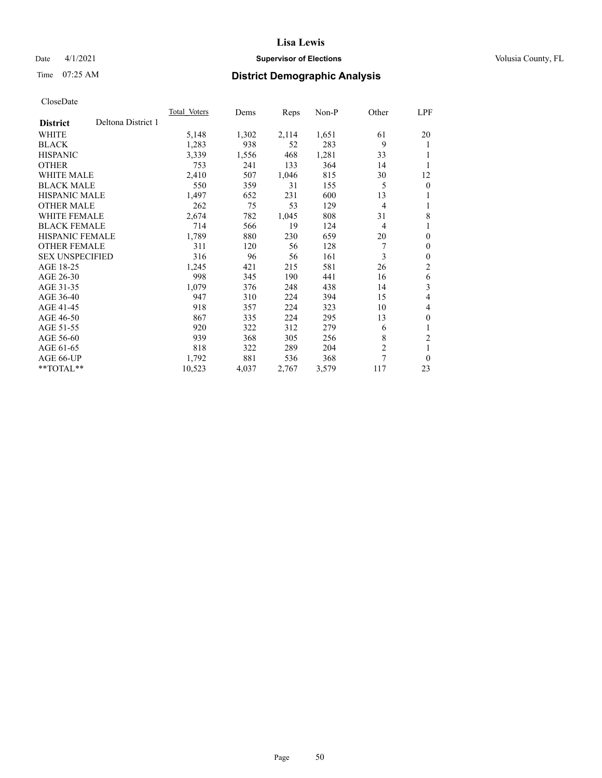## Date 4/1/2021 **Supervisor of Elections Supervisor of Elections** Volusia County, FL

# Time 07:25 AM **District Demographic Analysis**

|                        |                    | Total Voters | Dems  | Reps  | Non-P | Other          | LPF            |
|------------------------|--------------------|--------------|-------|-------|-------|----------------|----------------|
| <b>District</b>        | Deltona District 1 |              |       |       |       |                |                |
| WHITE                  |                    | 5,148        | 1,302 | 2,114 | 1,651 | 61             | 20             |
| <b>BLACK</b>           |                    | 1,283        | 938   | 52    | 283   | 9              | 1              |
| <b>HISPANIC</b>        |                    | 3,339        | 1,556 | 468   | 1,281 | 33             | 1              |
| <b>OTHER</b>           |                    | 753          | 241   | 133   | 364   | 14             |                |
| WHITE MALE             |                    | 2,410        | 507   | 1,046 | 815   | 30             | 12             |
| <b>BLACK MALE</b>      |                    | 550          | 359   | 31    | 155   | 5              | $\mathbf{0}$   |
| <b>HISPANIC MALE</b>   |                    | 1,497        | 652   | 231   | 600   | 13             | 1              |
| <b>OTHER MALE</b>      |                    | 262          | 75    | 53    | 129   | 4              | 1              |
| WHITE FEMALE           |                    | 2,674        | 782   | 1,045 | 808   | 31             | 8              |
| <b>BLACK FEMALE</b>    |                    | 714          | 566   | 19    | 124   | 4              | 1              |
| <b>HISPANIC FEMALE</b> |                    | 1,789        | 880   | 230   | 659   | 20             | $\theta$       |
| <b>OTHER FEMALE</b>    |                    | 311          | 120   | 56    | 128   | 7              | $\theta$       |
| <b>SEX UNSPECIFIED</b> |                    | 316          | 96    | 56    | 161   | 3              | $\theta$       |
| AGE 18-25              |                    | 1,245        | 421   | 215   | 581   | 26             | $\overline{2}$ |
| AGE 26-30              |                    | 998          | 345   | 190   | 441   | 16             | 6              |
| AGE 31-35              |                    | 1,079        | 376   | 248   | 438   | 14             | 3              |
| AGE 36-40              |                    | 947          | 310   | 224   | 394   | 15             | 4              |
| AGE 41-45              |                    | 918          | 357   | 224   | 323   | 10             | 4              |
| AGE 46-50              |                    | 867          | 335   | 224   | 295   | 13             | $\theta$       |
| AGE 51-55              |                    | 920          | 322   | 312   | 279   | 6              | 1              |
| AGE 56-60              |                    | 939          | 368   | 305   | 256   | 8              | $\overline{c}$ |
| AGE 61-65              |                    | 818          | 322   | 289   | 204   | $\overline{2}$ | 1              |
| AGE 66-UP              |                    | 1,792        | 881   | 536   | 368   | $\overline{7}$ | $\theta$       |
| **TOTAL**              |                    | 10,523       | 4,037 | 2,767 | 3,579 | 117            | 23             |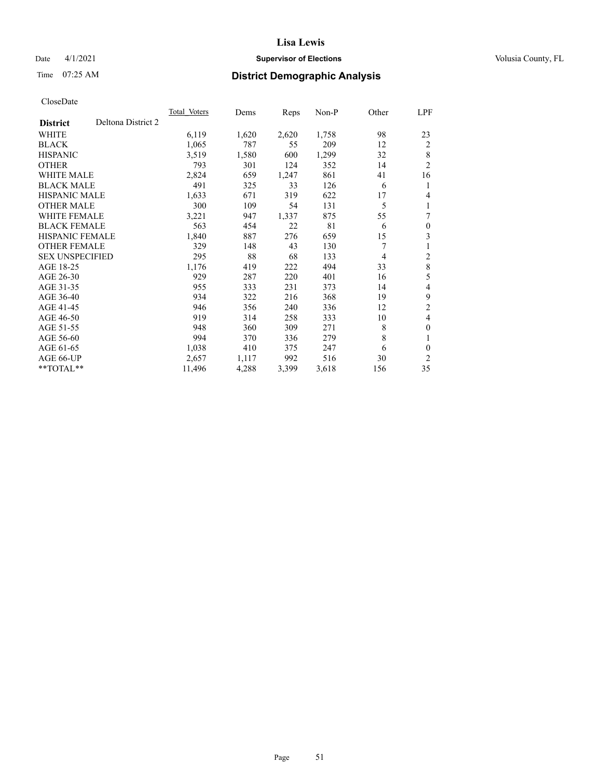## Date 4/1/2021 **Supervisor of Elections Supervisor of Elections** Volusia County, FL

# Time 07:25 AM **District Demographic Analysis**

|                        |                    | Total Voters | Dems  | Reps  | Non-P | Other | LPF            |
|------------------------|--------------------|--------------|-------|-------|-------|-------|----------------|
| <b>District</b>        | Deltona District 2 |              |       |       |       |       |                |
| WHITE                  |                    | 6,119        | 1,620 | 2,620 | 1,758 | 98    | 23             |
| <b>BLACK</b>           |                    | 1,065        | 787   | 55    | 209   | 12    | $\overline{2}$ |
| <b>HISPANIC</b>        |                    | 3,519        | 1,580 | 600   | 1,299 | 32    | 8              |
| <b>OTHER</b>           |                    | 793          | 301   | 124   | 352   | 14    | $\overline{2}$ |
| WHITE MALE             |                    | 2,824        | 659   | 1,247 | 861   | 41    | 16             |
| <b>BLACK MALE</b>      |                    | 491          | 325   | 33    | 126   | 6     | 1              |
| <b>HISPANIC MALE</b>   |                    | 1,633        | 671   | 319   | 622   | 17    | 4              |
| <b>OTHER MALE</b>      |                    | 300          | 109   | 54    | 131   | 5     | 1              |
| WHITE FEMALE           |                    | 3,221        | 947   | 1,337 | 875   | 55    | 7              |
| <b>BLACK FEMALE</b>    |                    | 563          | 454   | 22    | 81    | 6     | $\theta$       |
| <b>HISPANIC FEMALE</b> |                    | 1,840        | 887   | 276   | 659   | 15    | 3              |
| <b>OTHER FEMALE</b>    |                    | 329          | 148   | 43    | 130   | 7     | 1              |
| <b>SEX UNSPECIFIED</b> |                    | 295          | 88    | 68    | 133   | 4     | $\overline{c}$ |
| AGE 18-25              |                    | 1,176        | 419   | 222   | 494   | 33    | $\,8\,$        |
| AGE 26-30              |                    | 929          | 287   | 220   | 401   | 16    | 5              |
| AGE 31-35              |                    | 955          | 333   | 231   | 373   | 14    | 4              |
| AGE 36-40              |                    | 934          | 322   | 216   | 368   | 19    | 9              |
| AGE 41-45              |                    | 946          | 356   | 240   | 336   | 12    | 2              |
| AGE 46-50              |                    | 919          | 314   | 258   | 333   | 10    | 4              |
| AGE 51-55              |                    | 948          | 360   | 309   | 271   | 8     | $\theta$       |
| AGE 56-60              |                    | 994          | 370   | 336   | 279   | 8     | 1              |
| AGE 61-65              |                    | 1,038        | 410   | 375   | 247   | 6     | $\theta$       |
| AGE 66-UP              |                    | 2,657        | 1,117 | 992   | 516   | 30    | $\overline{2}$ |
| **TOTAL**              |                    | 11,496       | 4,288 | 3,399 | 3,618 | 156   | 35             |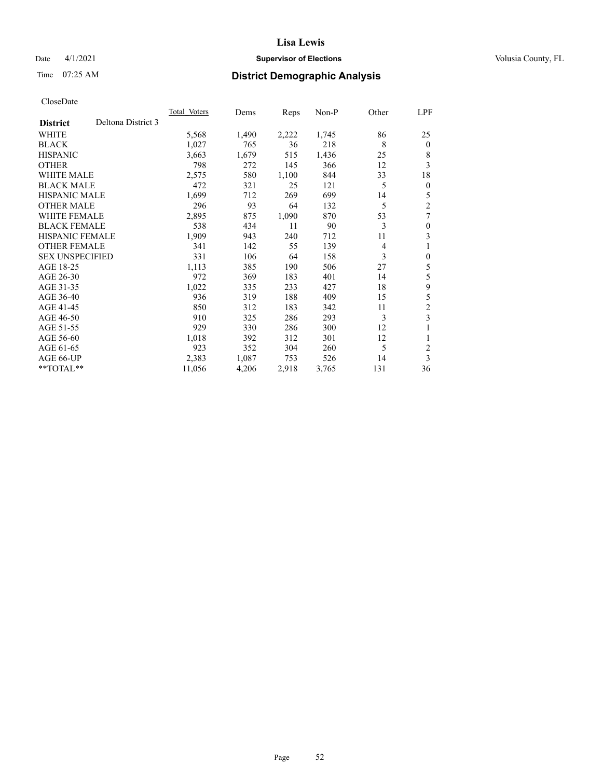## Date 4/1/2021 **Supervisor of Elections Supervisor of Elections** Volusia County, FL

# Time 07:25 AM **District Demographic Analysis**

|                                       | <b>Total Voters</b> | Dems  | Reps  | $Non-P$ | Other | LPF            |
|---------------------------------------|---------------------|-------|-------|---------|-------|----------------|
| Deltona District 3<br><b>District</b> |                     |       |       |         |       |                |
| WHITE                                 | 5,568               | 1,490 | 2,222 | 1,745   | 86    | 25             |
| <b>BLACK</b>                          | 1,027               | 765   | 36    | 218     | 8     | $\mathbf{0}$   |
| <b>HISPANIC</b>                       | 3,663               | 1,679 | 515   | 1,436   | 25    | 8              |
| <b>OTHER</b>                          | 798                 | 272   | 145   | 366     | 12    | 3              |
| <b>WHITE MALE</b>                     | 2,575               | 580   | 1,100 | 844     | 33    | 18             |
| <b>BLACK MALE</b>                     | 472                 | 321   | 25    | 121     | 5     | $\mathbf{0}$   |
| <b>HISPANIC MALE</b>                  | 1,699               | 712   | 269   | 699     | 14    | 5              |
| <b>OTHER MALE</b>                     | 296                 | 93    | 64    | 132     | 5     | $\overline{2}$ |
| <b>WHITE FEMALE</b>                   | 2,895               | 875   | 1,090 | 870     | 53    | 7              |
| <b>BLACK FEMALE</b>                   | 538                 | 434   | 11    | 90      | 3     | $\theta$       |
| <b>HISPANIC FEMALE</b>                | 1,909               | 943   | 240   | 712     | 11    | 3              |
| <b>OTHER FEMALE</b>                   | 341                 | 142   | 55    | 139     | 4     | 1              |
| <b>SEX UNSPECIFIED</b>                | 331                 | 106   | 64    | 158     | 3     | $\theta$       |
| AGE 18-25                             | 1,113               | 385   | 190   | 506     | 27    | 5              |
| AGE 26-30                             | 972                 | 369   | 183   | 401     | 14    | 5              |
| AGE 31-35                             | 1,022               | 335   | 233   | 427     | 18    | 9              |
| AGE 36-40                             | 936                 | 319   | 188   | 409     | 15    | 5              |
| AGE 41-45                             | 850                 | 312   | 183   | 342     | 11    | $\mathfrak{2}$ |
| AGE 46-50                             | 910                 | 325   | 286   | 293     | 3     | 3              |
| AGE 51-55                             | 929                 | 330   | 286   | 300     | 12    | 1              |
| AGE 56-60                             | 1,018               | 392   | 312   | 301     | 12    | 1              |
| AGE 61-65                             | 923                 | 352   | 304   | 260     | 5     | $\overline{c}$ |
| AGE 66-UP                             | 2,383               | 1,087 | 753   | 526     | 14    | 3              |
| $*$ $TOTAL**$                         | 11,056              | 4,206 | 2,918 | 3,765   | 131   | 36             |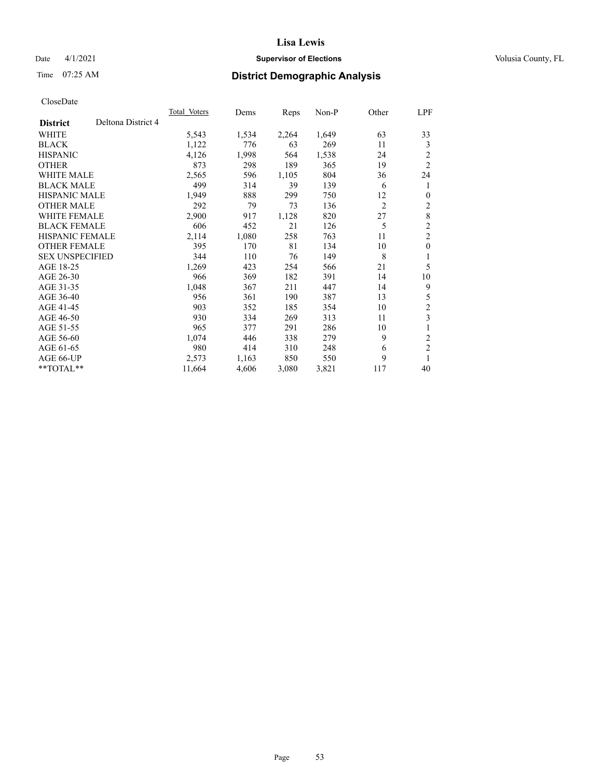## Date 4/1/2021 **Supervisor of Elections Supervisor of Elections** Volusia County, FL

# Time 07:25 AM **District Demographic Analysis**

|                                       | <b>Total Voters</b> | Dems  | Reps  | $Non-P$ | Other          | LPF            |
|---------------------------------------|---------------------|-------|-------|---------|----------------|----------------|
| Deltona District 4<br><b>District</b> |                     |       |       |         |                |                |
| WHITE                                 | 5,543               | 1,534 | 2,264 | 1,649   | 63             | 33             |
| <b>BLACK</b>                          | 1,122               | 776   | 63    | 269     | 11             | 3              |
| <b>HISPANIC</b>                       | 4,126               | 1,998 | 564   | 1,538   | 24             | $\overline{2}$ |
| <b>OTHER</b>                          | 873                 | 298   | 189   | 365     | 19             | $\overline{2}$ |
| <b>WHITE MALE</b>                     | 2,565               | 596   | 1,105 | 804     | 36             | 24             |
| <b>BLACK MALE</b>                     | 499                 | 314   | 39    | 139     | 6              | 1              |
| <b>HISPANIC MALE</b>                  | 1,949               | 888   | 299   | 750     | 12             | $\mathbf{0}$   |
| <b>OTHER MALE</b>                     | 292                 | 79    | 73    | 136     | $\overline{c}$ | $\overline{c}$ |
| WHITE FEMALE                          | 2,900               | 917   | 1,128 | 820     | 27             | 8              |
| <b>BLACK FEMALE</b>                   | 606                 | 452   | 21    | 126     | 5              | $\overline{2}$ |
| <b>HISPANIC FEMALE</b>                | 2,114               | 1,080 | 258   | 763     | 11             | $\overline{2}$ |
| <b>OTHER FEMALE</b>                   | 395                 | 170   | 81    | 134     | 10             | $\mathbf{0}$   |
| <b>SEX UNSPECIFIED</b>                | 344                 | 110   | 76    | 149     | 8              | 1              |
| AGE 18-25                             | 1,269               | 423   | 254   | 566     | 21             | 5              |
| AGE 26-30                             | 966                 | 369   | 182   | 391     | 14             | 10             |
| AGE 31-35                             | 1,048               | 367   | 211   | 447     | 14             | 9              |
| AGE 36-40                             | 956                 | 361   | 190   | 387     | 13             | 5              |
| AGE 41-45                             | 903                 | 352   | 185   | 354     | 10             | $\overline{2}$ |
| AGE 46-50                             | 930                 | 334   | 269   | 313     | 11             | 3              |
| AGE 51-55                             | 965                 | 377   | 291   | 286     | 10             | 1              |
| AGE 56-60                             | 1,074               | 446   | 338   | 279     | 9              | $\overline{2}$ |
| AGE 61-65                             | 980                 | 414   | 310   | 248     | 6              | $\overline{2}$ |
| AGE 66-UP                             | 2,573               | 1,163 | 850   | 550     | 9              | 1              |
| $*$ $TOTAL**$                         | 11,664              | 4,606 | 3,080 | 3,821   | 117            | 40             |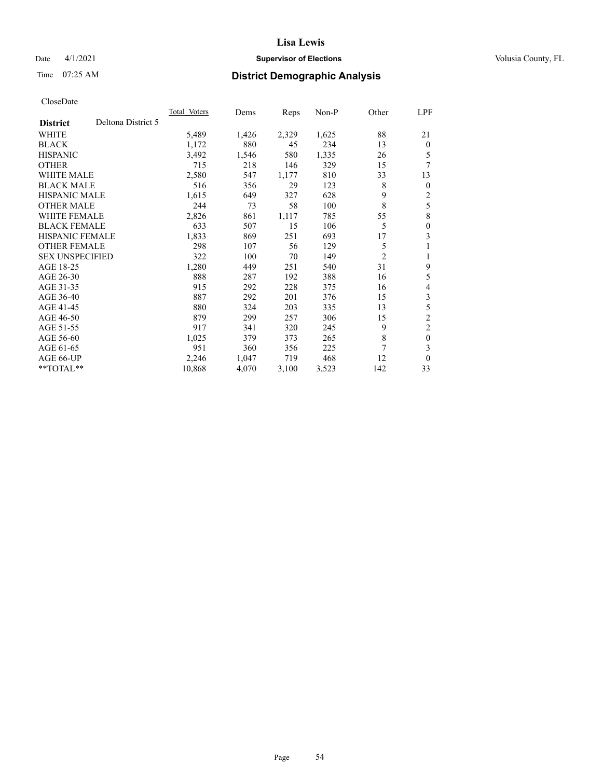## Date 4/1/2021 **Supervisor of Elections Supervisor of Elections** Volusia County, FL

# Time 07:25 AM **District Demographic Analysis**

|                                       | <b>Total Voters</b> | Dems  | Reps  | $Non-P$ | Other          | LPF            |
|---------------------------------------|---------------------|-------|-------|---------|----------------|----------------|
| Deltona District 5<br><b>District</b> |                     |       |       |         |                |                |
| WHITE                                 | 5,489               | 1,426 | 2,329 | 1,625   | 88             | 21             |
| <b>BLACK</b>                          | 1,172               | 880   | 45    | 234     | 13             | $\theta$       |
| <b>HISPANIC</b>                       | 3,492               | 1,546 | 580   | 1,335   | 26             | 5              |
| <b>OTHER</b>                          | 715                 | 218   | 146   | 329     | 15             | 7              |
| WHITE MALE                            | 2,580               | 547   | 1,177 | 810     | 33             | 13             |
| <b>BLACK MALE</b>                     | 516                 | 356   | 29    | 123     | 8              | $\theta$       |
| <b>HISPANIC MALE</b>                  | 1,615               | 649   | 327   | 628     | 9              | 2              |
| <b>OTHER MALE</b>                     | 244                 | 73    | 58    | 100     | 8              | 5              |
| <b>WHITE FEMALE</b>                   | 2,826               | 861   | 1,117 | 785     | 55             | 8              |
| <b>BLACK FEMALE</b>                   | 633                 | 507   | 15    | 106     | 5              | $\theta$       |
| <b>HISPANIC FEMALE</b>                | 1,833               | 869   | 251   | 693     | 17             | 3              |
| <b>OTHER FEMALE</b>                   | 298                 | 107   | 56    | 129     | 5              | 1              |
| <b>SEX UNSPECIFIED</b>                | 322                 | 100   | 70    | 149     | $\overline{2}$ | 1              |
| AGE 18-25                             | 1,280               | 449   | 251   | 540     | 31             | 9              |
| AGE 26-30                             | 888                 | 287   | 192   | 388     | 16             | 5              |
| AGE 31-35                             | 915                 | 292   | 228   | 375     | 16             | 4              |
| AGE 36-40                             | 887                 | 292   | 201   | 376     | 15             | 3              |
| AGE 41-45                             | 880                 | 324   | 203   | 335     | 13             | 5              |
| AGE 46-50                             | 879                 | 299   | 257   | 306     | 15             | $\overline{c}$ |
| AGE 51-55                             | 917                 | 341   | 320   | 245     | 9              | $\overline{c}$ |
| AGE 56-60                             | 1,025               | 379   | 373   | 265     | 8              | $\mathbf{0}$   |
| AGE 61-65                             | 951                 | 360   | 356   | 225     | 7              | 3              |
| AGE 66-UP                             | 2,246               | 1,047 | 719   | 468     | 12             | $\theta$       |
| **TOTAL**                             | 10,868              | 4,070 | 3,100 | 3,523   | 142            | 33             |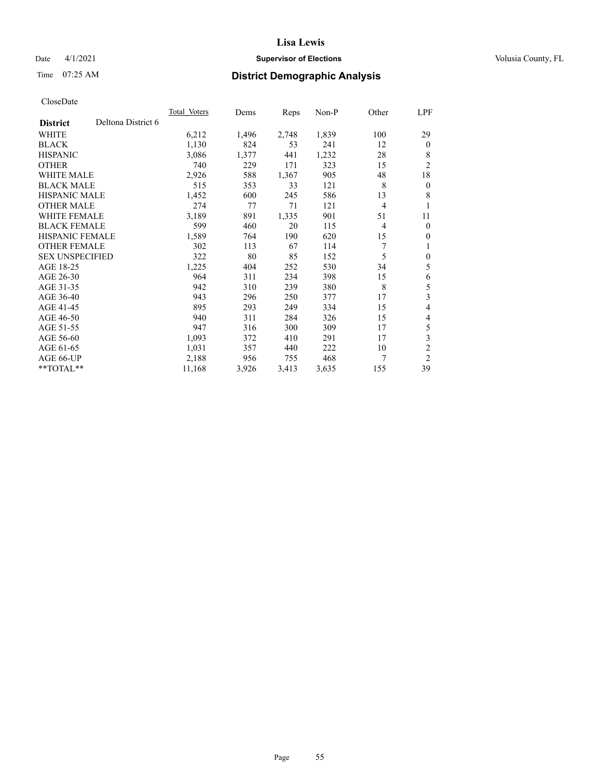## Date 4/1/2021 **Supervisor of Elections Supervisor of Elections** Volusia County, FL

# Time 07:25 AM **District Demographic Analysis**

|                        |                    | Total Voters | Dems  | Reps  | $Non-P$ | Other          | <u>LPF</u>     |
|------------------------|--------------------|--------------|-------|-------|---------|----------------|----------------|
| <b>District</b>        | Deltona District 6 |              |       |       |         |                |                |
| WHITE                  |                    | 6,212        | 1,496 | 2,748 | 1,839   | 100            | 29             |
| <b>BLACK</b>           |                    | 1,130        | 824   | 53    | 241     | 12             | $\mathbf{0}$   |
| <b>HISPANIC</b>        |                    | 3,086        | 1,377 | 441   | 1,232   | 28             | 8              |
| <b>OTHER</b>           |                    | 740          | 229   | 171   | 323     | 15             | $\overline{2}$ |
| <b>WHITE MALE</b>      |                    | 2,926        | 588   | 1,367 | 905     | 48             | 18             |
| <b>BLACK MALE</b>      |                    | 515          | 353   | 33    | 121     | 8              | $\mathbf{0}$   |
| <b>HISPANIC MALE</b>   |                    | 1,452        | 600   | 245   | 586     | 13             | 8              |
| <b>OTHER MALE</b>      |                    | 274          | 77    | 71    | 121     | $\overline{4}$ | 1              |
| <b>WHITE FEMALE</b>    |                    | 3,189        | 891   | 1,335 | 901     | 51             | 11             |
| <b>BLACK FEMALE</b>    |                    | 599          | 460   | 20    | 115     | 4              | $\mathbf{0}$   |
| <b>HISPANIC FEMALE</b> |                    | 1,589        | 764   | 190   | 620     | 15             | $\mathbf{0}$   |
| <b>OTHER FEMALE</b>    |                    | 302          | 113   | 67    | 114     | 7              | 1              |
| <b>SEX UNSPECIFIED</b> |                    | 322          | 80    | 85    | 152     | 5              | $\mathbf{0}$   |
| AGE 18-25              |                    | 1,225        | 404   | 252   | 530     | 34             | 5              |
| AGE 26-30              |                    | 964          | 311   | 234   | 398     | 15             | 6              |
| AGE 31-35              |                    | 942          | 310   | 239   | 380     | 8              | 5              |
| AGE 36-40              |                    | 943          | 296   | 250   | 377     | 17             | 3              |
| AGE 41-45              |                    | 895          | 293   | 249   | 334     | 15             | 4              |
| AGE 46-50              |                    | 940          | 311   | 284   | 326     | 15             | 4              |
| AGE 51-55              |                    | 947          | 316   | 300   | 309     | 17             | 5              |
| AGE 56-60              |                    | 1,093        | 372   | 410   | 291     | 17             | 3              |
| AGE 61-65              |                    | 1,031        | 357   | 440   | 222     | 10             | $\overline{2}$ |
| AGE 66-UP              |                    | 2,188        | 956   | 755   | 468     | 7              | $\overline{2}$ |
| $*$ $TOTAL**$          |                    | 11,168       | 3,926 | 3,413 | 3,635   | 155            | 39             |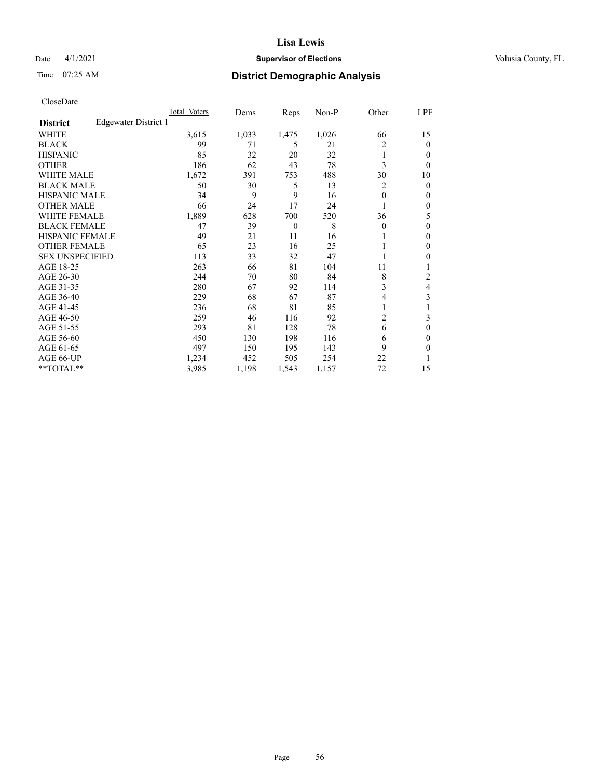## Date 4/1/2021 **Supervisor of Elections Supervisor of Elections** Volusia County, FL

# Time 07:25 AM **District Demographic Analysis**

|                        |                      | Total Voters | Dems  | Reps     | Non-P | Other    | LPF    |
|------------------------|----------------------|--------------|-------|----------|-------|----------|--------|
| <b>District</b>        | Edgewater District 1 |              |       |          |       |          |        |
| WHITE                  |                      | 3,615        | 1,033 | 1,475    | 1,026 | 66       | 15     |
| <b>BLACK</b>           |                      | 99           | 71    | 5        | 21    | 2        | 0      |
| <b>HISPANIC</b>        |                      | 85           | 32    | 20       | 32    |          | $_{0}$ |
| <b>OTHER</b>           |                      | 186          | 62    | 43       | 78    | 3        | 0      |
| <b>WHITE MALE</b>      |                      | 1,672        | 391   | 753      | 488   | 30       | 10     |
| <b>BLACK MALE</b>      |                      | 50           | 30    | 5        | 13    | 2        | 0      |
| <b>HISPANIC MALE</b>   |                      | 34           | 9     | 9        | 16    | $\theta$ | 0      |
| <b>OTHER MALE</b>      |                      | 66           | 24    | 17       | 24    |          | 0      |
| <b>WHITE FEMALE</b>    |                      | 1,889        | 628   | 700      | 520   | 36       | 5      |
| <b>BLACK FEMALE</b>    |                      | 47           | 39    | $\theta$ | 8     | $\theta$ | 0      |
| <b>HISPANIC FEMALE</b> |                      | 49           | 21    | 11       | 16    |          | 0      |
| <b>OTHER FEMALE</b>    |                      | 65           | 23    | 16       | 25    |          | 0      |
| <b>SEX UNSPECIFIED</b> |                      | 113          | 33    | 32       | 47    |          | 0      |
| AGE 18-25              |                      | 263          | 66    | 81       | 104   | 11       |        |
| AGE 26-30              |                      | 244          | 70    | 80       | 84    | 8        | 2      |
| AGE 31-35              |                      | 280          | 67    | 92       | 114   | 3        | 4      |
| AGE 36-40              |                      | 229          | 68    | 67       | 87    | 4        | 3      |
| AGE 41-45              |                      | 236          | 68    | 81       | 85    |          |        |
| AGE 46-50              |                      | 259          | 46    | 116      | 92    | 2        | 3      |
| AGE 51-55              |                      | 293          | 81    | 128      | 78    | 6        | 0      |
| AGE 56-60              |                      | 450          | 130   | 198      | 116   | 6        | 0      |
| AGE 61-65              |                      | 497          | 150   | 195      | 143   | 9        | 0      |
| AGE 66-UP              |                      | 1,234        | 452   | 505      | 254   | 22       |        |
| **TOTAL**              |                      | 3,985        | 1,198 | 1,543    | 1,157 | 72       | 15     |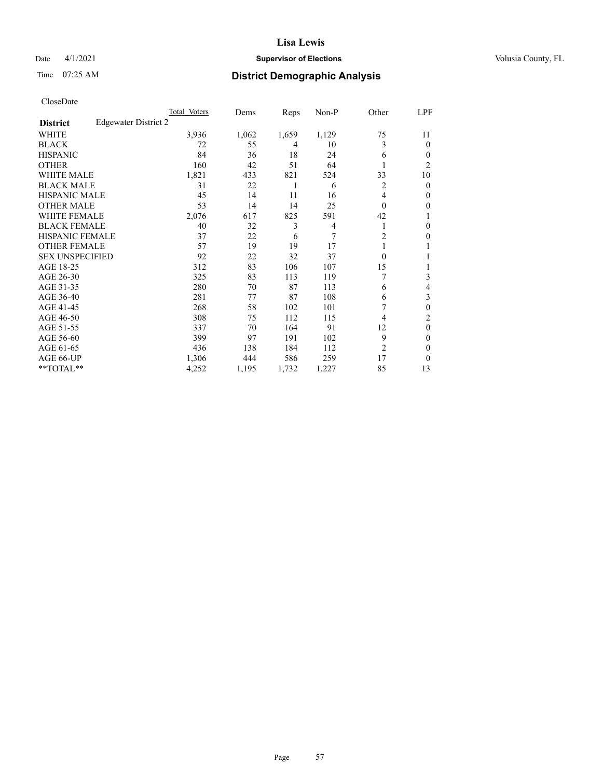## Date 4/1/2021 **Supervisor of Elections Supervisor of Elections** Volusia County, FL

# Time 07:25 AM **District Demographic Analysis**

|                        |                      | Total Voters | Dems  | Reps  | Non-P          | Other          | LPF            |
|------------------------|----------------------|--------------|-------|-------|----------------|----------------|----------------|
| <b>District</b>        | Edgewater District 2 |              |       |       |                |                |                |
| WHITE                  |                      | 3,936        | 1,062 | 1,659 | 1,129          | 75             | 11             |
| <b>BLACK</b>           |                      | 72           | 55    | 4     | 10             | 3              | 0              |
| <b>HISPANIC</b>        |                      | 84           | 36    | 18    | 24             | 6              | $_{0}$         |
| <b>OTHER</b>           |                      | 160          | 42    | 51    | 64             |                | $\overline{c}$ |
| WHITE MALE             |                      | 1,821        | 433   | 821   | 524            | 33             | 10             |
| <b>BLACK MALE</b>      |                      | 31           | 22    | 1     | 6              | 2              | 0              |
| <b>HISPANIC MALE</b>   |                      | 45           | 14    | 11    | 16             | 4              | 0              |
| <b>OTHER MALE</b>      |                      | 53           | 14    | 14    | 25             | $\Omega$       | 0              |
| <b>WHITE FEMALE</b>    |                      | 2,076        | 617   | 825   | 591            | 42             |                |
| <b>BLACK FEMALE</b>    |                      | 40           | 32    | 3     | $\overline{4}$ |                | 0              |
| <b>HISPANIC FEMALE</b> |                      | 37           | 22    | 6     | 7              | $\overline{c}$ | 0              |
| <b>OTHER FEMALE</b>    |                      | 57           | 19    | 19    | 17             |                |                |
| <b>SEX UNSPECIFIED</b> |                      | 92           | 22    | 32    | 37             | $\Omega$       |                |
| AGE 18-25              |                      | 312          | 83    | 106   | 107            | 15             |                |
| AGE 26-30              |                      | 325          | 83    | 113   | 119            | 7              | 3              |
| AGE 31-35              |                      | 280          | 70    | 87    | 113            | 6              | 4              |
| AGE 36-40              |                      | 281          | 77    | 87    | 108            | 6              | 3              |
| AGE 41-45              |                      | 268          | 58    | 102   | 101            |                | 0              |
| AGE 46-50              |                      | 308          | 75    | 112   | 115            | 4              | 2              |
| AGE 51-55              |                      | 337          | 70    | 164   | 91             | 12             | 0              |
| AGE 56-60              |                      | 399          | 97    | 191   | 102            | 9              | 0              |
| AGE 61-65              |                      | 436          | 138   | 184   | 112            | $\overline{2}$ | 0              |
| AGE 66-UP              |                      | 1,306        | 444   | 586   | 259            | 17             | 0              |
| **TOTAL**              |                      | 4,252        | 1,195 | 1,732 | 1,227          | 85             | 13             |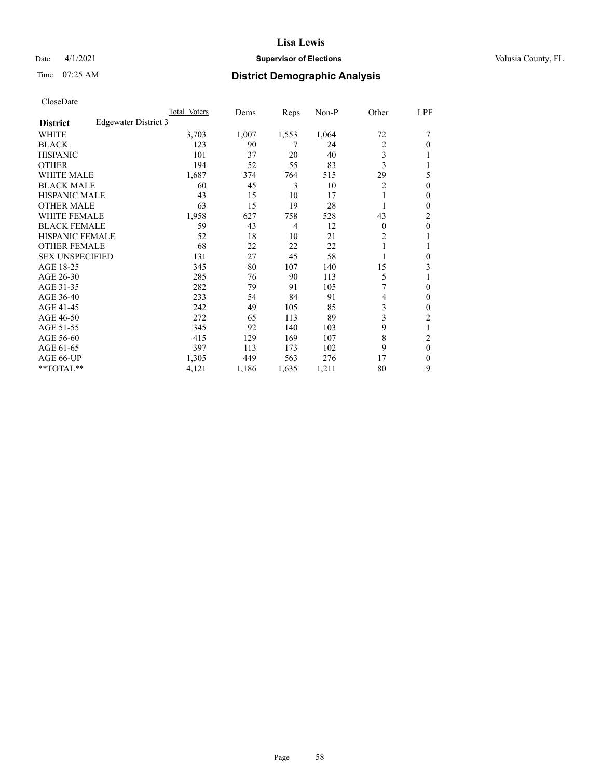## Date 4/1/2021 **Supervisor of Elections Supervisor of Elections** Volusia County, FL

# Time 07:25 AM **District Demographic Analysis**

|                        | Total Voters         | Dems  | Reps           | $Non-P$ | Other          | LPF              |
|------------------------|----------------------|-------|----------------|---------|----------------|------------------|
| <b>District</b>        | Edgewater District 3 |       |                |         |                |                  |
| WHITE                  | 3,703                | 1,007 | 1,553          | 1,064   | 72             |                  |
| <b>BLACK</b>           | 123                  | 90    | 7              | 24      | $\overline{2}$ | 0                |
| <b>HISPANIC</b>        | 101                  | 37    | 20             | 40      | 3              |                  |
| <b>OTHER</b>           | 194                  | 52    | 55             | 83      | 3              |                  |
| <b>WHITE MALE</b>      | 1,687                | 374   | 764            | 515     | 29             | 5                |
| <b>BLACK MALE</b>      | 60                   | 45    | 3              | 10      | $\overline{2}$ | 0                |
| HISPANIC MALE          | 43                   | 15    | 10             | 17      |                | 0                |
| <b>OTHER MALE</b>      | 63                   | 15    | 19             | 28      |                | 0                |
| <b>WHITE FEMALE</b>    | 1,958                | 627   | 758            | 528     | 43             | 2                |
| <b>BLACK FEMALE</b>    | 59                   | 43    | $\overline{4}$ | 12      | $\theta$       | $\boldsymbol{0}$ |
| <b>HISPANIC FEMALE</b> | 52                   | 18    | 10             | 21      | 2              |                  |
| <b>OTHER FEMALE</b>    | 68                   | 22    | 22             | 22      |                |                  |
| <b>SEX UNSPECIFIED</b> | 131                  | 27    | 45             | 58      |                | 0                |
| AGE 18-25              | 345                  | 80    | 107            | 140     | 15             | 3                |
| AGE 26-30              | 285                  | 76    | 90             | 113     | 5              |                  |
| AGE 31-35              | 282                  | 79    | 91             | 105     | 7              | 0                |
| AGE 36-40              | 233                  | 54    | 84             | 91      | 4              | 0                |
| AGE 41-45              | 242                  | 49    | 105            | 85      | 3              | 0                |
| AGE 46-50              | 272                  | 65    | 113            | 89      | 3              | $\overline{c}$   |
| AGE 51-55              | 345                  | 92    | 140            | 103     | 9              |                  |
| AGE 56-60              | 415                  | 129   | 169            | 107     | 8              | $\overline{c}$   |
| AGE 61-65              | 397                  | 113   | 173            | 102     | 9              | $\theta$         |
| AGE 66-UP              | 1,305                | 449   | 563            | 276     | 17             | 0                |
| **TOTAL**              | 4,121                | 1,186 | 1,635          | 1,211   | 80             | 9                |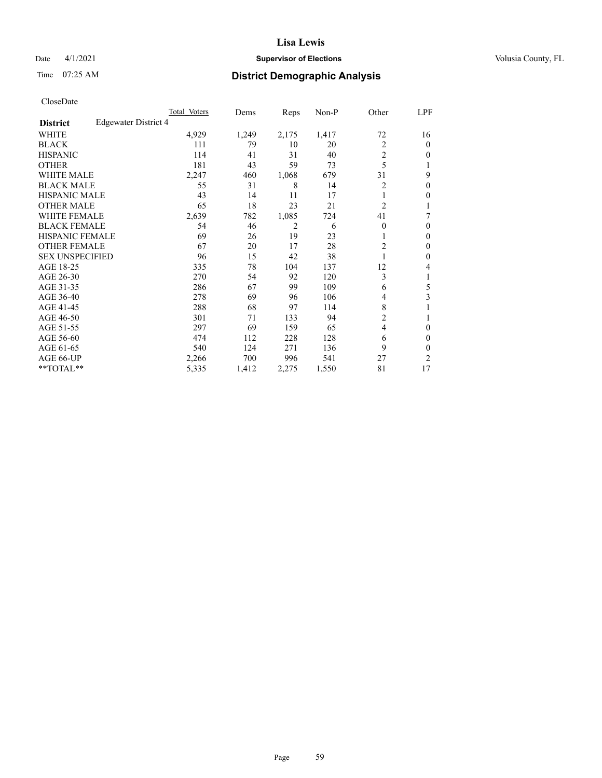## Date 4/1/2021 **Supervisor of Elections Supervisor of Elections** Volusia County, FL

# Time 07:25 AM **District Demographic Analysis**

|                        |                      | Total Voters | Dems  | Reps  | Non-P | Other          | LPF            |
|------------------------|----------------------|--------------|-------|-------|-------|----------------|----------------|
| <b>District</b>        | Edgewater District 4 |              |       |       |       |                |                |
| WHITE                  |                      | 4,929        | 1,249 | 2,175 | 1,417 | 72             | 16             |
| <b>BLACK</b>           |                      | 111          | 79    | 10    | 20    | $\overline{2}$ | 0              |
| <b>HISPANIC</b>        |                      | 114          | 41    | 31    | 40    | 2              | 0              |
| <b>OTHER</b>           |                      | 181          | 43    | 59    | 73    | 5              |                |
| WHITE MALE             |                      | 2,247        | 460   | 1,068 | 679   | 31             | 9              |
| <b>BLACK MALE</b>      |                      | 55           | 31    | 8     | 14    | 2              | 0              |
| <b>HISPANIC MALE</b>   |                      | 43           | 14    | 11    | 17    |                | 0              |
| <b>OTHER MALE</b>      |                      | 65           | 18    | 23    | 21    | $\overline{2}$ |                |
| <b>WHITE FEMALE</b>    |                      | 2,639        | 782   | 1,085 | 724   | 41             | 7              |
| <b>BLACK FEMALE</b>    |                      | 54           | 46    | 2     | 6     | $\Omega$       | 0              |
| <b>HISPANIC FEMALE</b> |                      | 69           | 26    | 19    | 23    |                | 0              |
| <b>OTHER FEMALE</b>    |                      | 67           | 20    | 17    | 28    | 2              | 0              |
| <b>SEX UNSPECIFIED</b> |                      | 96           | 15    | 42    | 38    |                | 0              |
| AGE 18-25              |                      | 335          | 78    | 104   | 137   | 12             | 4              |
| AGE 26-30              |                      | 270          | 54    | 92    | 120   | 3              | 1              |
| AGE 31-35              |                      | 286          | 67    | 99    | 109   | 6              | 5              |
| AGE 36-40              |                      | 278          | 69    | 96    | 106   | 4              | 3              |
| AGE 41-45              |                      | 288          | 68    | 97    | 114   | 8              |                |
| AGE 46-50              |                      | 301          | 71    | 133   | 94    | 2              |                |
| AGE 51-55              |                      | 297          | 69    | 159   | 65    | $\overline{4}$ | 0              |
| AGE 56-60              |                      | 474          | 112   | 228   | 128   | 6              | 0              |
| AGE 61-65              |                      | 540          | 124   | 271   | 136   | 9              | 0              |
| AGE 66-UP              |                      | 2,266        | 700   | 996   | 541   | 27             | $\overline{c}$ |
| **TOTAL**              |                      | 5,335        | 1,412 | 2,275 | 1,550 | 81             | 17             |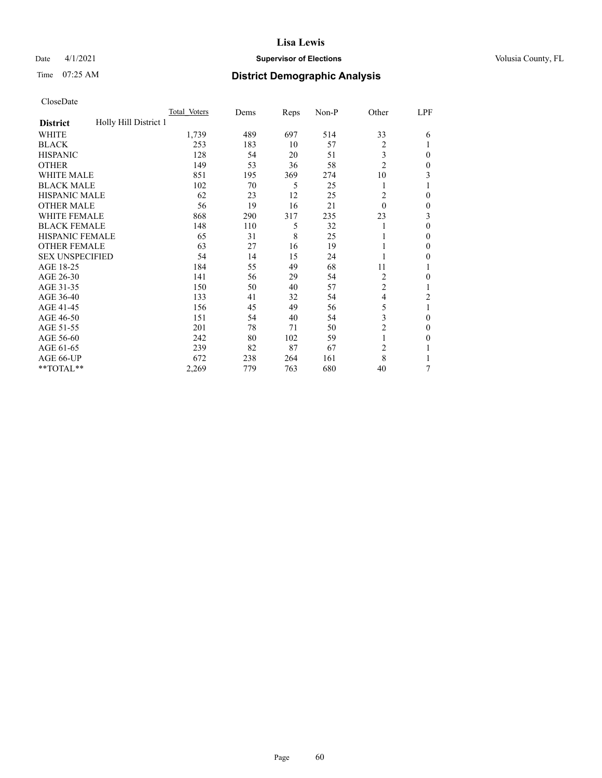## Date 4/1/2021 **Supervisor of Elections Supervisor of Elections** Volusia County, FL

# Time 07:25 AM **District Demographic Analysis**

|                                          | Total Voters | Dems | Reps | Non-P | Other          | LPF          |
|------------------------------------------|--------------|------|------|-------|----------------|--------------|
| Holly Hill District 1<br><b>District</b> |              |      |      |       |                |              |
| WHITE                                    | 1,739        | 489  | 697  | 514   | 33             | 6            |
| <b>BLACK</b>                             | 253          | 183  | 10   | 57    | $\overline{2}$ |              |
| <b>HISPANIC</b>                          | 128          | 54   | 20   | 51    | 3              | $\Omega$     |
| <b>OTHER</b>                             | 149          | 53   | 36   | 58    | $\overline{2}$ | $\theta$     |
| WHITE MALE                               | 851          | 195  | 369  | 274   | 10             | 3            |
| <b>BLACK MALE</b>                        | 102          | 70   | 5    | 25    | 1              |              |
| <b>HISPANIC MALE</b>                     | 62           | 23   | 12   | 25    | 2              | 0            |
| <b>OTHER MALE</b>                        | 56           | 19   | 16   | 21    | $\theta$       | $\mathbf{0}$ |
| WHITE FEMALE                             | 868          | 290  | 317  | 235   | 23             | 3            |
| <b>BLACK FEMALE</b>                      | 148          | 110  | 5    | 32    |                | $\theta$     |
| HISPANIC FEMALE                          | 65           | 31   | 8    | 25    |                | $\Omega$     |
| <b>OTHER FEMALE</b>                      | 63           | 27   | 16   | 19    |                | $\theta$     |
| <b>SEX UNSPECIFIED</b>                   | 54           | 14   | 15   | 24    |                | 0            |
| AGE 18-25                                | 184          | 55   | 49   | 68    | 11             |              |
| AGE 26-30                                | 141          | 56   | 29   | 54    | 2              | $\theta$     |
| AGE 31-35                                | 150          | 50   | 40   | 57    | $\overline{c}$ |              |
| AGE 36-40                                | 133          | 41   | 32   | 54    | 4              | 2            |
| AGE 41-45                                | 156          | 45   | 49   | 56    | 5              |              |
| AGE 46-50                                | 151          | 54   | 40   | 54    | 3              | $\theta$     |
| AGE 51-55                                | 201          | 78   | 71   | 50    | $\overline{2}$ | $\Omega$     |
| AGE 56-60                                | 242          | 80   | 102  | 59    | 1              | $\theta$     |
| AGE 61-65                                | 239          | 82   | 87   | 67    | $\overline{2}$ |              |
| AGE 66-UP                                | 672          | 238  | 264  | 161   | 8              |              |
| **TOTAL**                                | 2,269        | 779  | 763  | 680   | 40             | 7            |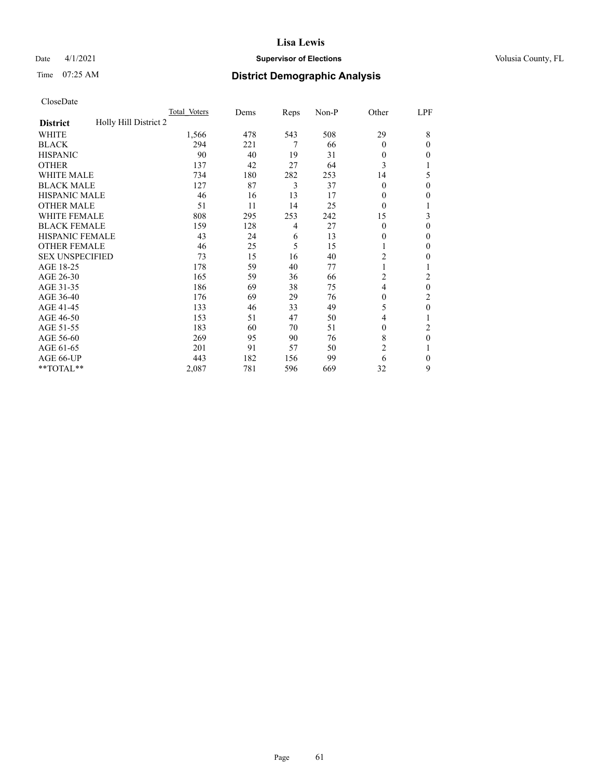## Date 4/1/2021 **Supervisor of Elections Supervisor of Elections** Volusia County, FL

# Time 07:25 AM **District Demographic Analysis**

|                                          | Total Voters | Dems | Reps | Non-P | Other          | LPF            |
|------------------------------------------|--------------|------|------|-------|----------------|----------------|
| Holly Hill District 2<br><b>District</b> |              |      |      |       |                |                |
| WHITE                                    | 1,566        | 478  | 543  | 508   | 29             | 8              |
| <b>BLACK</b>                             | 294          | 221  | 7    | 66    | $\theta$       | 0              |
| <b>HISPANIC</b>                          | 90           | 40   | 19   | 31    | $\theta$       | 0              |
| <b>OTHER</b>                             | 137          | 42   | 27   | 64    | 3              |                |
| WHITE MALE                               | 734          | 180  | 282  | 253   | 14             | 5              |
| <b>BLACK MALE</b>                        | 127          | 87   | 3    | 37    | $\theta$       | $\Omega$       |
| <b>HISPANIC MALE</b>                     | 46           | 16   | 13   | 17    | $\theta$       | 0              |
| <b>OTHER MALE</b>                        | 51           | 11   | 14   | 25    | $\theta$       | 1              |
| <b>WHITE FEMALE</b>                      | 808          | 295  | 253  | 242   | 15             | 3              |
| <b>BLACK FEMALE</b>                      | 159          | 128  | 4    | 27    | $\theta$       | 0              |
| <b>HISPANIC FEMALE</b>                   | 43           | 24   | 6    | 13    | 0              | 0              |
| <b>OTHER FEMALE</b>                      | 46           | 25   | 5    | 15    |                | 0              |
| <b>SEX UNSPECIFIED</b>                   | 73           | 15   | 16   | 40    | $\overline{2}$ | 0              |
| AGE 18-25                                | 178          | 59   | 40   | 77    |                |                |
| AGE 26-30                                | 165          | 59   | 36   | 66    | $\overline{c}$ | 2              |
| AGE 31-35                                | 186          | 69   | 38   | 75    | 4              | $\mathbf{0}$   |
| AGE 36-40                                | 176          | 69   | 29   | 76    | $\theta$       | 2              |
| AGE 41-45                                | 133          | 46   | 33   | 49    | 5              | 0              |
| AGE 46-50                                | 153          | 51   | 47   | 50    | 4              |                |
| AGE 51-55                                | 183          | 60   | 70   | 51    | $\theta$       | $\overline{c}$ |
| AGE 56-60                                | 269          | 95   | 90   | 76    | 8              | $\theta$       |
| AGE 61-65                                | 201          | 91   | 57   | 50    | $\overline{2}$ |                |
| AGE 66-UP                                | 443          | 182  | 156  | 99    | 6              | 0              |
| **TOTAL**                                | 2,087        | 781  | 596  | 669   | 32             | 9              |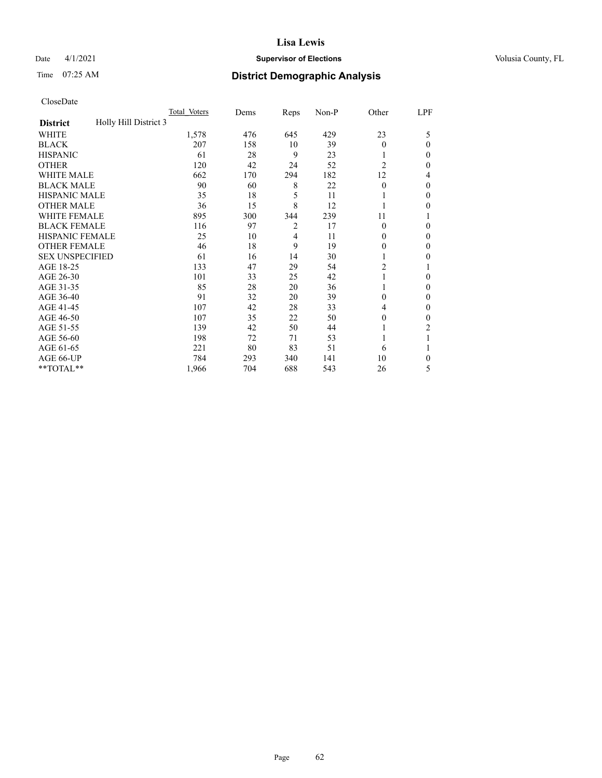## Date 4/1/2021 **Supervisor of Elections Supervisor of Elections** Volusia County, FL

# Time 07:25 AM **District Demographic Analysis**

|                                          | Total Voters | Dems | Reps           | Non-P | Other          | LPF    |
|------------------------------------------|--------------|------|----------------|-------|----------------|--------|
| Holly Hill District 3<br><b>District</b> |              |      |                |       |                |        |
| WHITE                                    | 1,578        | 476  | 645            | 429   | 23             | 5      |
| <b>BLACK</b>                             | 207          | 158  | 10             | 39    | $\Omega$       | 0      |
| <b>HISPANIC</b>                          | 61           | 28   | 9              | 23    |                | $_{0}$ |
| <b>OTHER</b>                             | 120          | 42   | 24             | 52    | $\overline{2}$ | 0      |
| WHITE MALE                               | 662          | 170  | 294            | 182   | 12             | 4      |
| <b>BLACK MALE</b>                        | 90           | 60   | 8              | 22    | $\Omega$       | 0      |
| <b>HISPANIC MALE</b>                     | 35           | 18   | 5              | 11    |                | 0      |
| <b>OTHER MALE</b>                        | 36           | 15   | 8              | 12    |                | 0      |
| WHITE FEMALE                             | 895          | 300  | 344            | 239   | 11             |        |
| <b>BLACK FEMALE</b>                      | 116          | 97   | $\overline{2}$ | 17    | $\Omega$       | 0      |
| <b>HISPANIC FEMALE</b>                   | 25           | 10   | 4              | 11    | 0              | 0      |
| <b>OTHER FEMALE</b>                      | 46           | 18   | 9              | 19    | 0              | 0      |
| <b>SEX UNSPECIFIED</b>                   | 61           | 16   | 14             | 30    |                | 0      |
| AGE 18-25                                | 133          | 47   | 29             | 54    | $\overline{c}$ |        |
| AGE 26-30                                | 101          | 33   | 25             | 42    | 1              | 0      |
| AGE 31-35                                | 85           | 28   | 20             | 36    |                | 0      |
| AGE 36-40                                | 91           | 32   | 20             | 39    | 0              | 0      |
| AGE 41-45                                | 107          | 42   | 28             | 33    | 4              | 0      |
| AGE 46-50                                | 107          | 35   | 22             | 50    | 0              | 0      |
| AGE 51-55                                | 139          | 42   | 50             | 44    |                | 2      |
| AGE 56-60                                | 198          | 72   | 71             | 53    |                |        |
| AGE 61-65                                | 221          | 80   | 83             | 51    | 6              |        |
| AGE 66-UP                                | 784          | 293  | 340            | 141   | 10             | 0      |
| **TOTAL**                                | 1,966        | 704  | 688            | 543   | 26             | 5      |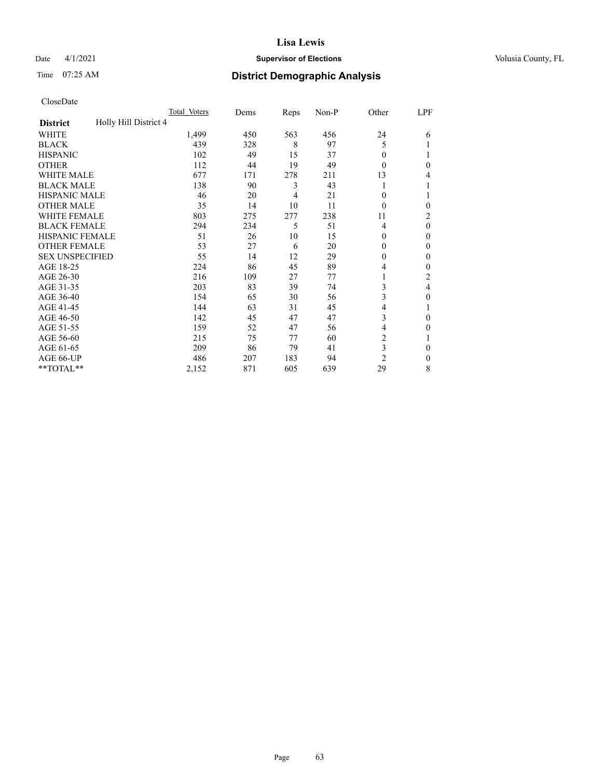## Date 4/1/2021 **Supervisor of Elections Supervisor of Elections** Volusia County, FL

# Time 07:25 AM **District Demographic Analysis**

|                                          | Total Voters | Dems | Reps | Non-P | Other          | LPF      |
|------------------------------------------|--------------|------|------|-------|----------------|----------|
| Holly Hill District 4<br><b>District</b> |              |      |      |       |                |          |
| WHITE                                    | 1,499        | 450  | 563  | 456   | 24             | 6        |
| <b>BLACK</b>                             | 439          | 328  | 8    | 97    | 5              |          |
| <b>HISPANIC</b>                          | 102          | 49   | 15   | 37    | $\theta$       |          |
| <b>OTHER</b>                             | 112          | 44   | 19   | 49    | $\Omega$       | 0        |
| WHITE MALE                               | 677          | 171  | 278  | 211   | 13             | 4        |
| <b>BLACK MALE</b>                        | 138          | 90   | 3    | 43    |                |          |
| <b>HISPANIC MALE</b>                     | 46           | 20   | 4    | 21    | $\theta$       |          |
| <b>OTHER MALE</b>                        | 35           | 14   | 10   | 11    | $\Omega$       | 0        |
| <b>WHITE FEMALE</b>                      | 803          | 275  | 277  | 238   | 11             | 2        |
| <b>BLACK FEMALE</b>                      | 294          | 234  | 5    | 51    | 4              | $\theta$ |
| <b>HISPANIC FEMALE</b>                   | 51           | 26   | 10   | 15    | $\theta$       | 0        |
| <b>OTHER FEMALE</b>                      | 53           | 27   | 6    | 20    | $\theta$       | 0        |
| <b>SEX UNSPECIFIED</b>                   | 55           | 14   | 12   | 29    | $\theta$       | 0        |
| AGE 18-25                                | 224          | 86   | 45   | 89    | 4              | 0        |
| AGE 26-30                                | 216          | 109  | 27   | 77    | 1              | 2        |
| AGE 31-35                                | 203          | 83   | 39   | 74    | 3              | 4        |
| AGE 36-40                                | 154          | 65   | 30   | 56    | 3              | 0        |
| AGE 41-45                                | 144          | 63   | 31   | 45    | 4              |          |
| AGE 46-50                                | 142          | 45   | 47   | 47    | 3              | 0        |
| AGE 51-55                                | 159          | 52   | 47   | 56    | 4              | 0        |
| AGE 56-60                                | 215          | 75   | 77   | 60    | $\overline{c}$ |          |
| AGE 61-65                                | 209          | 86   | 79   | 41    | 3              | 0        |
| AGE 66-UP                                | 486          | 207  | 183  | 94    | $\overline{2}$ | 0        |
| **TOTAL**                                | 2,152        | 871  | 605  | 639   | 29             | 8        |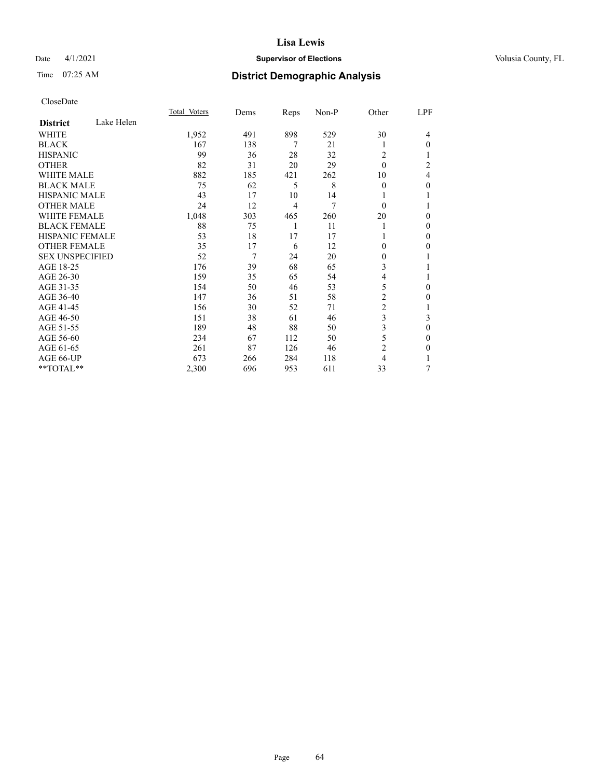## Date 4/1/2021 **Supervisor of Elections Supervisor of Elections** Volusia County, FL

# Time 07:25 AM **District Demographic Analysis**

|                        |            | Total Voters | Dems | Reps           | Non-P | Other          | LPF          |
|------------------------|------------|--------------|------|----------------|-------|----------------|--------------|
| <b>District</b>        | Lake Helen |              |      |                |       |                |              |
| WHITE                  |            | 1,952        | 491  | 898            | 529   | 30             | 4            |
| <b>BLACK</b>           |            | 167          | 138  | 7              | 21    | 1              | $\Omega$     |
| <b>HISPANIC</b>        |            | 99           | 36   | 28             | 32    | 2              |              |
| <b>OTHER</b>           |            | 82           | 31   | 20             | 29    | $\Omega$       | 2            |
| <b>WHITE MALE</b>      |            | 882          | 185  | 421            | 262   | 10             | 4            |
| <b>BLACK MALE</b>      |            | 75           | 62   | 5              | 8     | $\mathbf{0}$   | 0            |
| <b>HISPANIC MALE</b>   |            | 43           | 17   | 10             | 14    |                |              |
| <b>OTHER MALE</b>      |            | 24           | 12   | $\overline{4}$ | 7     | $\theta$       |              |
| <b>WHITE FEMALE</b>    |            | 1,048        | 303  | 465            | 260   | 20             | 0            |
| <b>BLACK FEMALE</b>    |            | 88           | 75   | 1              | 11    | 1              | 0            |
| <b>HISPANIC FEMALE</b> |            | 53           | 18   | 17             | 17    |                | 0            |
| <b>OTHER FEMALE</b>    |            | 35           | 17   | 6              | 12    | $\theta$       | 0            |
| <b>SEX UNSPECIFIED</b> |            | 52           | 7    | 24             | 20    | $\mathbf{0}$   |              |
| AGE 18-25              |            | 176          | 39   | 68             | 65    | 3              |              |
| AGE 26-30              |            | 159          | 35   | 65             | 54    | 4              |              |
| AGE 31-35              |            | 154          | 50   | 46             | 53    | 5              | 0            |
| AGE 36-40              |            | 147          | 36   | 51             | 58    | $\overline{2}$ | 0            |
| AGE 41-45              |            | 156          | 30   | 52             | 71    | $\overline{c}$ |              |
| AGE 46-50              |            | 151          | 38   | 61             | 46    | 3              | 3            |
| AGE 51-55              |            | 189          | 48   | 88             | 50    | 3              | $\mathbf{0}$ |
| AGE 56-60              |            | 234          | 67   | 112            | 50    | 5              | 0            |
| AGE 61-65              |            | 261          | 87   | 126            | 46    | $\overline{c}$ | 0            |
| AGE 66-UP              |            | 673          | 266  | 284            | 118   | 4              |              |
| **TOTAL**              |            | 2,300        | 696  | 953            | 611   | 33             | 7            |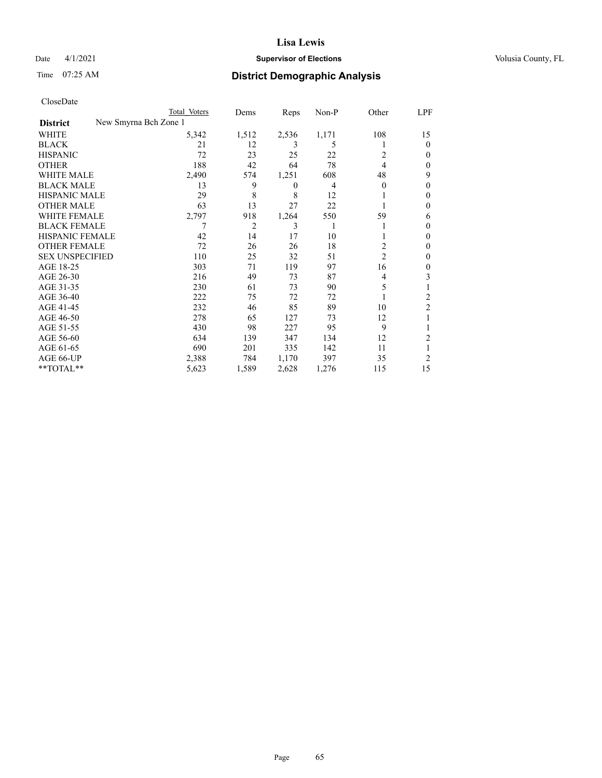## Date 4/1/2021 **Supervisor of Elections Supervisor of Elections** Volusia County, FL

|                                          | Total Voters | Dems           | Reps             | Non-P | Other          | LPF            |
|------------------------------------------|--------------|----------------|------------------|-------|----------------|----------------|
| New Smyrna Bch Zone 1<br><b>District</b> |              |                |                  |       |                |                |
| WHITE                                    | 5,342        | 1,512          | 2,536            | 1,171 | 108            | 15             |
| <b>BLACK</b>                             | 21           | 12             | 3                | 5     | T              | $\theta$       |
| <b>HISPANIC</b>                          | 72           | 23             | 25               | 22    | 2              | $_{0}$         |
| <b>OTHER</b>                             | 188          | 42             | 64               | 78    | 4              | 0              |
| <b>WHITE MALE</b>                        | 2,490        | 574            | 1,251            | 608   | 48             | 9              |
| <b>BLACK MALE</b>                        | 13           | 9              | $\boldsymbol{0}$ | 4     | $\overline{0}$ | 0              |
| <b>HISPANIC MALE</b>                     | 29           | 8              | 8                | 12    |                | 0              |
| <b>OTHER MALE</b>                        | 63           | 13             | 27               | 22    |                | 0              |
| <b>WHITE FEMALE</b>                      | 2,797        | 918            | 1,264            | 550   | 59             | 6              |
| <b>BLACK FEMALE</b>                      |              | $\overline{2}$ | 3                |       | 1              | 0              |
| <b>HISPANIC FEMALE</b>                   | 42           | 14             | 17               | 10    |                | 0              |
| <b>OTHER FEMALE</b>                      | 72           | 26             | 26               | 18    | 2              | $_{0}$         |
| <b>SEX UNSPECIFIED</b>                   | 110          | 25             | 32               | 51    | $\overline{c}$ | 0              |
| AGE 18-25                                | 303          | 71             | 119              | 97    | 16             | 0              |
| AGE 26-30                                | 216          | 49             | 73               | 87    | 4              | 3              |
| AGE 31-35                                | 230          | 61             | 73               | 90    | 5              |                |
| AGE 36-40                                | 222          | 75             | 72               | 72    |                | 2              |
| AGE 41-45                                | 232          | 46             | 85               | 89    | 10             | $\overline{2}$ |
| AGE 46-50                                | 278          | 65             | 127              | 73    | 12             |                |
| AGE 51-55                                | 430          | 98             | 227              | 95    | 9              |                |
| AGE 56-60                                | 634          | 139            | 347              | 134   | 12             | 2              |
| AGE 61-65                                | 690          | 201            | 335              | 142   | 11             |                |
| AGE 66-UP                                | 2,388        | 784            | 1,170            | 397   | 35             | 2              |
| **TOTAL**                                | 5,623        | 1,589          | 2,628            | 1,276 | 115            | 15             |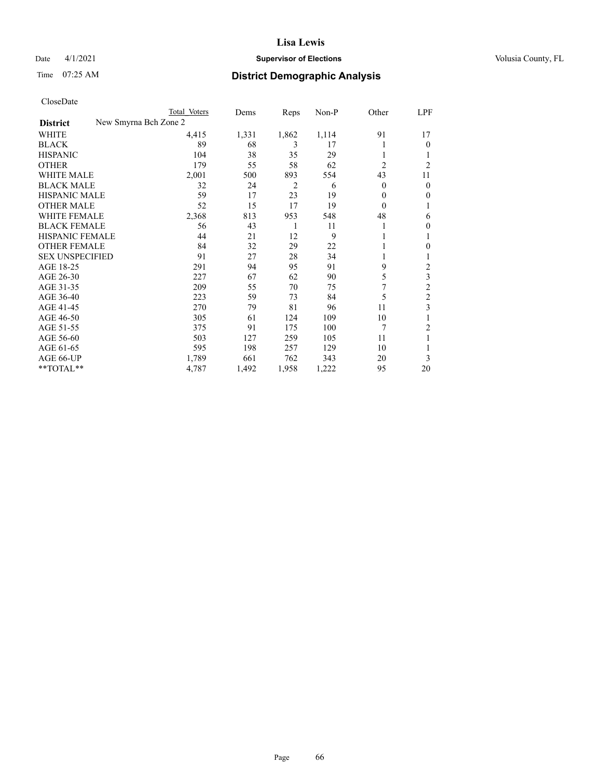## Date 4/1/2021 **Supervisor of Elections Supervisor of Elections** Volusia County, FL

| CloseDate |
|-----------|
|-----------|

|                        |                       | Total Voters | Dems  | Reps           | Non-P | Other          | LPF            |
|------------------------|-----------------------|--------------|-------|----------------|-------|----------------|----------------|
| <b>District</b>        | New Smyrna Bch Zone 2 |              |       |                |       |                |                |
| WHITE                  |                       | 4,415        | 1,331 | 1,862          | 1,114 | 91             | 17             |
| <b>BLACK</b>           |                       | 89           | 68    | 3              | 17    |                | $\Omega$       |
| <b>HISPANIC</b>        |                       | 104          | 38    | 35             | 29    |                |                |
| <b>OTHER</b>           |                       | 179          | 55    | 58             | 62    | $\overline{c}$ | $\overline{c}$ |
| <b>WHITE MALE</b>      |                       | 2,001        | 500   | 893            | 554   | 43             | 11             |
| <b>BLACK MALE</b>      |                       | 32           | 24    | $\overline{2}$ | 6     | 0              | $\mathbf{0}$   |
| <b>HISPANIC MALE</b>   |                       | 59           | 17    | 23             | 19    | 0              | $\mathbf{0}$   |
| <b>OTHER MALE</b>      |                       | 52           | 15    | 17             | 19    | $\Omega$       |                |
| <b>WHITE FEMALE</b>    |                       | 2,368        | 813   | 953            | 548   | 48             | 6              |
| <b>BLACK FEMALE</b>    |                       | 56           | 43    | 1              | 11    |                | $\theta$       |
| HISPANIC FEMALE        |                       | 44           | 21    | 12             | 9     |                |                |
| OTHER FEMALE           |                       | 84           | 32    | 29             | 22    |                | 0              |
| <b>SEX UNSPECIFIED</b> |                       | 91           | 27    | 28             | 34    |                |                |
| AGE 18-25              |                       | 291          | 94    | 95             | 91    | 9              | 2              |
| AGE 26-30              |                       | 227          | 67    | 62             | 90    | 5              | 3              |
| AGE 31-35              |                       | 209          | 55    | 70             | 75    | 7              | $\overline{2}$ |
| AGE 36-40              |                       | 223          | 59    | 73             | 84    | 5              | $\overline{c}$ |
| AGE 41-45              |                       | 270          | 79    | 81             | 96    | 11             | 3              |
| AGE 46-50              |                       | 305          | 61    | 124            | 109   | 10             |                |
| AGE 51-55              |                       | 375          | 91    | 175            | 100   | 7              | 2              |
| AGE 56-60              |                       | 503          | 127   | 259            | 105   | 11             |                |
| AGE 61-65              |                       | 595          | 198   | 257            | 129   | 10             |                |
| AGE 66-UP              |                       | 1,789        | 661   | 762            | 343   | 20             | 3              |
| **TOTAL**              |                       | 4,787        | 1,492 | 1,958          | 1,222 | 95             | 20             |
|                        |                       |              |       |                |       |                |                |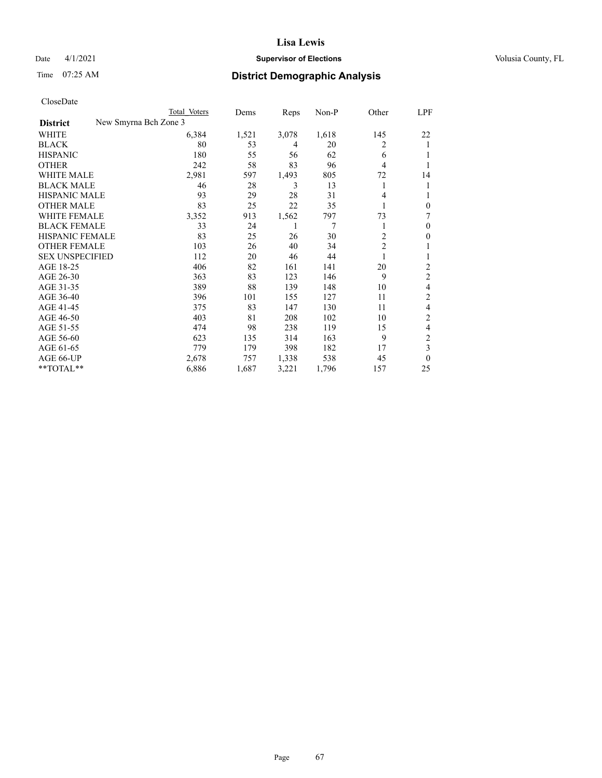## Date 4/1/2021 **Supervisor of Elections Supervisor of Elections** Volusia County, FL

| CloseDate |
|-----------|
|-----------|

| Total Voters          | Dems  | Reps  | Non-P | Other          | LPF      |
|-----------------------|-------|-------|-------|----------------|----------|
| New Smyrna Bch Zone 3 |       |       |       |                |          |
| 6,384                 | 1,521 | 3,078 | 1,618 | 145            | 22       |
| 80                    | 53    | 4     | 20    | 2              | 1        |
| 180                   | 55    | 56    | 62    | 6              |          |
| 242                   | 58    | 83    | 96    | 4              |          |
| 2,981                 | 597   | 1,493 | 805   | 72             | 14       |
| 46                    | 28    | 3     | 13    | 1              | 1        |
| 93                    | 29    | 28    | 31    | 4              |          |
| 83                    | 25    | 22    | 35    | 1              | 0        |
| 3,352                 | 913   | 1,562 | 797   | 73             | 7        |
| 33                    | 24    |       | 7     | 1              | 0        |
| 83                    | 25    | 26    | 30    | $\overline{c}$ | 0        |
| 103                   | 26    | 40    | 34    | $\overline{2}$ |          |
| 112                   | 20    | 46    | 44    | 1              | 1        |
| 406                   | 82    | 161   | 141   | 20             | 2        |
| 363                   | 83    | 123   | 146   | 9              | 2        |
| 389                   | 88    | 139   | 148   | 10             | 4        |
| 396                   | 101   | 155   | 127   | 11             | 2        |
| 375                   | 83    | 147   | 130   | 11             | 4        |
| 403                   | 81    | 208   | 102   | 10             | 2        |
| 474                   | 98    | 238   | 119   | 15             | 4        |
| 623                   | 135   | 314   | 163   | 9              | 2        |
| 779                   | 179   | 398   | 182   | 17             | 3        |
| 2,678                 | 757   | 1,338 | 538   | 45             | $\Omega$ |
| 6,886                 | 1,687 | 3,221 | 1,796 | 157            | 25       |
|                       |       |       |       |                |          |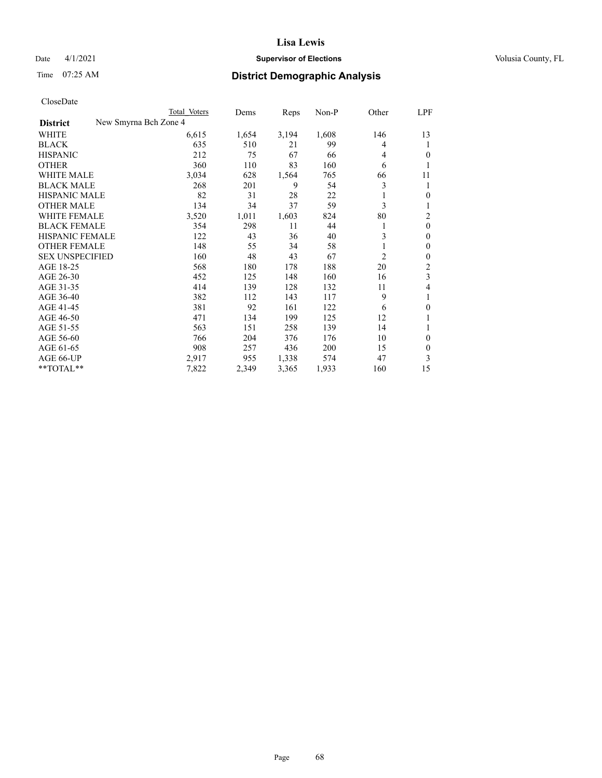## Date 4/1/2021 **Supervisor of Elections Supervisor of Elections** Volusia County, FL

|                                          | Total Voters | Dems  | Reps  | Non-P | Other          | LPF          |
|------------------------------------------|--------------|-------|-------|-------|----------------|--------------|
| New Smyrna Bch Zone 4<br><b>District</b> |              |       |       |       |                |              |
| WHITE                                    | 6,615        | 1,654 | 3,194 | 1,608 | 146            | 13           |
| <b>BLACK</b>                             | 635          | 510   | 21    | 99    | 4              | 1            |
| <b>HISPANIC</b>                          | 212          | 75    | 67    | 66    | 4              | 0            |
| <b>OTHER</b>                             | 360          | 110   | 83    | 160   | 6              | 1            |
| WHITE MALE                               | 3,034        | 628   | 1,564 | 765   | 66             | 11           |
| <b>BLACK MALE</b>                        | 268          | 201   | 9     | 54    | 3              | 1            |
| HISPANIC MALE                            | 82           | 31    | 28    | 22    | 1              | 0            |
| <b>OTHER MALE</b>                        | 134          | 34    | 37    | 59    | 3              |              |
| <b>WHITE FEMALE</b>                      | 3,520        | 1,011 | 1,603 | 824   | 80             | 2            |
| <b>BLACK FEMALE</b>                      | 354          | 298   | 11    | 44    | 1              | $\theta$     |
| HISPANIC FEMALE                          | 122          | 43    | 36    | 40    | 3              | 0            |
| <b>OTHER FEMALE</b>                      | 148          | 55    | 34    | 58    | 1              | $\theta$     |
| <b>SEX UNSPECIFIED</b>                   | 160          | 48    | 43    | 67    | $\overline{c}$ | $\theta$     |
| AGE 18-25                                | 568          | 180   | 178   | 188   | 20             | 2            |
| AGE 26-30                                | 452          | 125   | 148   | 160   | 16             | 3            |
| AGE 31-35                                | 414          | 139   | 128   | 132   | 11             | 4            |
| AGE 36-40                                | 382          | 112   | 143   | 117   | 9              | 1            |
| AGE 41-45                                | 381          | 92    | 161   | 122   | 6              | $\mathbf{0}$ |
| AGE 46-50                                | 471          | 134   | 199   | 125   | 12             | 1            |
| AGE 51-55                                | 563          | 151   | 258   | 139   | 14             | 1            |
| AGE 56-60                                | 766          | 204   | 376   | 176   | 10             | $\mathbf{0}$ |
| AGE 61-65                                | 908          | 257   | 436   | 200   | 15             | $\theta$     |
| AGE 66-UP                                | 2,917        | 955   | 1,338 | 574   | 47             | 3            |
| **TOTAL**                                | 7,822        | 2,349 | 3,365 | 1,933 | 160            | 15           |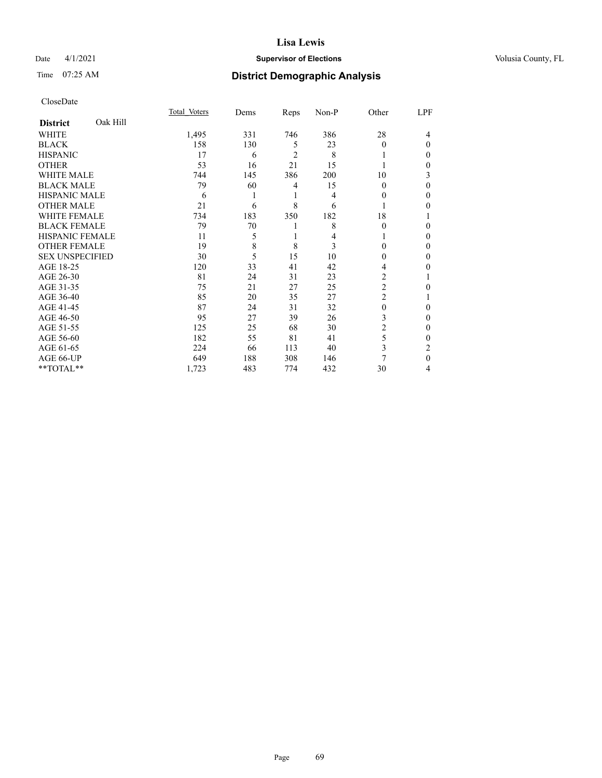## Date 4/1/2021 **Supervisor of Elections Supervisor of Elections** Volusia County, FL

# Time 07:25 AM **District Demographic Analysis**

|                             | Total Voters | Dems | Reps           | Non-P | Other          | LPF      |
|-----------------------------|--------------|------|----------------|-------|----------------|----------|
| Oak Hill<br><b>District</b> |              |      |                |       |                |          |
| WHITE                       | 1,495        | 331  | 746            | 386   | 28             | 4        |
| <b>BLACK</b>                | 158          | 130  | 5              | 23    | 0              | $\Omega$ |
| <b>HISPANIC</b>             | 17           | 6    | $\overline{2}$ | 8     |                | 0        |
| <b>OTHER</b>                | 53           | 16   | 21             | 15    |                | 0        |
| WHITE MALE                  | 744          | 145  | 386            | 200   | 10             | 3        |
| <b>BLACK MALE</b>           | 79           | 60   | 4              | 15    | $\Omega$       | 0        |
| <b>HISPANIC MALE</b>        | 6            |      | 1              | 4     | $_{0}$         | 0        |
| <b>OTHER MALE</b>           | 21           | 6    | 8              | 6     |                | 0        |
| <b>WHITE FEMALE</b>         | 734          | 183  | 350            | 182   | 18             |          |
| <b>BLACK FEMALE</b>         | 79           | 70   | 1              | 8     | $\Omega$       | 0        |
| <b>HISPANIC FEMALE</b>      | 11           | 5    | 1              | 4     |                | 0        |
| <b>OTHER FEMALE</b>         | 19           | 8    | 8              | 3     | 0              | 0        |
| <b>SEX UNSPECIFIED</b>      | 30           | 5    | 15             | 10    | 0              | 0        |
| AGE 18-25                   | 120          | 33   | 41             | 42    | 4              | 0        |
| AGE 26-30                   | 81           | 24   | 31             | 23    | $\overline{c}$ |          |
| AGE 31-35                   | 75           | 21   | 27             | 25    | $\overline{2}$ | 0        |
| AGE 36-40                   | 85           | 20   | 35             | 27    | 2              |          |
| AGE 41-45                   | 87           | 24   | 31             | 32    | $\Omega$       | 0        |
| AGE 46-50                   | 95           | 27   | 39             | 26    | 3              | 0        |
| AGE 51-55                   | 125          | 25   | 68             | 30    | 2              | 0        |
| AGE 56-60                   | 182          | 55   | 81             | 41    | 5              | 0        |
| AGE 61-65                   | 224          | 66   | 113            | 40    | 3              | 2        |
| AGE 66-UP                   | 649          | 188  | 308            | 146   | 7              | 0        |
| **TOTAL**                   | 1,723        | 483  | 774            | 432   | 30             | 4        |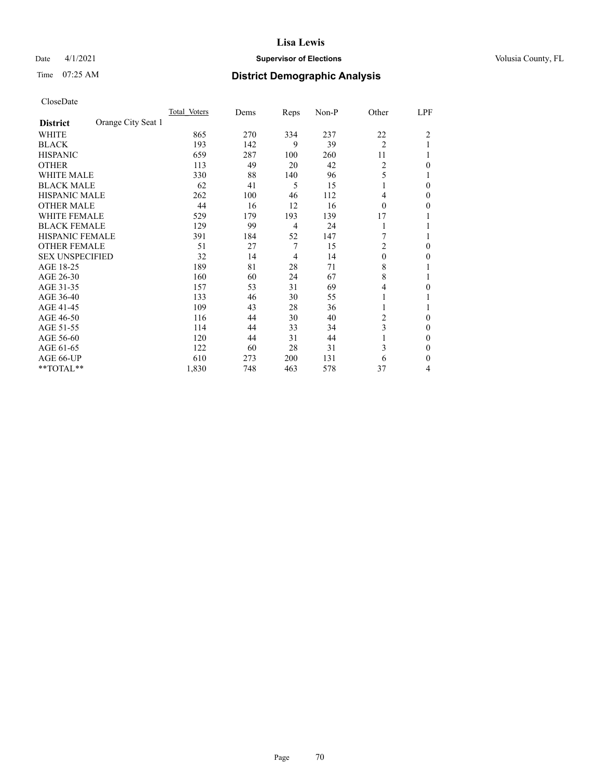## Date 4/1/2021 **Supervisor of Elections Supervisor of Elections** Volusia County, FL

# Time 07:25 AM **District Demographic Analysis**

|                        |                    | Total Voters | Dems | Reps | Non-P | Other          | LPF            |
|------------------------|--------------------|--------------|------|------|-------|----------------|----------------|
| <b>District</b>        | Orange City Seat 1 |              |      |      |       |                |                |
| WHITE                  |                    | 865          | 270  | 334  | 237   | 22             | $\overline{2}$ |
| <b>BLACK</b>           |                    | 193          | 142  | 9    | 39    | $\overline{2}$ |                |
| <b>HISPANIC</b>        |                    | 659          | 287  | 100  | 260   | 11             |                |
| <b>OTHER</b>           |                    | 113          | 49   | 20   | 42    | $\overline{2}$ | 0              |
| WHITE MALE             |                    | 330          | 88   | 140  | 96    | 5              |                |
| <b>BLACK MALE</b>      |                    | 62           | 41   | 5    | 15    | 1              | 0              |
| <b>HISPANIC MALE</b>   |                    | 262          | 100  | 46   | 112   | 4              | 0              |
| <b>OTHER MALE</b>      |                    | 44           | 16   | 12   | 16    | $\theta$       | 0              |
| WHITE FEMALE           |                    | 529          | 179  | 193  | 139   | 17             |                |
| <b>BLACK FEMALE</b>    |                    | 129          | 99   | 4    | 24    | 1              |                |
| <b>HISPANIC FEMALE</b> |                    | 391          | 184  | 52   | 147   |                |                |
| <b>OTHER FEMALE</b>    |                    | 51           | 27   | 7    | 15    | 2              | 0              |
| <b>SEX UNSPECIFIED</b> |                    | 32           | 14   | 4    | 14    | $\theta$       | 0              |
| AGE 18-25              |                    | 189          | 81   | 28   | 71    | 8              |                |
| AGE 26-30              |                    | 160          | 60   | 24   | 67    | 8              |                |
| AGE 31-35              |                    | 157          | 53   | 31   | 69    | 4              | 0              |
| AGE 36-40              |                    | 133          | 46   | 30   | 55    | 1              |                |
| AGE 41-45              |                    | 109          | 43   | 28   | 36    |                |                |
| AGE 46-50              |                    | 116          | 44   | 30   | 40    | 2              | $\Omega$       |
| AGE 51-55              |                    | 114          | 44   | 33   | 34    | 3              | 0              |
| AGE 56-60              |                    | 120          | 44   | 31   | 44    |                | 0              |
| AGE 61-65              |                    | 122          | 60   | 28   | 31    | 3              | 0              |
| AGE 66-UP              |                    | 610          | 273  | 200  | 131   | 6              | 0              |
| **TOTAL**              |                    | 1,830        | 748  | 463  | 578   | 37             | 4              |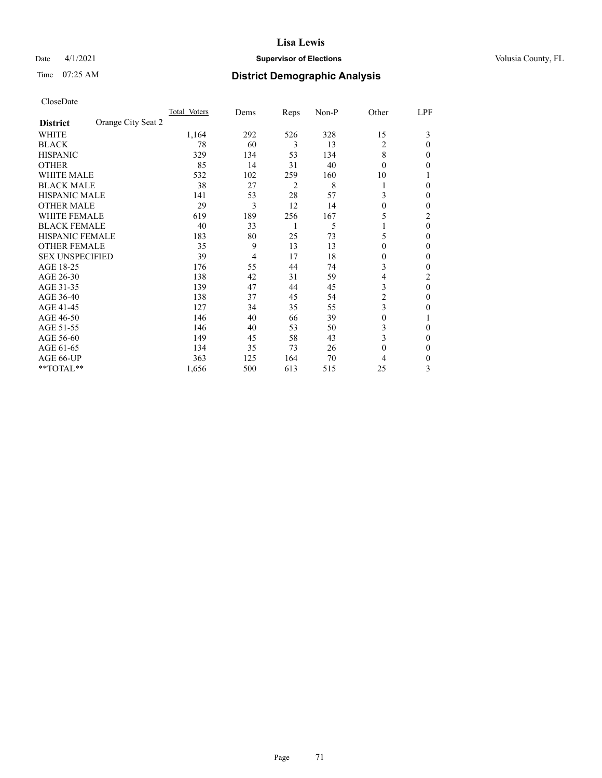## Date 4/1/2021 **Supervisor of Elections Supervisor of Elections** Volusia County, FL

# Time 07:25 AM **District Demographic Analysis**

|                        | Total Voters       | Dems | Reps           | Non-P | Other        | LPF      |
|------------------------|--------------------|------|----------------|-------|--------------|----------|
| <b>District</b>        | Orange City Seat 2 |      |                |       |              |          |
| WHITE                  | 1,164              | 292  | 526            | 328   | 15           | 3        |
| <b>BLACK</b>           | 78                 | 60   | 3              | 13    | 2            | $\Omega$ |
| <b>HISPANIC</b>        | 329                | 134  | 53             | 134   | 8            | 0        |
| <b>OTHER</b>           | 85                 | 14   | 31             | 40    | $\theta$     | 0        |
| WHITE MALE             | 532                | 102  | 259            | 160   | 10           |          |
| <b>BLACK MALE</b>      | 38                 | 27   | $\overline{2}$ | 8     | 1            | 0        |
| <b>HISPANIC MALE</b>   | 141                | 53   | 28             | 57    | 3            | 0        |
| <b>OTHER MALE</b>      | 29                 | 3    | 12             | 14    | 0            | 0        |
| <b>WHITE FEMALE</b>    | 619                | 189  | 256            | 167   | 5            | 2        |
| <b>BLACK FEMALE</b>    | 40                 | 33   |                | 5     |              | $\theta$ |
| <b>HISPANIC FEMALE</b> | 183                | 80   | 25             | 73    | 5            | 0        |
| <b>OTHER FEMALE</b>    | 35                 | 9    | 13             | 13    | $\theta$     | 0        |
| <b>SEX UNSPECIFIED</b> | 39                 | 4    | 17             | 18    | $\theta$     | 0        |
| AGE 18-25              | 176                | 55   | 44             | 74    | 3            | 0        |
| AGE 26-30              | 138                | 42   | 31             | 59    | 4            | 2        |
| AGE 31-35              | 139                | 47   | 44             | 45    | 3            | $\theta$ |
| AGE 36-40              | 138                | 37   | 45             | 54    | 2            | 0        |
| AGE 41-45              | 127                | 34   | 35             | 55    | 3            | 0        |
| AGE 46-50              | 146                | 40   | 66             | 39    | $\theta$     |          |
| AGE 51-55              | 146                | 40   | 53             | 50    | 3            | 0        |
| AGE 56-60              | 149                | 45   | 58             | 43    | 3            | 0        |
| AGE 61-65              | 134                | 35   | 73             | 26    | $\mathbf{0}$ | 0        |
| AGE 66-UP              | 363                | 125  | 164            | 70    | 4            | 0        |
| **TOTAL**              | 1,656              | 500  | 613            | 515   | 25           | 3        |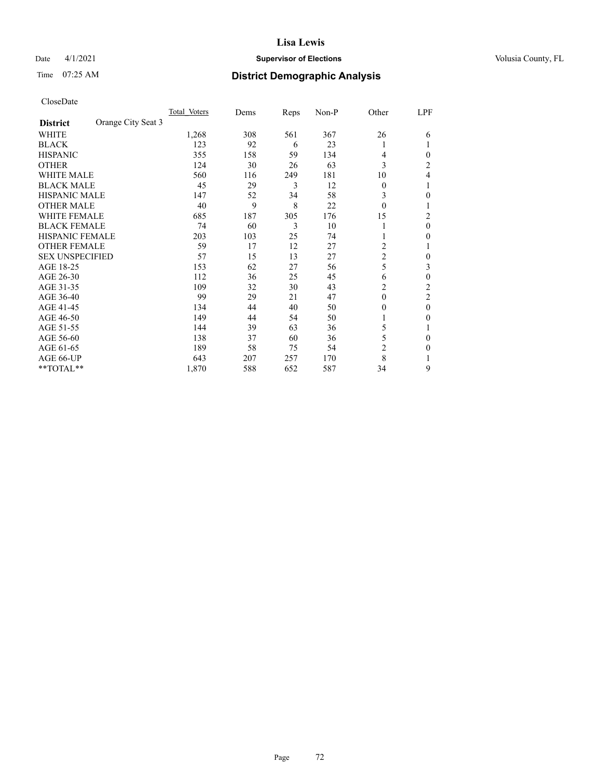## Date 4/1/2021 **Supervisor of Elections Supervisor of Elections** Volusia County, FL

# Time 07:25 AM **District Demographic Analysis**

|                        |                    | Total Voters | Dems | Reps | Non-P | Other          | LPF            |
|------------------------|--------------------|--------------|------|------|-------|----------------|----------------|
| <b>District</b>        | Orange City Seat 3 |              |      |      |       |                |                |
| WHITE                  |                    | 1,268        | 308  | 561  | 367   | 26             | 6              |
| <b>BLACK</b>           |                    | 123          | 92   | 6    | 23    |                |                |
| <b>HISPANIC</b>        |                    | 355          | 158  | 59   | 134   | 4              | 0              |
| <b>OTHER</b>           |                    | 124          | 30   | 26   | 63    | 3              | $\overline{c}$ |
| WHITE MALE             |                    | 560          | 116  | 249  | 181   | 10             | 4              |
| <b>BLACK MALE</b>      |                    | 45           | 29   | 3    | 12    | $\theta$       |                |
| <b>HISPANIC MALE</b>   |                    | 147          | 52   | 34   | 58    | 3              | 0              |
| <b>OTHER MALE</b>      |                    | 40           | 9    | 8    | 22    | $\theta$       | 1              |
| <b>WHITE FEMALE</b>    |                    | 685          | 187  | 305  | 176   | 15             | 2              |
| <b>BLACK FEMALE</b>    |                    | 74           | 60   | 3    | 10    |                | 0              |
| <b>HISPANIC FEMALE</b> |                    | 203          | 103  | 25   | 74    |                | 0              |
| <b>OTHER FEMALE</b>    |                    | 59           | 17   | 12   | 27    | 2              |                |
| <b>SEX UNSPECIFIED</b> |                    | 57           | 15   | 13   | 27    | $\overline{c}$ | 0              |
| AGE 18-25              |                    | 153          | 62   | 27   | 56    | 5              | 3              |
| AGE 26-30              |                    | 112          | 36   | 25   | 45    | 6              | 0              |
| AGE 31-35              |                    | 109          | 32   | 30   | 43    | 2              | $\overline{c}$ |
| AGE 36-40              |                    | 99           | 29   | 21   | 47    | $\theta$       | 2              |
| AGE 41-45              |                    | 134          | 44   | 40   | 50    | 0              | 0              |
| AGE 46-50              |                    | 149          | 44   | 54   | 50    |                | 0              |
| AGE 51-55              |                    | 144          | 39   | 63   | 36    | 5              |                |
| AGE 56-60              |                    | 138          | 37   | 60   | 36    | 5              | 0              |
| AGE 61-65              |                    | 189          | 58   | 75   | 54    | 2              | 0              |
| AGE 66-UP              |                    | 643          | 207  | 257  | 170   | 8              |                |
| **TOTAL**              |                    | 1,870        | 588  | 652  | 587   | 34             | 9              |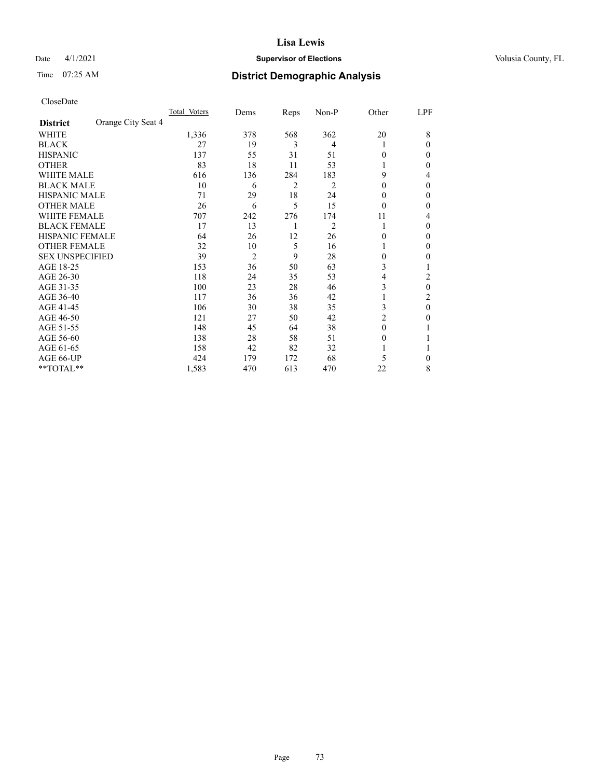## Date 4/1/2021 **Supervisor of Elections Supervisor of Elections** Volusia County, FL

# Time 07:25 AM **District Demographic Analysis**

|                        |                    | Total Voters | Dems           | Reps | Non-P          | Other    | LPF |
|------------------------|--------------------|--------------|----------------|------|----------------|----------|-----|
| <b>District</b>        | Orange City Seat 4 |              |                |      |                |          |     |
| WHITE                  |                    | 1,336        | 378            | 568  | 362            | 20       | 8   |
| <b>BLACK</b>           |                    | 27           | 19             | 3    | 4              |          | 0   |
| <b>HISPANIC</b>        |                    | 137          | 55             | 31   | 51             | 0        | 0   |
| <b>OTHER</b>           |                    | 83           | 18             | 11   | 53             |          | 0   |
| WHITE MALE             |                    | 616          | 136            | 284  | 183            | 9        | 4   |
| <b>BLACK MALE</b>      |                    | 10           | 6              | 2    | 2              | $\theta$ | 0   |
| <b>HISPANIC MALE</b>   |                    | 71           | 29             | 18   | 24             | 0        | 0   |
| <b>OTHER MALE</b>      |                    | 26           | 6              | 5    | 15             | $\theta$ | 0   |
| <b>WHITE FEMALE</b>    |                    | 707          | 242            | 276  | 174            | 11       | 4   |
| <b>BLACK FEMALE</b>    |                    | 17           | 13             | 1    | $\overline{c}$ | 1        | 0   |
| <b>HISPANIC FEMALE</b> |                    | 64           | 26             | 12   | 26             | 0        | 0   |
| <b>OTHER FEMALE</b>    |                    | 32           | 10             | 5    | 16             |          | 0   |
| <b>SEX UNSPECIFIED</b> |                    | 39           | $\overline{2}$ | 9    | 28             | $\Omega$ | 0   |
| AGE 18-25              |                    | 153          | 36             | 50   | 63             | 3        |     |
| AGE 26-30              |                    | 118          | 24             | 35   | 53             | 4        | 2   |
| AGE 31-35              |                    | 100          | 23             | 28   | 46             | 3        | 0   |
| AGE 36-40              |                    | 117          | 36             | 36   | 42             |          | 2   |
| AGE 41-45              |                    | 106          | 30             | 38   | 35             | 3        | 0   |
| AGE 46-50              |                    | 121          | 27             | 50   | 42             | 2        | 0   |
| AGE 51-55              |                    | 148          | 45             | 64   | 38             | $\Omega$ |     |
| AGE 56-60              |                    | 138          | 28             | 58   | 51             | $\theta$ |     |
| AGE 61-65              |                    | 158          | 42             | 82   | 32             |          |     |
| AGE 66-UP              |                    | 424          | 179            | 172  | 68             | 5        | 0   |
| **TOTAL**              |                    | 1,583        | 470            | 613  | 470            | 22       | 8   |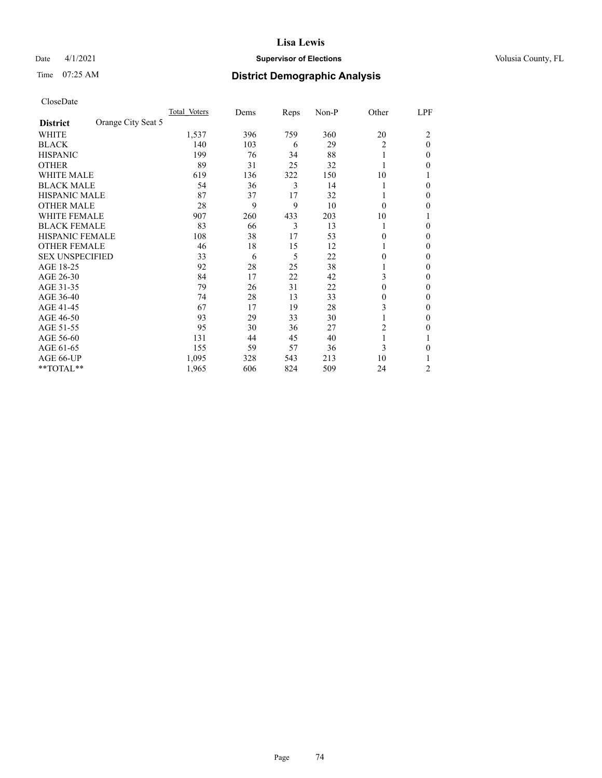## Date 4/1/2021 **Supervisor of Elections Supervisor of Elections** Volusia County, FL

# Time 07:25 AM **District Demographic Analysis**

|                        |                    | Total Voters | Dems | Reps | Non-P | Other    | LPF    |
|------------------------|--------------------|--------------|------|------|-------|----------|--------|
| <b>District</b>        | Orange City Seat 5 |              |      |      |       |          |        |
| WHITE                  |                    | 1,537        | 396  | 759  | 360   | 20       | 2      |
| <b>BLACK</b>           |                    | 140          | 103  | 6    | 29    | 2        | 0      |
| <b>HISPANIC</b>        |                    | 199          | 76   | 34   | 88    | 1        | $_{0}$ |
| <b>OTHER</b>           |                    | 89           | 31   | 25   | 32    |          | 0      |
| WHITE MALE             |                    | 619          | 136  | 322  | 150   | 10       |        |
| <b>BLACK MALE</b>      |                    | 54           | 36   | 3    | 14    |          | 0      |
| <b>HISPANIC MALE</b>   |                    | 87           | 37   | 17   | 32    |          | 0      |
| <b>OTHER MALE</b>      |                    | 28           | 9    | 9    | 10    | $\Omega$ | 0      |
| WHITE FEMALE           |                    | 907          | 260  | 433  | 203   | 10       |        |
| <b>BLACK FEMALE</b>    |                    | 83           | 66   | 3    | 13    | 1        | 0      |
| <b>HISPANIC FEMALE</b> |                    | 108          | 38   | 17   | 53    | 0        | 0      |
| <b>OTHER FEMALE</b>    |                    | 46           | 18   | 15   | 12    |          | 0      |
| <b>SEX UNSPECIFIED</b> |                    | 33           | 6    | 5    | 22    | 0        | 0      |
| AGE 18-25              |                    | 92           | 28   | 25   | 38    |          | 0      |
| AGE 26-30              |                    | 84           | 17   | 22   | 42    | 3        | 0      |
| AGE 31-35              |                    | 79           | 26   | 31   | 22    | 0        | 0      |
| AGE 36-40              |                    | 74           | 28   | 13   | 33    | 0        | 0      |
| AGE 41-45              |                    | 67           | 17   | 19   | 28    | 3        | 0      |
| AGE 46-50              |                    | 93           | 29   | 33   | 30    | 1        | $_{0}$ |
| AGE 51-55              |                    | 95           | 30   | 36   | 27    | 2        | 0      |
| AGE 56-60              |                    | 131          | 44   | 45   | 40    |          |        |
| AGE 61-65              |                    | 155          | 59   | 57   | 36    | 3        | 0      |
| AGE 66-UP              |                    | 1,095        | 328  | 543  | 213   | 10       |        |
| $*$ $TOTAL**$          |                    | 1,965        | 606  | 824  | 509   | 24       | 2      |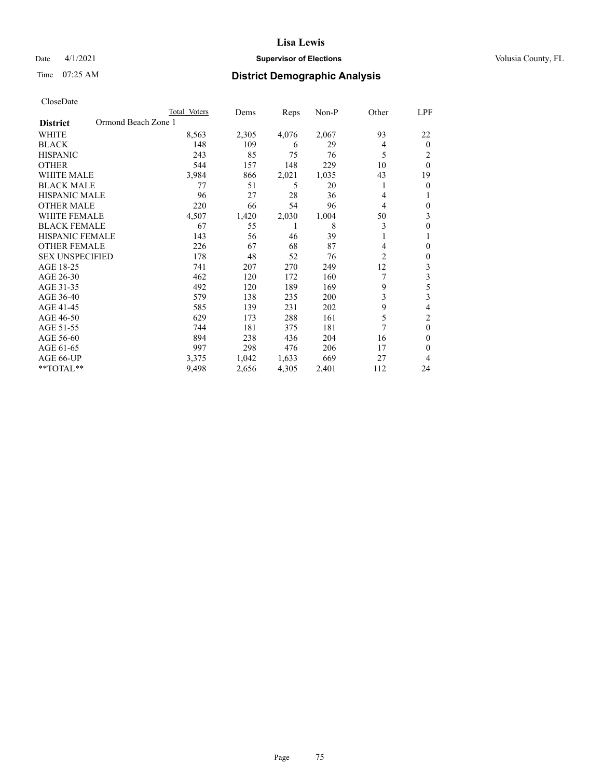## Date 4/1/2021 **Supervisor of Elections Supervisor of Elections** Volusia County, FL

# Time 07:25 AM **District Demographic Analysis**

|                        | Total Voters        | Dems  | Reps  | Non-P | Other          | LPF            |
|------------------------|---------------------|-------|-------|-------|----------------|----------------|
| <b>District</b>        | Ormond Beach Zone 1 |       |       |       |                |                |
| WHITE                  | 8,563               | 2,305 | 4,076 | 2,067 | 93             | 22             |
| <b>BLACK</b>           | 148                 | 109   | 6     | 29    | 4              | $\overline{0}$ |
| <b>HISPANIC</b>        | 243                 | 85    | 75    | 76    | 5              | 2              |
| <b>OTHER</b>           | 544                 | 157   | 148   | 229   | 10             | $\theta$       |
| <b>WHITE MALE</b>      | 3,984               | 866   | 2,021 | 1,035 | 43             | 19             |
| <b>BLACK MALE</b>      | 77                  | 51    | 5     | 20    | 1              | 0              |
| <b>HISPANIC MALE</b>   | 96                  | 27    | 28    | 36    | 4              |                |
| <b>OTHER MALE</b>      | 220                 | 66    | 54    | 96    | 4              | 0              |
| <b>WHITE FEMALE</b>    | 4,507               | 1,420 | 2,030 | 1,004 | 50             | 3              |
| <b>BLACK FEMALE</b>    | 67                  | 55    | 1     | 8     | 3              | 0              |
| <b>HISPANIC FEMALE</b> | 143                 | 56    | 46    | 39    |                |                |
| <b>OTHER FEMALE</b>    | 226                 | 67    | 68    | 87    | 4              | 0              |
| <b>SEX UNSPECIFIED</b> | 178                 | 48    | 52    | 76    | $\overline{2}$ | 0              |
| AGE 18-25              | 741                 | 207   | 270   | 249   | 12             | 3              |
| AGE 26-30              | 462                 | 120   | 172   | 160   |                | 3              |
| AGE 31-35              | 492                 | 120   | 189   | 169   | 9              | 5              |
| AGE 36-40              | 579                 | 138   | 235   | 200   | 3              | 3              |
| AGE 41-45              | 585                 | 139   | 231   | 202   | 9              | 4              |
| AGE 46-50              | 629                 | 173   | 288   | 161   | 5              | 2              |
| AGE 51-55              | 744                 | 181   | 375   | 181   | 7              | $\Omega$       |
| AGE 56-60              | 894                 | 238   | 436   | 204   | 16             | 0              |
| AGE 61-65              | 997                 | 298   | 476   | 206   | 17             | 0              |
| AGE 66-UP              | 3,375               | 1,042 | 1,633 | 669   | 27             | 4              |
| **TOTAL**              | 9,498               | 2,656 | 4,305 | 2,401 | 112            | 24             |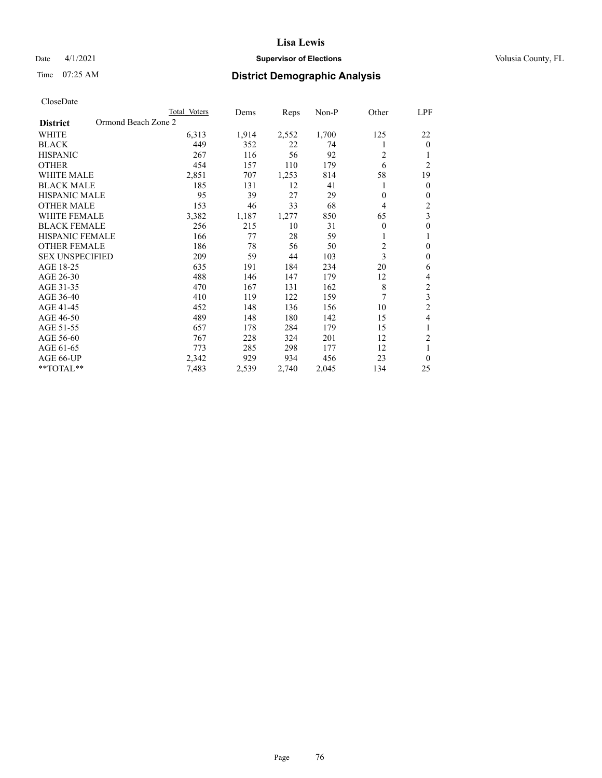## Date 4/1/2021 **Supervisor of Elections Supervisor of Elections** Volusia County, FL

# Time 07:25 AM **District Demographic Analysis**

|                                        | Total Voters | Dems  | Reps  | $Non-P$ | Other          | LPF            |
|----------------------------------------|--------------|-------|-------|---------|----------------|----------------|
| Ormond Beach Zone 2<br><b>District</b> |              |       |       |         |                |                |
| <b>WHITE</b>                           | 6,313        | 1,914 | 2,552 | 1,700   | 125            | 22             |
| <b>BLACK</b>                           | 449          | 352   | 22    | 74      | 1              | $\theta$       |
| <b>HISPANIC</b>                        | 267          | 116   | 56    | 92      | $\overline{c}$ |                |
| <b>OTHER</b>                           | 454          | 157   | 110   | 179     | 6              | $\overline{2}$ |
| <b>WHITE MALE</b>                      | 2,851        | 707   | 1,253 | 814     | 58             | 19             |
| <b>BLACK MALE</b>                      | 185          | 131   | 12    | 41      |                | $\mathbf{0}$   |
| <b>HISPANIC MALE</b>                   | 95           | 39    | 27    | 29      | $\theta$       | $\theta$       |
| <b>OTHER MALE</b>                      | 153          | 46    | 33    | 68      | $\overline{4}$ | 2              |
| <b>WHITE FEMALE</b>                    | 3,382        | 1,187 | 1,277 | 850     | 65             | 3              |
| <b>BLACK FEMALE</b>                    | 256          | 215   | 10    | 31      | $\theta$       | $\mathbf{0}$   |
| <b>HISPANIC FEMALE</b>                 | 166          | 77    | 28    | 59      | 1              | 1              |
| <b>OTHER FEMALE</b>                    | 186          | 78    | 56    | 50      | $\overline{c}$ | $\theta$       |
| <b>SEX UNSPECIFIED</b>                 | 209          | 59    | 44    | 103     | 3              | $\theta$       |
| AGE 18-25                              | 635          | 191   | 184   | 234     | 20             | 6              |
| AGE 26-30                              | 488          | 146   | 147   | 179     | 12             | 4              |
| AGE 31-35                              | 470          | 167   | 131   | 162     | 8              | $\mathfrak{2}$ |
| AGE 36-40                              | 410          | 119   | 122   | 159     | 7              | 3              |
| AGE 41-45                              | 452          | 148   | 136   | 156     | 10             | $\overline{2}$ |
| AGE 46-50                              | 489          | 148   | 180   | 142     | 15             | 4              |
| AGE 51-55                              | 657          | 178   | 284   | 179     | 15             | 1              |
| AGE 56-60                              | 767          | 228   | 324   | 201     | 12             | 2              |
| AGE 61-65                              | 773          | 285   | 298   | 177     | 12             | 1              |
| AGE 66-UP                              | 2,342        | 929   | 934   | 456     | 23             | $\theta$       |
| $*$ $TOTAL**$                          | 7,483        | 2,539 | 2,740 | 2,045   | 134            | 25             |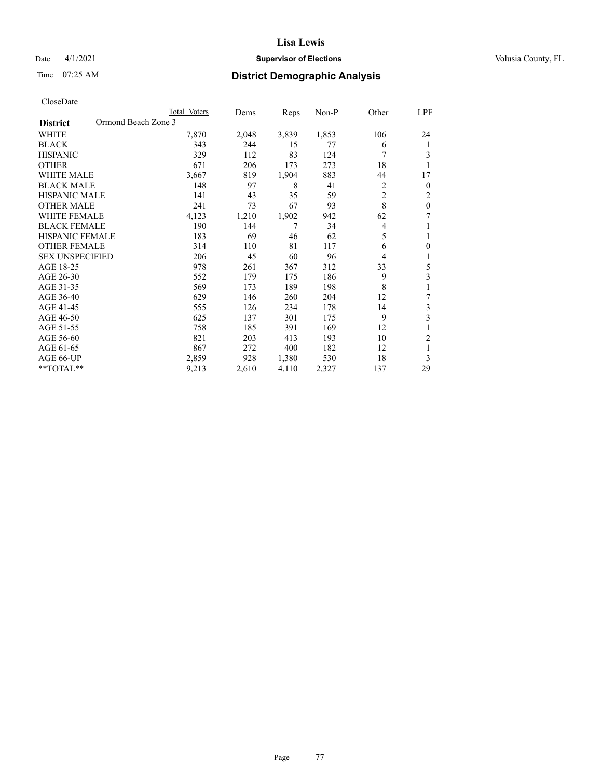## Date 4/1/2021 **Supervisor of Elections Supervisor of Elections** Volusia County, FL

# Time 07:25 AM **District Demographic Analysis**

|                                        | Total Voters | Dems  | Reps  | Non-P | Other          | <u>LPF</u>     |
|----------------------------------------|--------------|-------|-------|-------|----------------|----------------|
| Ormond Beach Zone 3<br><b>District</b> |              |       |       |       |                |                |
| WHITE                                  | 7,870        | 2,048 | 3,839 | 1,853 | 106            | 24             |
| <b>BLACK</b>                           | 343          | 244   | 15    | 77    | 6              | 1              |
| <b>HISPANIC</b>                        | 329          | 112   | 83    | 124   | 7              | 3              |
| <b>OTHER</b>                           | 671          | 206   | 173   | 273   | 18             | 1              |
| <b>WHITE MALE</b>                      | 3,667        | 819   | 1,904 | 883   | 44             | 17             |
| <b>BLACK MALE</b>                      | 148          | 97    | 8     | 41    | $\overline{c}$ | $\mathbf{0}$   |
| HISPANIC MALE                          | 141          | 43    | 35    | 59    | $\overline{2}$ | $\overline{c}$ |
| <b>OTHER MALE</b>                      | 241          | 73    | 67    | 93    | 8              | $\mathbf{0}$   |
| <b>WHITE FEMALE</b>                    | 4,123        | 1,210 | 1,902 | 942   | 62             | 7              |
| <b>BLACK FEMALE</b>                    | 190          | 144   | 7     | 34    | 4              | 1              |
| <b>HISPANIC FEMALE</b>                 | 183          | 69    | 46    | 62    | 5              | 1              |
| <b>OTHER FEMALE</b>                    | 314          | 110   | 81    | 117   | 6              | $\theta$       |
| <b>SEX UNSPECIFIED</b>                 | 206          | 45    | 60    | 96    | 4              | 1              |
| AGE 18-25                              | 978          | 261   | 367   | 312   | 33             | 5              |
| AGE 26-30                              | 552          | 179   | 175   | 186   | 9              | 3              |
| AGE 31-35                              | 569          | 173   | 189   | 198   | 8              | 1              |
| AGE 36-40                              | 629          | 146   | 260   | 204   | 12             | 7              |
| AGE 41-45                              | 555          | 126   | 234   | 178   | 14             | 3              |
| AGE 46-50                              | 625          | 137   | 301   | 175   | 9              | 3              |
| AGE 51-55                              | 758          | 185   | 391   | 169   | 12             | 1              |
| AGE 56-60                              | 821          | 203   | 413   | 193   | 10             | $\overline{2}$ |
| AGE 61-65                              | 867          | 272   | 400   | 182   | 12             | 1              |
| AGE 66-UP                              | 2,859        | 928   | 1,380 | 530   | 18             | 3              |
| **TOTAL**                              | 9,213        | 2,610 | 4,110 | 2,327 | 137            | 29             |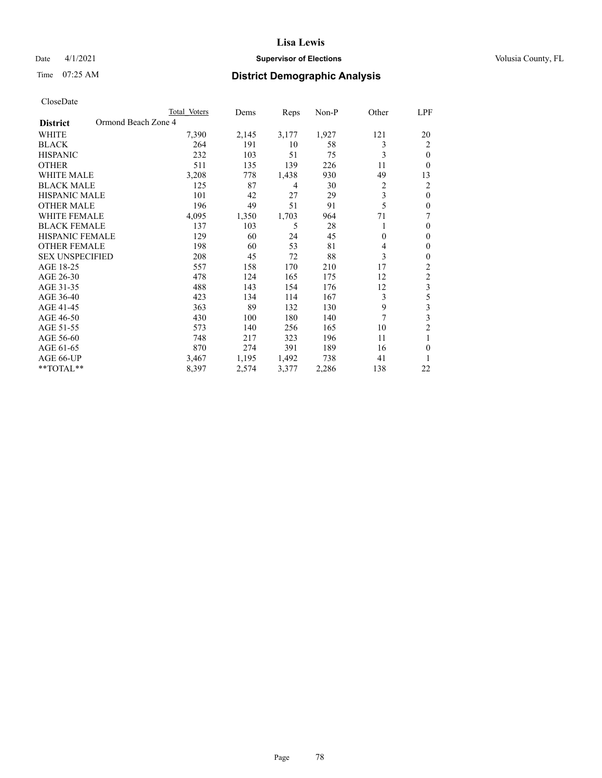## Date 4/1/2021 **Supervisor of Elections Supervisor of Elections** Volusia County, FL

# Time 07:25 AM **District Demographic Analysis**

|                                        | Total Voters | Dems  | Reps  | $Non-P$ | Other        | LPF            |
|----------------------------------------|--------------|-------|-------|---------|--------------|----------------|
| Ormond Beach Zone 4<br><b>District</b> |              |       |       |         |              |                |
| <b>WHITE</b>                           | 7,390        | 2,145 | 3,177 | 1,927   | 121          | 20             |
| <b>BLACK</b>                           | 264          | 191   | 10    | 58      | 3            | 2              |
| <b>HISPANIC</b>                        | 232          | 103   | 51    | 75      | 3            | $\theta$       |
| <b>OTHER</b>                           | 511          | 135   | 139   | 226     | 11           | $\theta$       |
| <b>WHITE MALE</b>                      | 3,208        | 778   | 1,438 | 930     | 49           | 13             |
| <b>BLACK MALE</b>                      | 125          | 87    | 4     | 30      | 2            | 2              |
| <b>HISPANIC MALE</b>                   | 101          | 42    | 27    | 29      | 3            | $\theta$       |
| <b>OTHER MALE</b>                      | 196          | 49    | 51    | 91      | 5            | $\theta$       |
| <b>WHITE FEMALE</b>                    | 4,095        | 1,350 | 1,703 | 964     | 71           | 7              |
| <b>BLACK FEMALE</b>                    | 137          | 103   | 5     | 28      | 1            | $\theta$       |
| <b>HISPANIC FEMALE</b>                 | 129          | 60    | 24    | 45      | $\mathbf{0}$ | $\theta$       |
| <b>OTHER FEMALE</b>                    | 198          | 60    | 53    | 81      | 4            | $\theta$       |
| <b>SEX UNSPECIFIED</b>                 | 208          | 45    | 72    | 88      | 3            | $\theta$       |
| AGE 18-25                              | 557          | 158   | 170   | 210     | 17           | $\overline{2}$ |
| AGE 26-30                              | 478          | 124   | 165   | 175     | 12           | $\overline{c}$ |
| AGE 31-35                              | 488          | 143   | 154   | 176     | 12           | 3              |
| AGE 36-40                              | 423          | 134   | 114   | 167     | 3            | 5              |
| AGE 41-45                              | 363          | 89    | 132   | 130     | 9            | 3              |
| AGE 46-50                              | 430          | 100   | 180   | 140     | 7            | 3              |
| AGE 51-55                              | 573          | 140   | 256   | 165     | 10           | $\overline{c}$ |
| AGE 56-60                              | 748          | 217   | 323   | 196     | 11           | 1              |
| AGE 61-65                              | 870          | 274   | 391   | 189     | 16           | $\theta$       |
| AGE 66-UP                              | 3,467        | 1,195 | 1,492 | 738     | 41           | 1              |
| $*$ $TOTAL**$                          | 8,397        | 2,574 | 3,377 | 2,286   | 138          | 22             |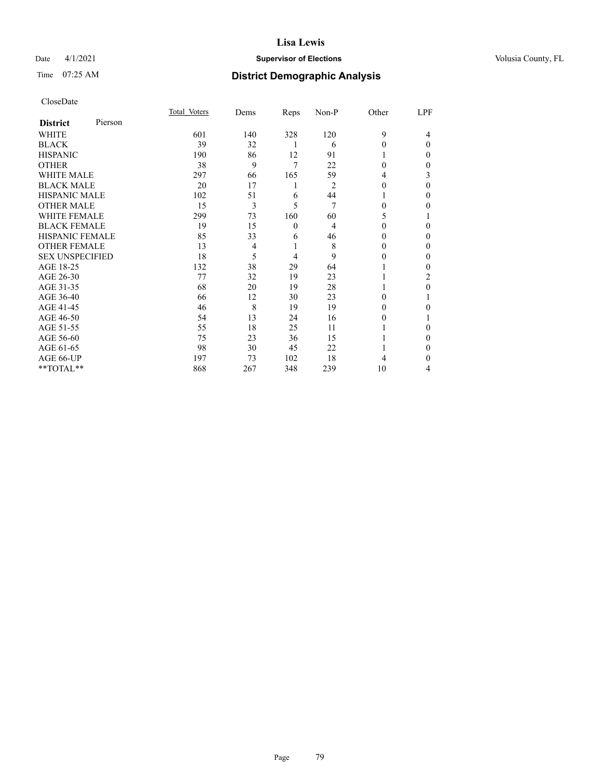## Date 4/1/2021 **Supervisor of Elections Supervisor of Elections** Volusia County, FL

# Time 07:25 AM **District Demographic Analysis**

| CloseDate |
|-----------|
|-----------|

|                        |         | Total Voters | Dems | Reps         | Non-P          | Other    | LPF      |
|------------------------|---------|--------------|------|--------------|----------------|----------|----------|
| <b>District</b>        | Pierson |              |      |              |                |          |          |
| WHITE                  |         | 601          | 140  | 328          | 120            | 9        | 4        |
| BLACK                  |         | 39           | 32   |              | 6              | 0        | $\Omega$ |
| HISPANIC               |         | 190          | 86   | 12           | 91             |          | $_{0}$   |
| OTHER                  |         | 38           | 9    | 7            | 22             | 0        | $_{0}$   |
| <b>WHITE MALE</b>      |         | 297          | 66   | 165          | 59             | 4        | 3        |
| BLACK MALE             |         | 20           | 17   | 1            | $\overline{2}$ | $_{0}$   | 0        |
| HISPANIC MALE          |         | 102          | 51   | 6            | 44             |          | 0        |
| OTHER MALE             |         | 15           | 3    | 5            | $\overline{7}$ | 0        | 0        |
| WHITE FEMALE           |         | 299          | 73   | 160          | 60             | 5        |          |
| BLACK FEMALE           |         | 19           | 15   | $\mathbf{0}$ | 4              | 0        | 0        |
| HISPANIC FEMALE        |         | 85           | 33   | 6            | 46             | $_{0}$   | $_{0}$   |
| OTHER FEMALE           |         | 13           | 4    |              | 8              | $\theta$ | 0        |
| <b>SEX UNSPECIFIED</b> |         | 18           | 5    | 4            | 9              | $_{0}$   | $_{0}$   |
| AGE 18-25              |         | 132          | 38   | 29           | 64             |          | 0        |
| AGE 26-30              |         | 77           | 32   | 19           | 23             |          | 2        |
| AGE 31-35              |         | 68           | 20   | 19           | 28             |          | 0        |
| AGE 36-40              |         | 66           | 12   | 30           | 23             | $\theta$ |          |
| AGE 41-45              |         | 46           | 8    | 19           | 19             | $\theta$ | 0        |
| AGE 46-50              |         | 54           | 13   | 24           | 16             | $\theta$ |          |
| AGE 51-55              |         | 55           | 18   | 25           | 11             |          | $_{0}$   |
| AGE 56-60              |         | 75           | 23   | 36           | 15             |          | 0        |
| AGE 61-65              |         | 98           | 30   | 45           | 22             |          | 0        |
| AGE 66-UP              |         | 197          | 73   | 102          | 18             | 4        | 0        |
| $*$ $TOTAL**$          |         | 868          | 267  | 348          | 239            | 10       | 4        |
|                        |         |              |      |              |                |          |          |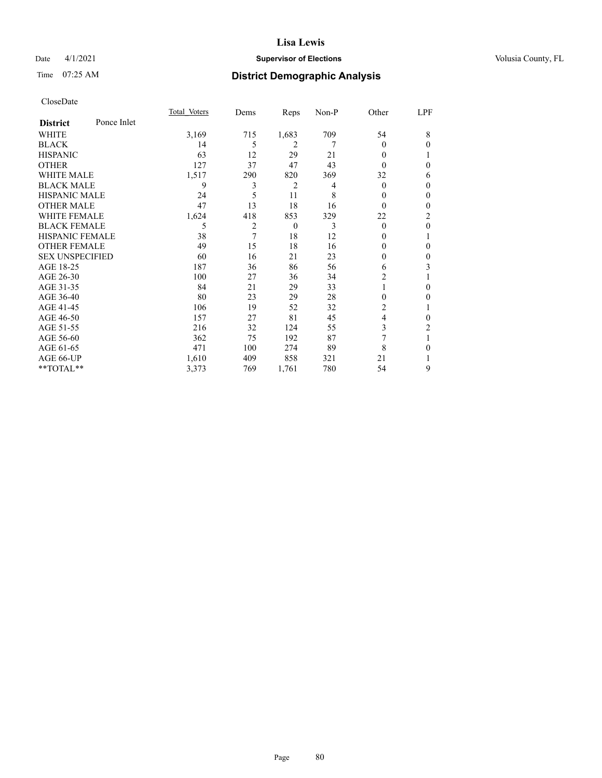## Date 4/1/2021 **Supervisor of Elections Supervisor of Elections** Volusia County, FL

# Time 07:25 AM **District Demographic Analysis**

|                        |             | Total Voters | Dems | Reps           | Non-P | Other    | LPF          |
|------------------------|-------------|--------------|------|----------------|-------|----------|--------------|
| <b>District</b>        | Ponce Inlet |              |      |                |       |          |              |
| WHITE                  |             | 3,169        | 715  | 1,683          | 709   | 54       | 8            |
| <b>BLACK</b>           |             | 14           | 5    | $\overline{2}$ | 7     | 0        | $\Omega$     |
| <b>HISPANIC</b>        |             | 63           | 12   | 29             | 21    | 0        |              |
| <b>OTHER</b>           |             | 127          | 37   | 47             | 43    | 0        | 0            |
| WHITE MALE             |             | 1,517        | 290  | 820            | 369   | 32       | 6            |
| <b>BLACK MALE</b>      |             | 9            | 3    | 2              | 4     | 0        | $\mathbf{0}$ |
| <b>HISPANIC MALE</b>   |             | 24           | 5    | 11             | 8     | 0        | $\theta$     |
| <b>OTHER MALE</b>      |             | 47           | 13   | 18             | 16    | 0        | 0            |
| WHITE FEMALE           |             | 1,624        | 418  | 853            | 329   | 22       | 2            |
| <b>BLACK FEMALE</b>    |             | 5            | 2    | $\theta$       | 3     | $\theta$ | $\theta$     |
| <b>HISPANIC FEMALE</b> |             | 38           | 7    | 18             | 12    | 0        | 1            |
| <b>OTHER FEMALE</b>    |             | 49           | 15   | 18             | 16    | 0        | 0            |
| <b>SEX UNSPECIFIED</b> |             | 60           | 16   | 21             | 23    | 0        | $\theta$     |
| AGE 18-25              |             | 187          | 36   | 86             | 56    | 6        | 3            |
| AGE 26-30              |             | 100          | 27   | 36             | 34    | 2        | 1            |
| AGE 31-35              |             | 84           | 21   | 29             | 33    |          | 0            |
| AGE 36-40              |             | 80           | 23   | 29             | 28    | 0        | 0            |
| AGE 41-45              |             | 106          | 19   | 52             | 32    | 2        |              |
| AGE 46-50              |             | 157          | 27   | 81             | 45    | 4        | 0            |
| AGE 51-55              |             | 216          | 32   | 124            | 55    | 3        | 2            |
| AGE 56-60              |             | 362          | 75   | 192            | 87    | 7        |              |
| AGE 61-65              |             | 471          | 100  | 274            | 89    | 8        | 0            |
| AGE 66-UP              |             | 1,610        | 409  | 858            | 321   | 21       |              |
| **TOTAL**              |             | 3,373        | 769  | 1,761          | 780   | 54       | 9            |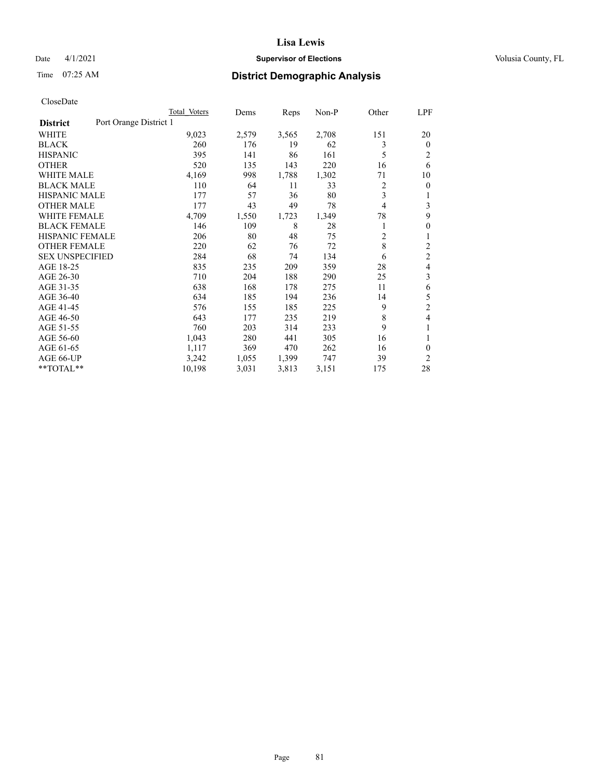## Date 4/1/2021 **Supervisor of Elections Supervisor of Elections** Volusia County, FL

# Time 07:25 AM **District Demographic Analysis**

|                                           | Total Voters | Dems  | Reps  | $Non-P$ | Other          | LPF            |
|-------------------------------------------|--------------|-------|-------|---------|----------------|----------------|
| Port Orange District 1<br><b>District</b> |              |       |       |         |                |                |
| <b>WHITE</b>                              | 9,023        | 2,579 | 3,565 | 2,708   | 151            | 20             |
| <b>BLACK</b>                              | 260          | 176   | 19    | 62      | 3              | $\mathbf{0}$   |
| <b>HISPANIC</b>                           | 395          | 141   | 86    | 161     | 5              | $\overline{2}$ |
| <b>OTHER</b>                              | 520          | 135   | 143   | 220     | 16             | 6              |
| <b>WHITE MALE</b>                         | 4,169        | 998   | 1,788 | 1,302   | 71             | 10             |
| <b>BLACK MALE</b>                         | 110          | 64    | 11    | 33      | 2              | $\theta$       |
| <b>HISPANIC MALE</b>                      | 177          | 57    | 36    | 80      | 3              |                |
| <b>OTHER MALE</b>                         | 177          | 43    | 49    | 78      | $\overline{4}$ | 3              |
| <b>WHITE FEMALE</b>                       | 4,709        | 1,550 | 1,723 | 1,349   | 78             | 9              |
| <b>BLACK FEMALE</b>                       | 146          | 109   | 8     | 28      | 1              | $\theta$       |
| <b>HISPANIC FEMALE</b>                    | 206          | 80    | 48    | 75      | $\overline{c}$ | 1              |
| <b>OTHER FEMALE</b>                       | 220          | 62    | 76    | 72      | 8              | $\overline{c}$ |
| <b>SEX UNSPECIFIED</b>                    | 284          | 68    | 74    | 134     | 6              | 2              |
| AGE 18-25                                 | 835          | 235   | 209   | 359     | 28             | 4              |
| AGE 26-30                                 | 710          | 204   | 188   | 290     | 25             | 3              |
| AGE 31-35                                 | 638          | 168   | 178   | 275     | 11             | 6              |
| AGE 36-40                                 | 634          | 185   | 194   | 236     | 14             | 5              |
| AGE 41-45                                 | 576          | 155   | 185   | 225     | 9              | $\overline{c}$ |
| AGE 46-50                                 | 643          | 177   | 235   | 219     | 8              | 4              |
| AGE 51-55                                 | 760          | 203   | 314   | 233     | 9              |                |
| AGE 56-60                                 | 1,043        | 280   | 441   | 305     | 16             | 1              |
| AGE 61-65                                 | 1,117        | 369   | 470   | 262     | 16             | $\theta$       |
| AGE 66-UP                                 | 3,242        | 1,055 | 1,399 | 747     | 39             | $\overline{c}$ |
| **TOTAL**                                 | 10,198       | 3,031 | 3,813 | 3,151   | 175            | 28             |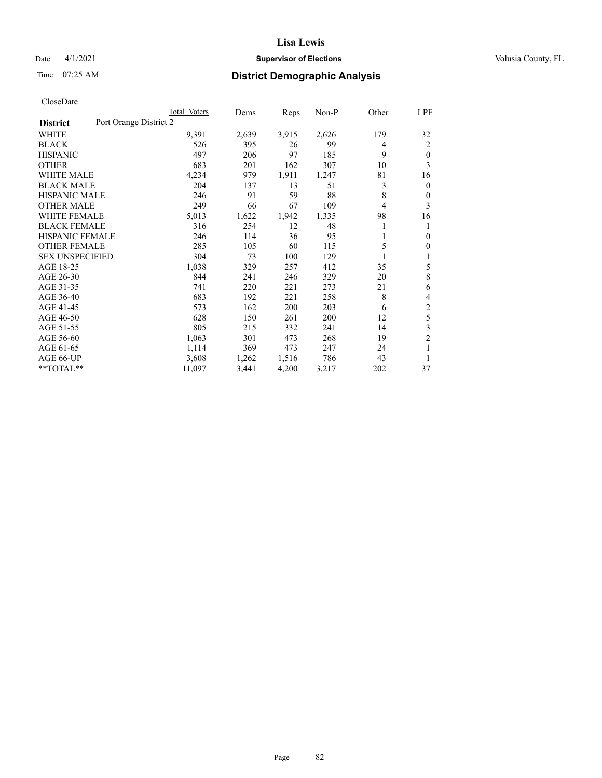## Date 4/1/2021 **Supervisor of Elections Supervisor of Elections** Volusia County, FL

# Time 07:25 AM **District Demographic Analysis**

|                                           | Total Voters | Dems  | Reps  | $Non-P$ | Other | LPF            |
|-------------------------------------------|--------------|-------|-------|---------|-------|----------------|
| Port Orange District 2<br><b>District</b> |              |       |       |         |       |                |
| WHITE                                     | 9,391        | 2,639 | 3,915 | 2,626   | 179   | 32             |
| <b>BLACK</b>                              | 526          | 395   | 26    | 99      | 4     | 2              |
| <b>HISPANIC</b>                           | 497          | 206   | 97    | 185     | 9     | $\mathbf{0}$   |
| <b>OTHER</b>                              | 683          | 201   | 162   | 307     | 10    | 3              |
| <b>WHITE MALE</b>                         | 4,234        | 979   | 1,911 | 1,247   | 81    | 16             |
| <b>BLACK MALE</b>                         | 204          | 137   | 13    | 51      | 3     | $\mathbf{0}$   |
| <b>HISPANIC MALE</b>                      | 246          | 91    | 59    | 88      | 8     | $\theta$       |
| <b>OTHER MALE</b>                         | 249          | 66    | 67    | 109     | 4     | 3              |
| <b>WHITE FEMALE</b>                       | 5,013        | 1,622 | 1,942 | 1,335   | 98    | 16             |
| <b>BLACK FEMALE</b>                       | 316          | 254   | 12    | 48      |       | 1              |
| <b>HISPANIC FEMALE</b>                    | 246          | 114   | 36    | 95      | 1     | $\mathbf{0}$   |
| <b>OTHER FEMALE</b>                       | 285          | 105   | 60    | 115     | 5     | $\mathbf{0}$   |
| <b>SEX UNSPECIFIED</b>                    | 304          | 73    | 100   | 129     |       | 1              |
| AGE 18-25                                 | 1,038        | 329   | 257   | 412     | 35    | 5              |
| AGE 26-30                                 | 844          | 241   | 246   | 329     | 20    | 8              |
| AGE 31-35                                 | 741          | 220   | 221   | 273     | 21    | 6              |
| AGE 36-40                                 | 683          | 192   | 221   | 258     | 8     | 4              |
| AGE 41-45                                 | 573          | 162   | 200   | 203     | 6     | $\mathfrak{2}$ |
| AGE 46-50                                 | 628          | 150   | 261   | 200     | 12    | 5              |
| AGE 51-55                                 | 805          | 215   | 332   | 241     | 14    | 3              |
| AGE 56-60                                 | 1,063        | 301   | 473   | 268     | 19    | $\overline{c}$ |
| AGE 61-65                                 | 1,114        | 369   | 473   | 247     | 24    | 1              |
| AGE 66-UP                                 | 3,608        | 1,262 | 1,516 | 786     | 43    | 1              |
| **TOTAL**                                 | 11,097       | 3,441 | 4,200 | 3,217   | 202   | 37             |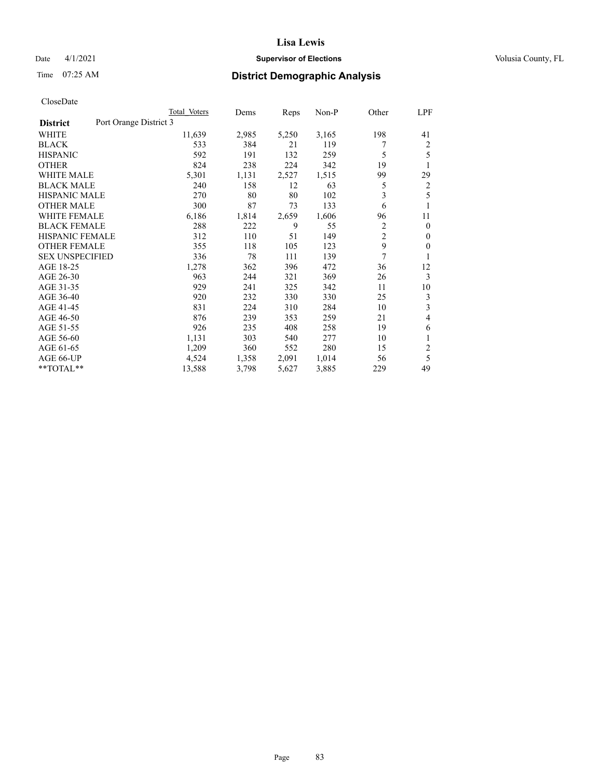## Date 4/1/2021 **Supervisor of Elections Supervisor of Elections** Volusia County, FL

# Time 07:25 AM **District Demographic Analysis**

|                                           | Total Voters | Dems  | Reps  | Non-P | Other          | LPF          |
|-------------------------------------------|--------------|-------|-------|-------|----------------|--------------|
| Port Orange District 3<br><b>District</b> |              |       |       |       |                |              |
| WHITE                                     | 11,639       | 2,985 | 5,250 | 3,165 | 198            | 41           |
| <b>BLACK</b>                              | 533          | 384   | 21    | 119   |                | 2            |
| <b>HISPANIC</b>                           | 592          | 191   | 132   | 259   | 5              | 5            |
| <b>OTHER</b>                              | 824          | 238   | 224   | 342   | 19             | 1            |
| <b>WHITE MALE</b>                         | 5,301        | 1,131 | 2,527 | 1,515 | 99             | 29           |
| <b>BLACK MALE</b>                         | 240          | 158   | 12    | 63    | 5              | 2            |
| <b>HISPANIC MALE</b>                      | 270          | 80    | 80    | 102   | 3              | 5            |
| <b>OTHER MALE</b>                         | 300          | 87    | 73    | 133   | 6              | 1            |
| <b>WHITE FEMALE</b>                       | 6,186        | 1,814 | 2,659 | 1,606 | 96             | 11           |
| <b>BLACK FEMALE</b>                       | 288          | 222   | 9     | 55    | $\overline{c}$ | $\mathbf{0}$ |
| <b>HISPANIC FEMALE</b>                    | 312          | 110   | 51    | 149   | $\overline{2}$ | $\Omega$     |
| <b>OTHER FEMALE</b>                       | 355          | 118   | 105   | 123   | 9              | $\theta$     |
| <b>SEX UNSPECIFIED</b>                    | 336          | 78    | 111   | 139   | 7              | 1            |
| AGE 18-25                                 | 1,278        | 362   | 396   | 472   | 36             | 12           |
| AGE 26-30                                 | 963          | 244   | 321   | 369   | 26             | 3            |
| AGE 31-35                                 | 929          | 241   | 325   | 342   | 11             | 10           |
| AGE 36-40                                 | 920          | 232   | 330   | 330   | 25             | 3            |
| AGE 41-45                                 | 831          | 224   | 310   | 284   | 10             | 3            |
| AGE 46-50                                 | 876          | 239   | 353   | 259   | 21             | 4            |
| AGE 51-55                                 | 926          | 235   | 408   | 258   | 19             | 6            |
| AGE 56-60                                 | 1,131        | 303   | 540   | 277   | 10             | 1            |
| AGE 61-65                                 | 1,209        | 360   | 552   | 280   | 15             | 2            |
| AGE 66-UP                                 | 4,524        | 1,358 | 2,091 | 1,014 | 56             | 5            |
| $*$ $TOTAL**$                             | 13,588       | 3,798 | 5,627 | 3,885 | 229            | 49           |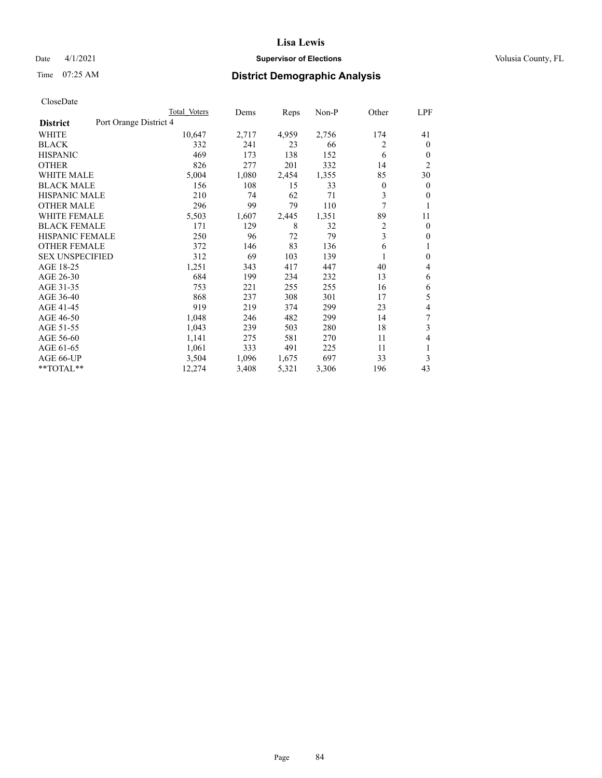## Date 4/1/2021 **Supervisor of Elections Supervisor of Elections** Volusia County, FL

# Time 07:25 AM **District Demographic Analysis**

|                        | Total Voters           | Dems  | Reps  | Non-P | Other          | LPF            |  |  |
|------------------------|------------------------|-------|-------|-------|----------------|----------------|--|--|
| <b>District</b>        | Port Orange District 4 |       |       |       |                |                |  |  |
| WHITE                  | 10,647                 | 2,717 | 4,959 | 2,756 | 174            | 41             |  |  |
| <b>BLACK</b>           | 332                    | 241   | 23    | 66    | 2              | $\theta$       |  |  |
| <b>HISPANIC</b>        | 469                    | 173   | 138   | 152   | 6              | $\theta$       |  |  |
| <b>OTHER</b>           | 826                    | 277   | 201   | 332   | 14             | $\overline{2}$ |  |  |
| <b>WHITE MALE</b>      | 5,004                  | 1,080 | 2,454 | 1,355 | 85             | 30             |  |  |
| <b>BLACK MALE</b>      | 156                    | 108   | 15    | 33    | $\mathbf{0}$   | $\mathbf{0}$   |  |  |
| HISPANIC MALE          | 210                    | 74    | 62    | 71    | 3              | $\theta$       |  |  |
| <b>OTHER MALE</b>      | 296                    | 99    | 79    | 110   | 7              |                |  |  |
| <b>WHITE FEMALE</b>    | 5,503                  | 1,607 | 2,445 | 1,351 | 89             | 11             |  |  |
| <b>BLACK FEMALE</b>    | 171                    | 129   | 8     | 32    | $\overline{c}$ | $\mathbf{0}$   |  |  |
| <b>HISPANIC FEMALE</b> | 250                    | 96    | 72    | 79    | 3              | $\mathbf{0}$   |  |  |
| <b>OTHER FEMALE</b>    | 372                    | 146   | 83    | 136   | 6              | 1              |  |  |
| <b>SEX UNSPECIFIED</b> | 312                    | 69    | 103   | 139   | 1              | $\mathbf{0}$   |  |  |
| AGE 18-25              | 1,251                  | 343   | 417   | 447   | 40             | 4              |  |  |
| AGE 26-30              | 684                    | 199   | 234   | 232   | 13             | 6              |  |  |
| AGE 31-35              | 753                    | 221   | 255   | 255   | 16             | 6              |  |  |
| AGE 36-40              | 868                    | 237   | 308   | 301   | 17             | 5              |  |  |
| AGE 41-45              | 919                    | 219   | 374   | 299   | 23             | 4              |  |  |
| AGE 46-50              | 1,048                  | 246   | 482   | 299   | 14             | 7              |  |  |
| AGE 51-55              | 1,043                  | 239   | 503   | 280   | 18             | 3              |  |  |
| AGE 56-60              | 1,141                  | 275   | 581   | 270   | 11             | 4              |  |  |
| AGE 61-65              | 1,061                  | 333   | 491   | 225   | 11             | 1              |  |  |
| AGE 66-UP              | 3,504                  | 1,096 | 1,675 | 697   | 33             | 3              |  |  |
| **TOTAL**              | 12,274                 | 3,408 | 5,321 | 3,306 | 196            | 43             |  |  |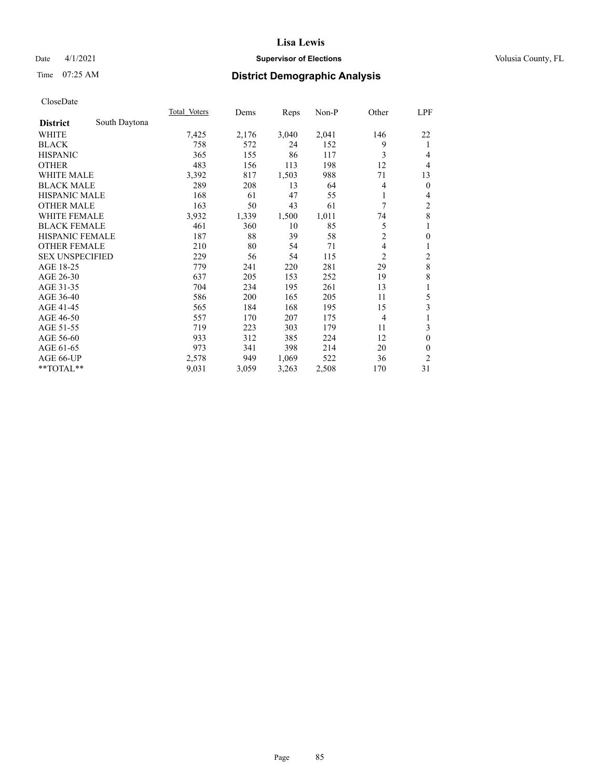## Date 4/1/2021 **Supervisor of Elections Supervisor of Elections** Volusia County, FL

# Time 07:25 AM **District Demographic Analysis**

|                        |               | Total Voters | Dems  | Reps  | $Non-P$ | Other          | <u>LPF</u>              |
|------------------------|---------------|--------------|-------|-------|---------|----------------|-------------------------|
| <b>District</b>        | South Daytona |              |       |       |         |                |                         |
| WHITE                  |               | 7,425        | 2,176 | 3,040 | 2,041   | 146            | 22                      |
| <b>BLACK</b>           |               | 758          | 572   | 24    | 152     | 9              | 1                       |
| <b>HISPANIC</b>        |               | 365          | 155   | 86    | 117     | 3              | 4                       |
| <b>OTHER</b>           |               | 483          | 156   | 113   | 198     | 12             | 4                       |
| <b>WHITE MALE</b>      |               | 3,392        | 817   | 1,503 | 988     | 71             | 13                      |
| <b>BLACK MALE</b>      |               | 289          | 208   | 13    | 64      | 4              | $\mathbf{0}$            |
| <b>HISPANIC MALE</b>   |               | 168          | 61    | 47    | 55      | 1              | 4                       |
| <b>OTHER MALE</b>      |               | 163          | 50    | 43    | 61      | 7              | 2                       |
| WHITE FEMALE           |               | 3,932        | 1,339 | 1,500 | 1,011   | 74             | 8                       |
| <b>BLACK FEMALE</b>    |               | 461          | 360   | 10    | 85      | 5              | 1                       |
| <b>HISPANIC FEMALE</b> |               | 187          | 88    | 39    | 58      | $\overline{2}$ | $\mathbf{0}$            |
| <b>OTHER FEMALE</b>    |               | 210          | 80    | 54    | 71      | 4              | 1                       |
| <b>SEX UNSPECIFIED</b> |               | 229          | 56    | 54    | 115     | 2              | $\overline{\mathbf{c}}$ |
| AGE 18-25              |               | 779          | 241   | 220   | 281     | 29             | 8                       |
| AGE 26-30              |               | 637          | 205   | 153   | 252     | 19             | 8                       |
| AGE 31-35              |               | 704          | 234   | 195   | 261     | 13             | 1                       |
| AGE 36-40              |               | 586          | 200   | 165   | 205     | 11             | 5                       |
| AGE 41-45              |               | 565          | 184   | 168   | 195     | 15             | 3                       |
| AGE 46-50              |               | 557          | 170   | 207   | 175     | $\overline{4}$ | 1                       |
| AGE 51-55              |               | 719          | 223   | 303   | 179     | 11             | 3                       |
| AGE 56-60              |               | 933          | 312   | 385   | 224     | 12             | $\theta$                |
| AGE 61-65              |               | 973          | 341   | 398   | 214     | 20             | $\theta$                |
| AGE 66-UP              |               | 2,578        | 949   | 1,069 | 522     | 36             | 2                       |
| $*$ TOTAL $*$          |               | 9,031        | 3,059 | 3,263 | 2,508   | 170            | 31                      |